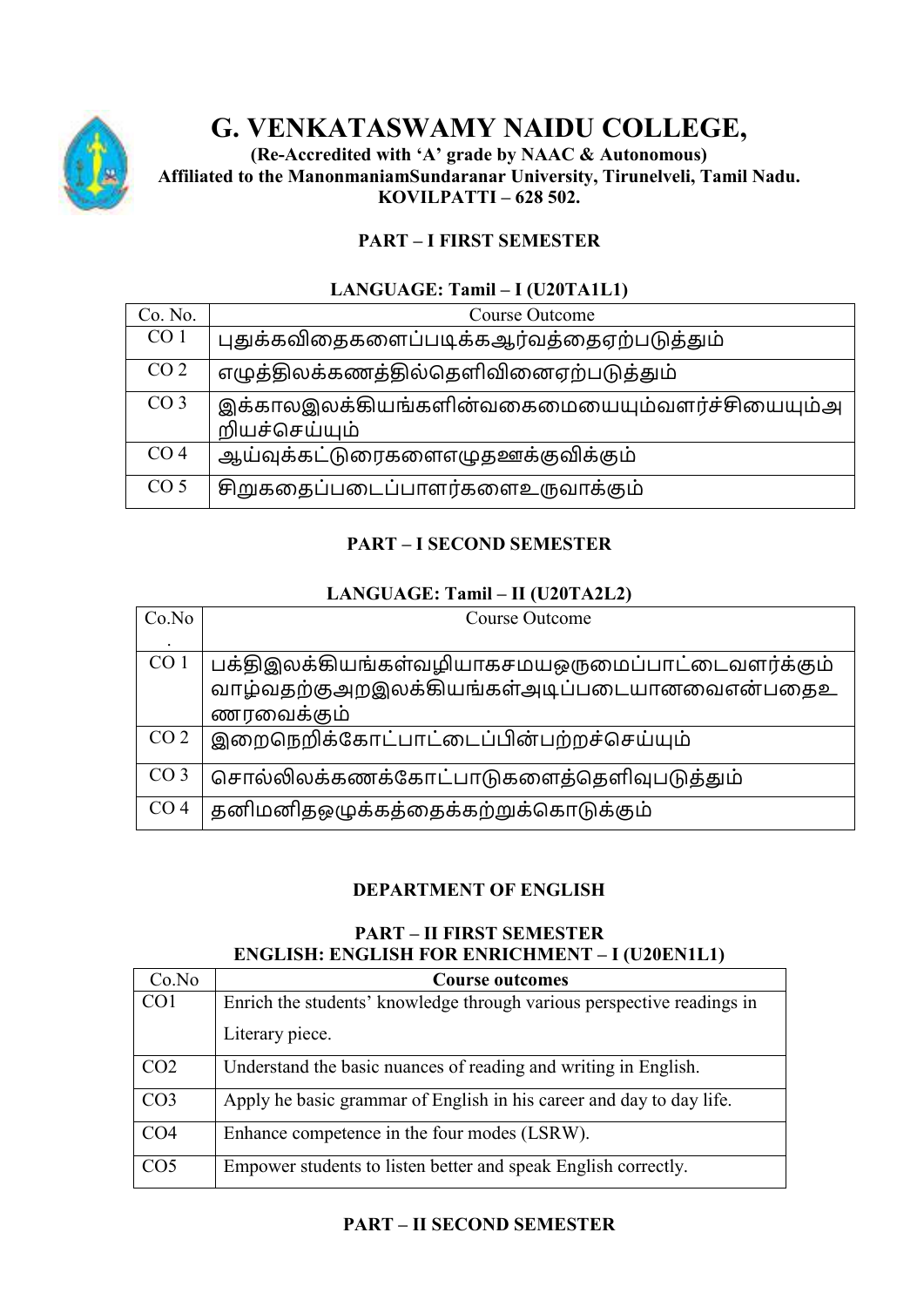

## **G. VENKATASWAMY NAIDU COLLEGE,**

**(Re-Accredited with 'A' grade by NAAC & Autonomous) Affiliated to the ManonmaniamSundaranar University, Tirunelveli, Tamil Nadu. KOVILPATTI – 628 502.** 

### **PART – I FIRST SEMESTER**

### **LANGUAGE: Tamil – I (U20TA1L1)**

| Co. No.         | Course Outcome                                                  |
|-----------------|-----------------------------------------------------------------|
| CO <sub>1</sub> | புதுக்கவிதைகளைப்படிக்கஆர்வத்தைஏற்படுத்தும்                      |
| CO <sub>2</sub> | எழுத்திலக்கணத்தில்தெளிவினைஏற்படுத்தும்                          |
| CO <sub>3</sub> | இக்காலஇலக்கியங்களின்வகைமையையும்வளர்ச்சியையும்அ<br>றியச்செய்யும் |
| CO <sub>4</sub> | ஆய்வுக்கட்டுரைகளைஎழுதஊக்குவிக்கும்                              |
| CO <sub>5</sub> | சிறுகதைப்படைப்பாளர்களைஉருவாக்கும்                               |

### **PART – I SECOND SEMESTER**

### **LANGUAGE: Tamil – II (U20TA2L2)**

| Co.No           | Course Outcome                                    |
|-----------------|---------------------------------------------------|
|                 |                                                   |
| CO <sub>1</sub> | பக்திஇலக்கியங்கள்வழியாகசமயஒருமைப்பாட்டைவளர்க்கும் |
|                 | வாழ்வதற்குஅறஇலக்கியங்கள்அடிப்படையானவைஎன்பதைஉ      |
|                 | ணரவைக்கும்                                        |
| CO <sub>2</sub> | இறைநெறிக்கோட்பாட்டைப்பின்பற்றச்செய்யும்           |
| CO <sub>3</sub> | சொல்லிலக்கணக்கோட்பாடுகளைத்தெளிவுபடுத்தும்         |
| CO <sub>4</sub> | தனிமனிதஒழுக்கத்தைக்கற்றுக்கொடுக்கும்              |

### **DEPARTMENT OF ENGLISH**

### **PART – II FIRST SEMESTER ENGLISH: ENGLISH FOR ENRICHMENT – I (U20EN1L1)**

| Co.No           | <b>Course outcomes</b>                                                 |
|-----------------|------------------------------------------------------------------------|
| CO <sub>1</sub> | Enrich the students' knowledge through various perspective readings in |
|                 | Literary piece.                                                        |
| CO <sub>2</sub> | Understand the basic nuances of reading and writing in English.        |
| CO <sub>3</sub> | Apply he basic grammar of English in his career and day to day life.   |
| CO <sub>4</sub> | Enhance competence in the four modes (LSRW).                           |
| CO <sub>5</sub> | Empower students to listen better and speak English correctly.         |

### **PART – II SECOND SEMESTER**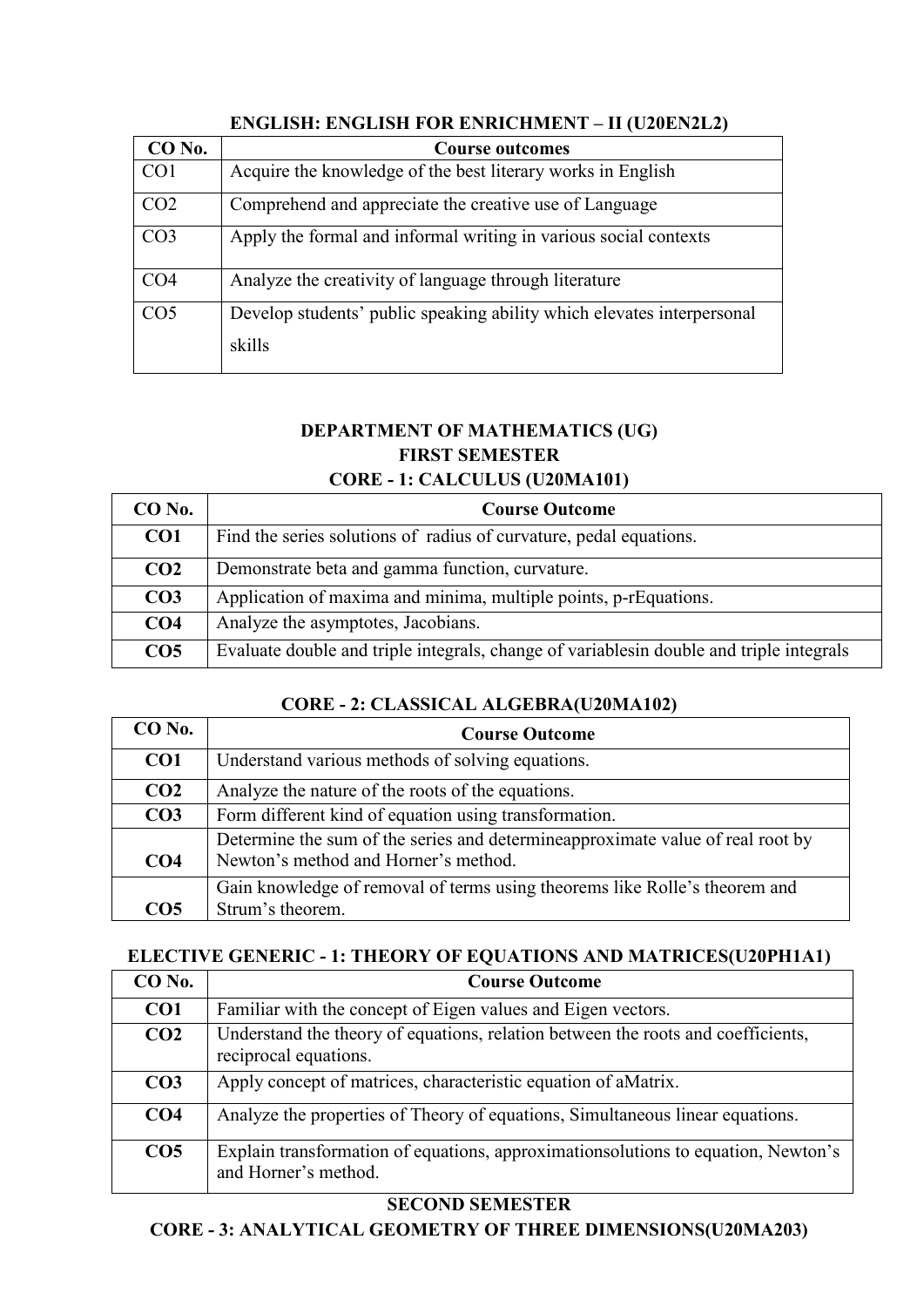| CO No.          | <b>Course outcomes</b>                                                           |
|-----------------|----------------------------------------------------------------------------------|
| CO <sub>1</sub> | Acquire the knowledge of the best literary works in English                      |
| CO <sub>2</sub> | Comprehend and appreciate the creative use of Language                           |
| CO <sub>3</sub> | Apply the formal and informal writing in various social contexts                 |
| CO <sub>4</sub> | Analyze the creativity of language through literature                            |
| CO <sub>5</sub> | Develop students' public speaking ability which elevates interpersonal<br>skills |

### **ENGLISH: ENGLISH FOR ENRICHMENT – II (U20EN2L2)**

### **DEPARTMENT OF MATHEMATICS (UG) FIRST SEMESTER CORE - 1: CALCULUS (U20MA101)**

| CO No.          | <b>Course Outcome</b>                                                                    |
|-----------------|------------------------------------------------------------------------------------------|
| CO <sub>1</sub> | Find the series solutions of radius of curvature, pedal equations.                       |
| CO <sub>2</sub> | Demonstrate beta and gamma function, curvature.                                          |
| CO <sub>3</sub> | Application of maxima and minima, multiple points, p-rEquations.                         |
| CO <sub>4</sub> | Analyze the asymptotes, Jacobians.                                                       |
| CO <sub>5</sub> | Evaluate double and triple integrals, change of variables in double and triple integrals |

### **CORE - 2: CLASSICAL ALGEBRA(U20MA102)**

| $CO$ No.        | <b>Course Outcome</b>                                                           |
|-----------------|---------------------------------------------------------------------------------|
| CO <sub>1</sub> | Understand various methods of solving equations.                                |
| CO <sub>2</sub> | Analyze the nature of the roots of the equations.                               |
| CO <sub>3</sub> | Form different kind of equation using transformation.                           |
|                 | Determine the sum of the series and determine approximate value of real root by |
| CO <sub>4</sub> | Newton's method and Horner's method.                                            |
|                 | Gain knowledge of removal of terms using theorems like Rolle's theorem and      |
| CO5             | Strum's theorem.                                                                |

### **ELECTIVE GENERIC - 1: THEORY OF EQUATIONS AND MATRICES(U20PH1A1)**

| $CO$ No.        | <b>Course Outcome</b>                                                                                      |
|-----------------|------------------------------------------------------------------------------------------------------------|
| CO1             | Familiar with the concept of Eigen values and Eigen vectors.                                               |
| CO <sub>2</sub> | Understand the theory of equations, relation between the roots and coefficients,<br>reciprocal equations.  |
| CO <sub>3</sub> | Apply concept of matrices, characteristic equation of aMatrix.                                             |
| CO <sub>4</sub> | Analyze the properties of Theory of equations, Simultaneous linear equations.                              |
| CO <sub>5</sub> | Explain transformation of equations, approximations outliers to equation, Newton's<br>and Horner's method. |

### **SECOND SEMESTER**

**CORE - 3: ANALYTICAL GEOMETRY OF THREE DIMENSIONS(U20MA203)**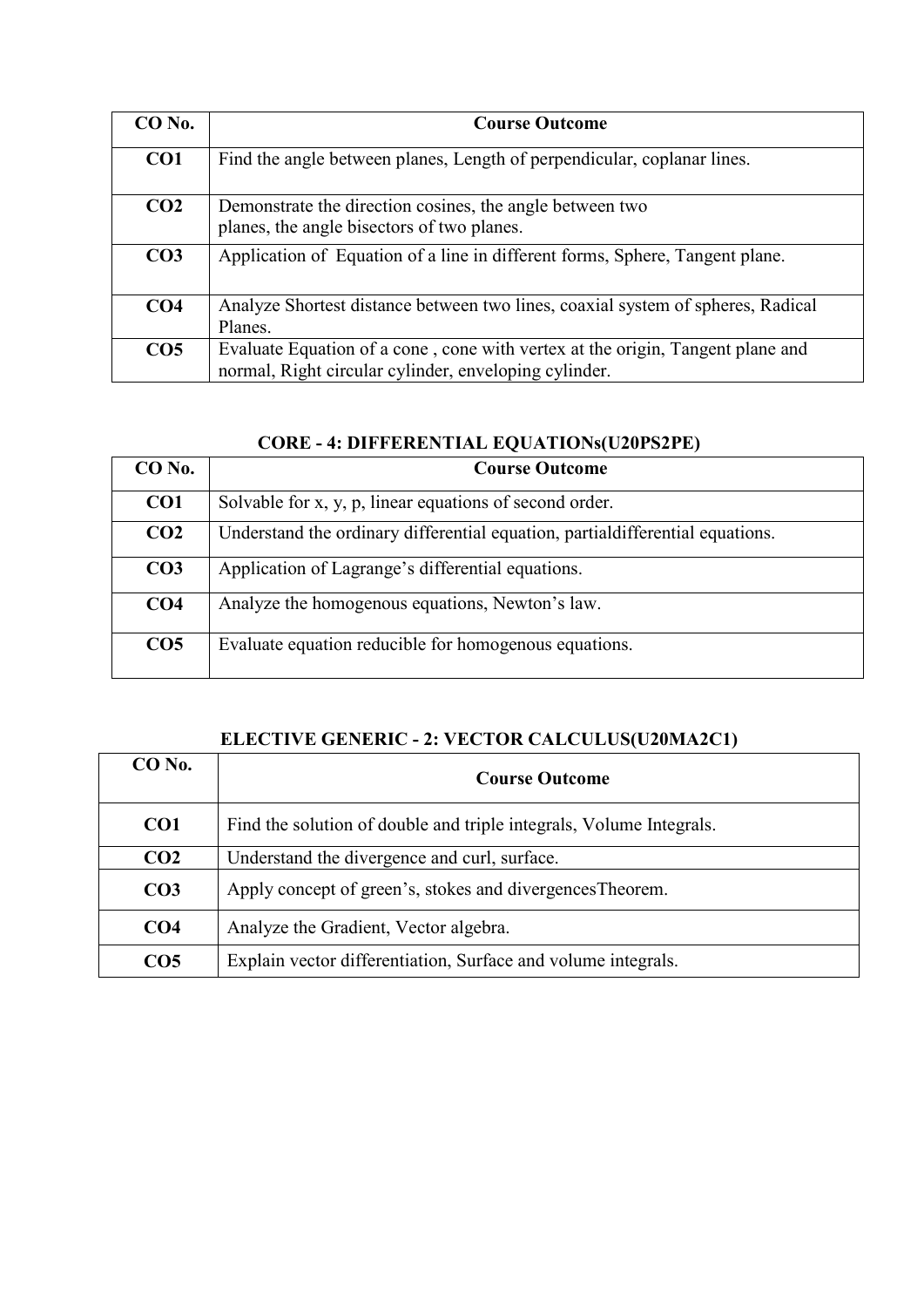| CO No.          | <b>Course Outcome</b>                                                                                                                   |
|-----------------|-----------------------------------------------------------------------------------------------------------------------------------------|
| CO <sub>1</sub> | Find the angle between planes, Length of perpendicular, coplanar lines.                                                                 |
| CO <sub>2</sub> | Demonstrate the direction cosines, the angle between two<br>planes, the angle bisectors of two planes.                                  |
| CO <sub>3</sub> | Application of Equation of a line in different forms, Sphere, Tangent plane.                                                            |
| CO <sub>4</sub> | Analyze Shortest distance between two lines, coaxial system of spheres, Radical<br>Planes.                                              |
| CO <sub>5</sub> | Evaluate Equation of a cone, cone with vertex at the origin, Tangent plane and<br>normal, Right circular cylinder, enveloping cylinder. |

### **CORE - 4: DIFFERENTIAL EQUATIONs(U20PS2PE)**

| CO No.          | <b>Course Outcome</b>                                                          |
|-----------------|--------------------------------------------------------------------------------|
| CO <sub>1</sub> | Solvable for x, y, p, linear equations of second order.                        |
| CO <sub>2</sub> | Understand the ordinary differential equation, partial differential equations. |
| CO <sub>3</sub> | Application of Lagrange's differential equations.                              |
| CO <sub>4</sub> | Analyze the homogenous equations, Newton's law.                                |
| CO <sub>5</sub> | Evaluate equation reducible for homogenous equations.                          |

### **ELECTIVE GENERIC - 2: VECTOR CALCULUS(U20MA2C1)**

| $CO$ No.        | <b>Course Outcome</b>                                               |
|-----------------|---------------------------------------------------------------------|
| CO <sub>1</sub> | Find the solution of double and triple integrals, Volume Integrals. |
| CO <sub>2</sub> | Understand the divergence and curl, surface.                        |
| CO <sub>3</sub> | Apply concept of green's, stokes and divergences Theorem.           |
| CO <sub>4</sub> | Analyze the Gradient, Vector algebra.                               |
| CO <sub>5</sub> | Explain vector differentiation, Surface and volume integrals.       |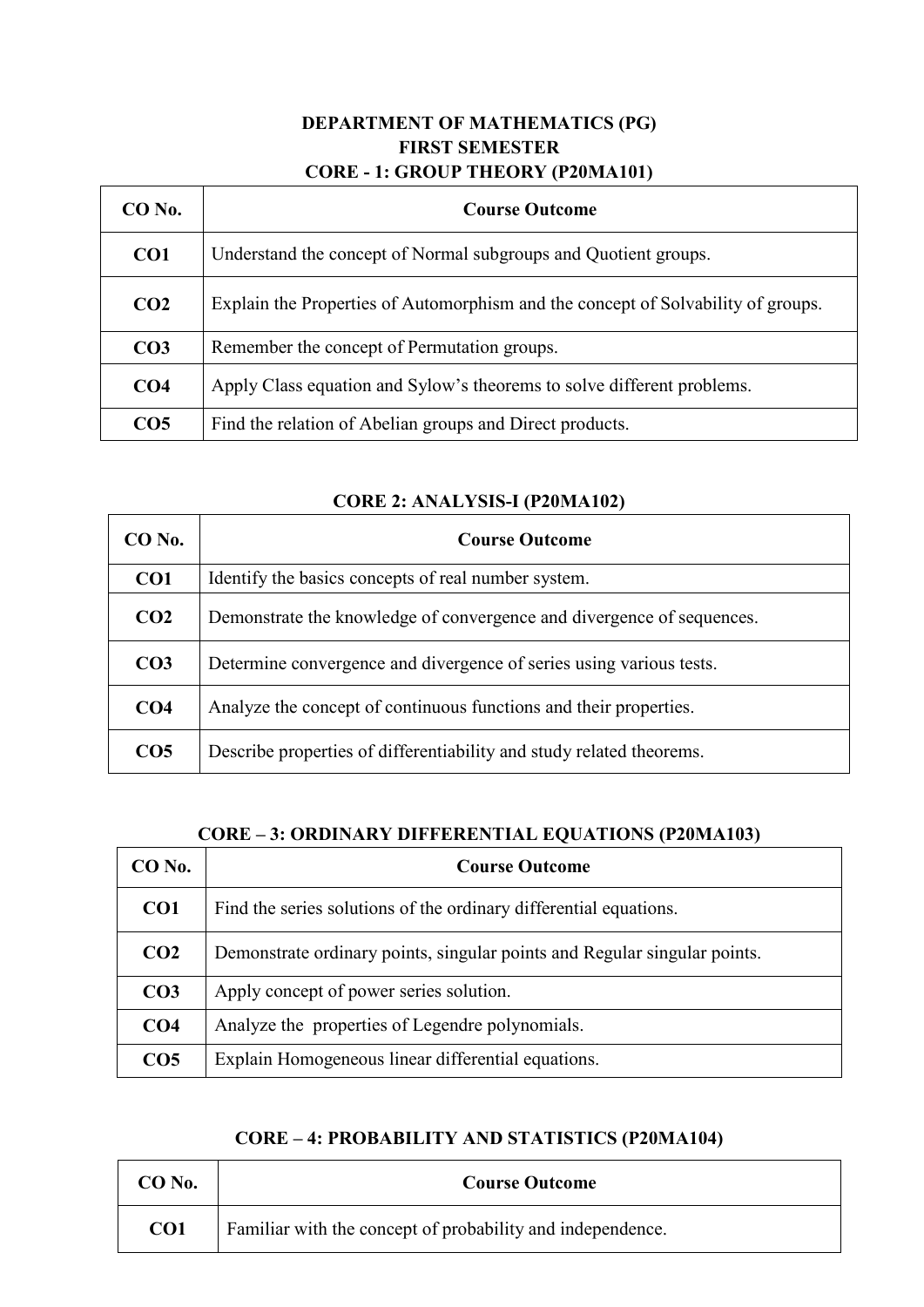### **DEPARTMENT OF MATHEMATICS (PG) FIRST SEMESTER CORE - 1: GROUP THEORY (P20MA101)**

| $CO$ No.        | <b>Course Outcome</b>                                                            |
|-----------------|----------------------------------------------------------------------------------|
| CO <sub>1</sub> | Understand the concept of Normal subgroups and Quotient groups.                  |
| CO <sub>2</sub> | Explain the Properties of Automorphism and the concept of Solvability of groups. |
| CO <sub>3</sub> | Remember the concept of Permutation groups.                                      |
| CO <sub>4</sub> | Apply Class equation and Sylow's theorems to solve different problems.           |
| CO <sub>5</sub> | Find the relation of Abelian groups and Direct products.                         |

# **CORE 2: ANALYSIS-I (P20MA102)**

 $\Gamma$ 

 $\overline{\mathsf{T}}$ 

| CO No.          | <b>Course Outcome</b>                                                 |
|-----------------|-----------------------------------------------------------------------|
| CO <sub>1</sub> | Identify the basics concepts of real number system.                   |
| CO <sub>2</sub> | Demonstrate the knowledge of convergence and divergence of sequences. |
| CO <sub>3</sub> | Determine convergence and divergence of series using various tests.   |
| CO <sub>4</sub> | Analyze the concept of continuous functions and their properties.     |
| CO <sub>5</sub> | Describe properties of differentiability and study related theorems.  |

### **CORE – 3: ORDINARY DIFFERENTIAL EQUATIONS (P20MA103)**

| CO No.          | <b>Course Outcome</b>                                                     |
|-----------------|---------------------------------------------------------------------------|
| CO <sub>1</sub> | Find the series solutions of the ordinary differential equations.         |
| CO <sub>2</sub> | Demonstrate ordinary points, singular points and Regular singular points. |
| CO <sub>3</sub> | Apply concept of power series solution.                                   |
| CO <sub>4</sub> | Analyze the properties of Legendre polynomials.                           |
| CO <sub>5</sub> | Explain Homogeneous linear differential equations.                        |

### **CORE – 4: PROBABILITY AND STATISTICS (P20MA104)**

| CO No.          | <b>Course Outcome</b>                                      |
|-----------------|------------------------------------------------------------|
| CO <sub>1</sub> | Familiar with the concept of probability and independence. |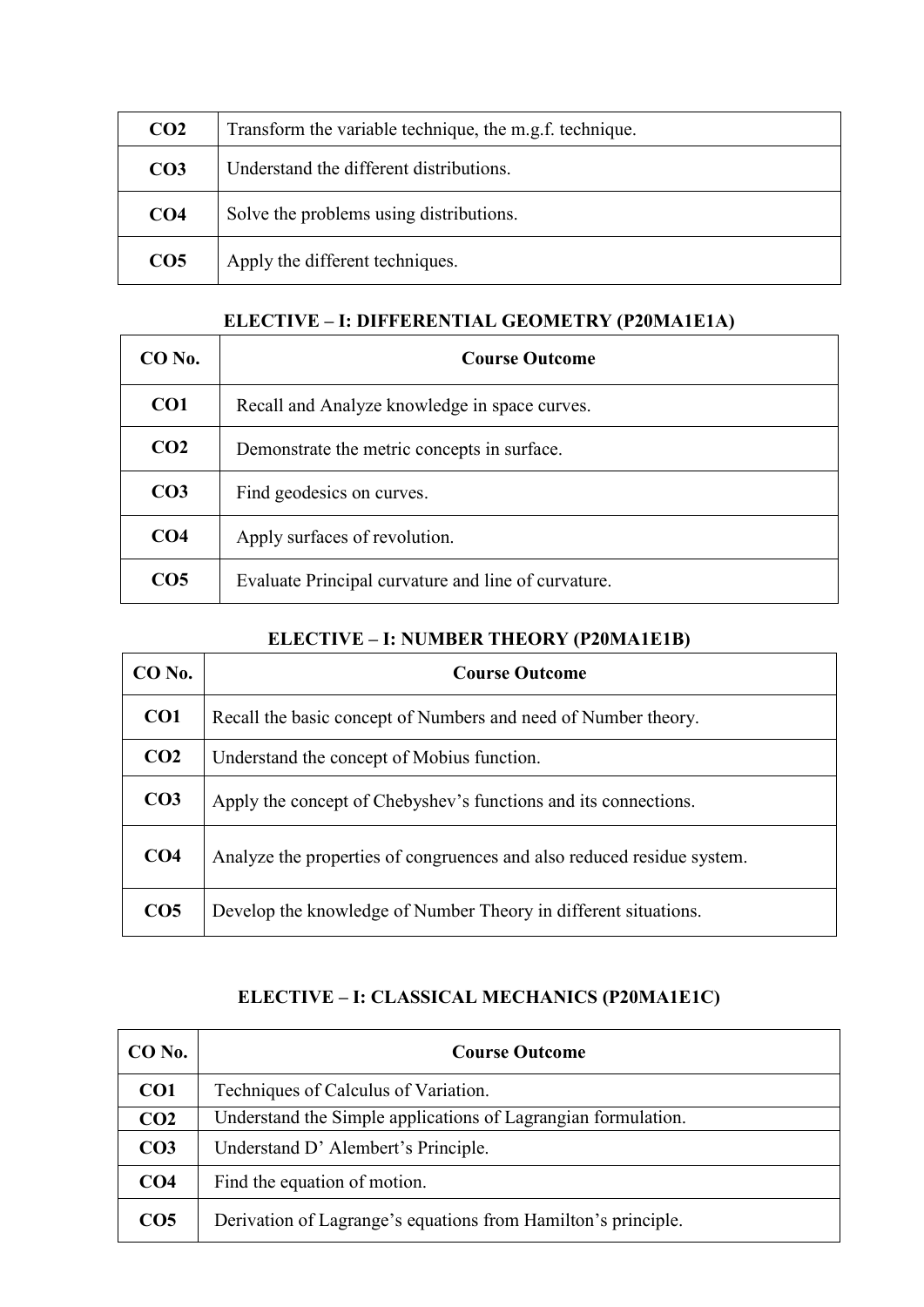| CO <sub>2</sub> | Transform the variable technique, the m.g.f. technique. |
|-----------------|---------------------------------------------------------|
| CO <sub>3</sub> | Understand the different distributions.                 |
| CO <sub>4</sub> | Solve the problems using distributions.                 |
| CO <sub>5</sub> | Apply the different techniques.                         |

### **ELECTIVE – I: DIFFERENTIAL GEOMETRY (P20MA1E1A)**

| $CO$ No.        | <b>Course Outcome</b>                               |
|-----------------|-----------------------------------------------------|
| CO <sub>1</sub> | Recall and Analyze knowledge in space curves.       |
| CO <sub>2</sub> | Demonstrate the metric concepts in surface.         |
| CO <sub>3</sub> | Find geodesics on curves.                           |
| CO <sub>4</sub> | Apply surfaces of revolution.                       |
| CO <sub>5</sub> | Evaluate Principal curvature and line of curvature. |

### **ELECTIVE – I: NUMBER THEORY (P20MA1E1B)**

| $CO$ No.        | <b>Course Outcome</b>                                                  |
|-----------------|------------------------------------------------------------------------|
| CO <sub>1</sub> | Recall the basic concept of Numbers and need of Number theory.         |
| CO <sub>2</sub> | Understand the concept of Mobius function.                             |
| CO <sub>3</sub> | Apply the concept of Chebyshev's functions and its connections.        |
| CO <sub>4</sub> | Analyze the properties of congruences and also reduced residue system. |
| CO <sub>5</sub> | Develop the knowledge of Number Theory in different situations.        |

### **ELECTIVE – I: CLASSICAL MECHANICS (P20MA1E1C)**

| $CO$ No.        | <b>Course Outcome</b>                                         |
|-----------------|---------------------------------------------------------------|
| CO <sub>1</sub> | Techniques of Calculus of Variation.                          |
| CO <sub>2</sub> | Understand the Simple applications of Lagrangian formulation. |
| CO <sub>3</sub> | Understand D'Alembert's Principle.                            |
| CO <sub>4</sub> | Find the equation of motion.                                  |
| CO <sub>5</sub> | Derivation of Lagrange's equations from Hamilton's principle. |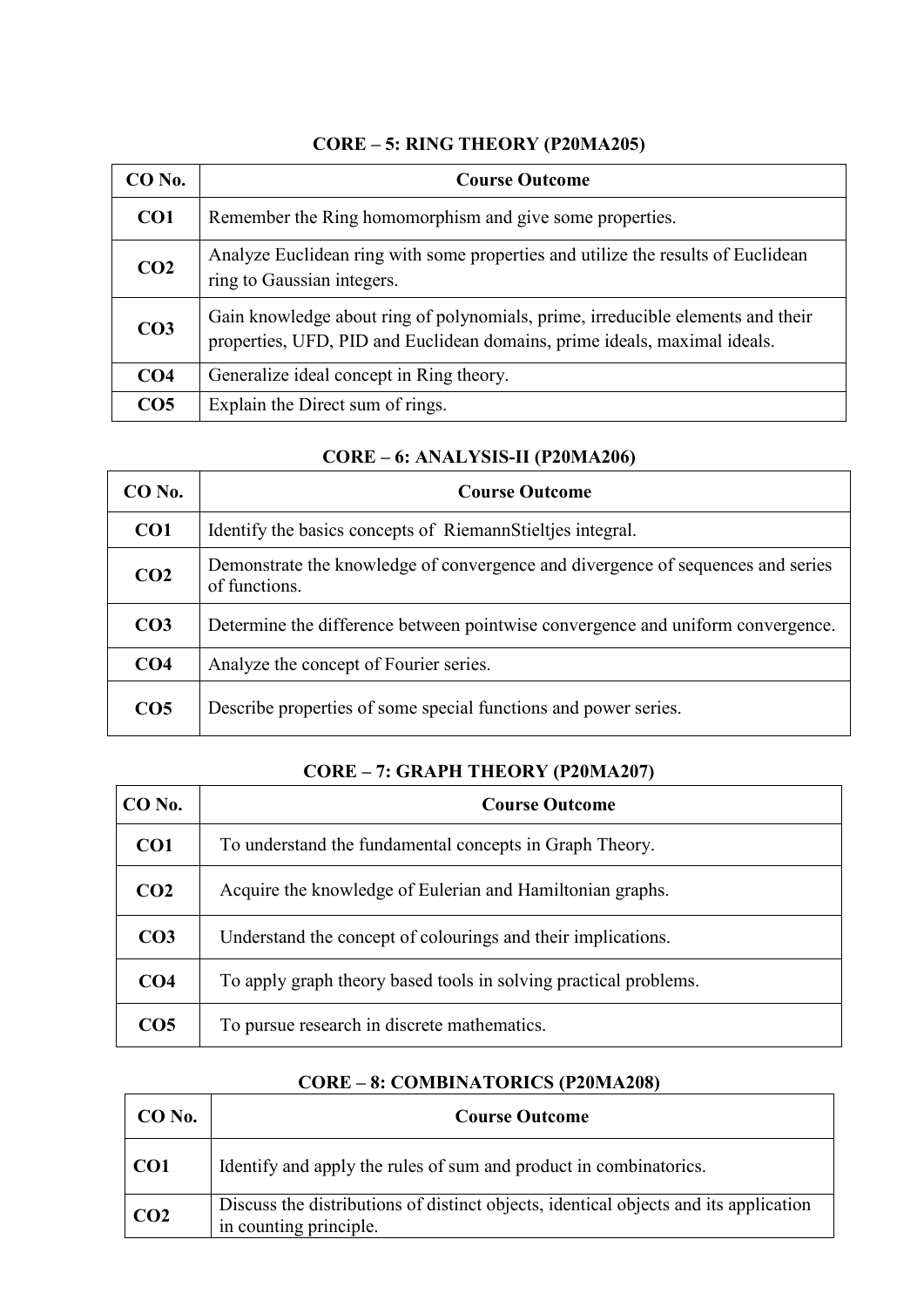| CO No.          | <b>Course Outcome</b>                                                                                                                                        |
|-----------------|--------------------------------------------------------------------------------------------------------------------------------------------------------------|
| CO <sub>1</sub> | Remember the Ring homomorphism and give some properties.                                                                                                     |
| CO <sub>2</sub> | Analyze Euclidean ring with some properties and utilize the results of Euclidean<br>ring to Gaussian integers.                                               |
| CO <sub>3</sub> | Gain knowledge about ring of polynomials, prime, irreducible elements and their<br>properties, UFD, PID and Euclidean domains, prime ideals, maximal ideals. |
| CO <sub>4</sub> | Generalize ideal concept in Ring theory.                                                                                                                     |
| CO <sub>5</sub> | Explain the Direct sum of rings.                                                                                                                             |

### **CORE – 5: RING THEORY (P20MA205)**

### **CORE – 6: ANALYSIS-II (P20MA206)**

| $CO$ No.        | <b>Course Outcome</b>                                                                            |
|-----------------|--------------------------------------------------------------------------------------------------|
| CO <sub>1</sub> | Identify the basics concepts of Riemann Stielties integral.                                      |
| CO <sub>2</sub> | Demonstrate the knowledge of convergence and divergence of sequences and series<br>of functions. |
| CO <sub>3</sub> | Determine the difference between pointwise convergence and uniform convergence.                  |
| CO <sub>4</sub> | Analyze the concept of Fourier series.                                                           |
| CO <sub>5</sub> | Describe properties of some special functions and power series.                                  |

### **CORE – 7: GRAPH THEORY (P20MA207)**

| CO No.          | <b>Course Outcome</b>                                            |
|-----------------|------------------------------------------------------------------|
| CO <sub>1</sub> | To understand the fundamental concepts in Graph Theory.          |
| CO <sub>2</sub> | Acquire the knowledge of Eulerian and Hamiltonian graphs.        |
| CO <sub>3</sub> | Understand the concept of colourings and their implications.     |
| CO <sub>4</sub> | To apply graph theory based tools in solving practical problems. |
| CO <sub>5</sub> | To pursue research in discrete mathematics.                      |

### **CORE – 8: COMBINATORICS (P20MA208)**

| $CO$ No.        | <b>Course Outcome</b>                                                                                          |
|-----------------|----------------------------------------------------------------------------------------------------------------|
| CO <sub>1</sub> | Identify and apply the rules of sum and product in combinatorics.                                              |
| CO <sub>2</sub> | Discuss the distributions of distinct objects, identical objects and its application<br>in counting principle. |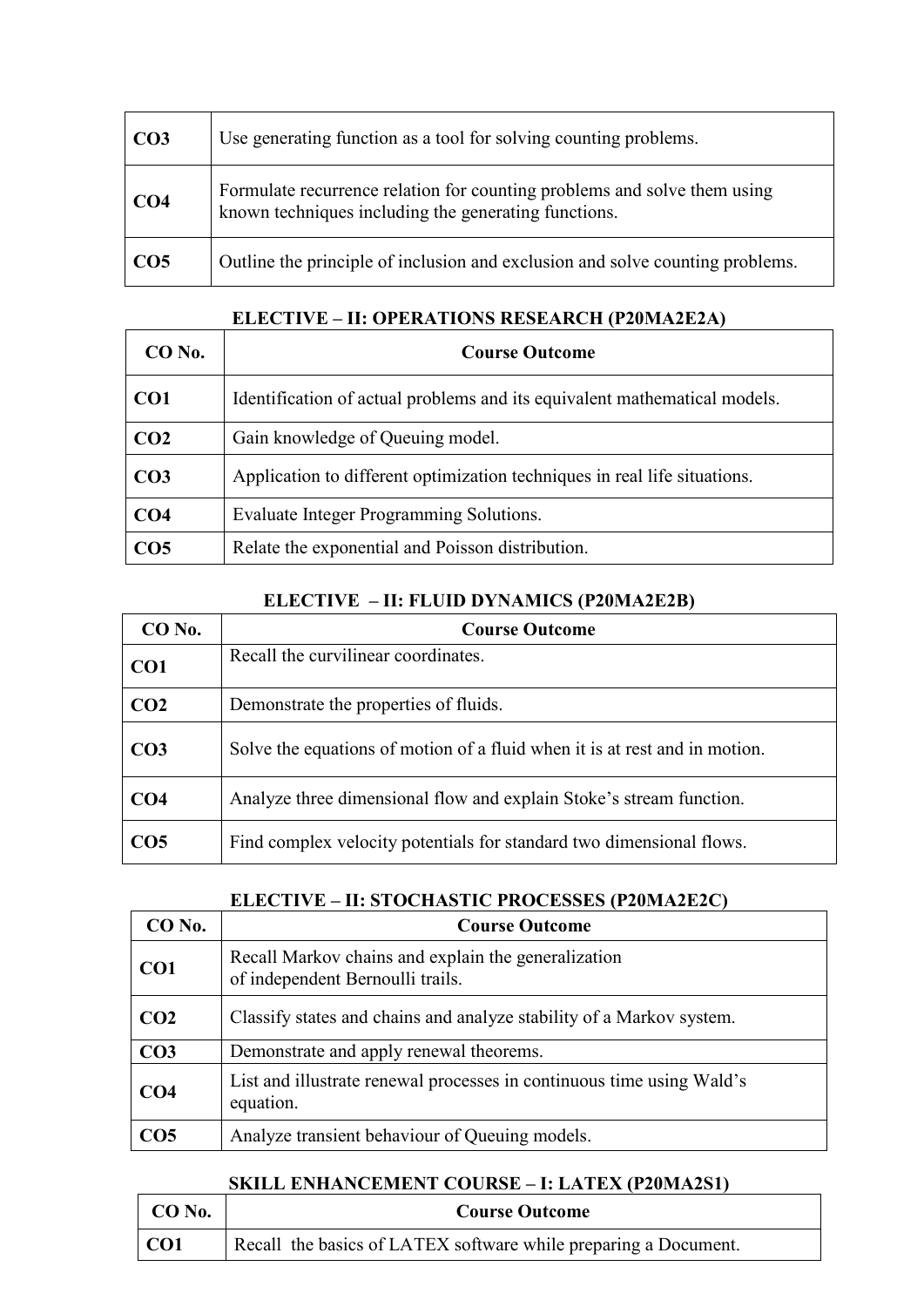| CO <sub>3</sub> | Use generating function as a tool for solving counting problems.                                                                 |
|-----------------|----------------------------------------------------------------------------------------------------------------------------------|
| CO <sub>4</sub> | Formulate recurrence relation for counting problems and solve them using<br>known techniques including the generating functions. |
| CO <sub>5</sub> | Outline the principle of inclusion and exclusion and solve counting problems.                                                    |

| $CO$ No.        | <b>Course Outcome</b>                                                     |
|-----------------|---------------------------------------------------------------------------|
| CO <sub>1</sub> | Identification of actual problems and its equivalent mathematical models. |
| CO <sub>2</sub> | Gain knowledge of Queuing model.                                          |
| CO <sub>3</sub> | Application to different optimization techniques in real life situations. |
| CO <sub>4</sub> | Evaluate Integer Programming Solutions.                                   |
| CO <sub>5</sub> | Relate the exponential and Poisson distribution.                          |

### **ELECTIVE – II: OPERATIONS RESEARCH (P20MA2E2A)**

### **ELECTIVE – II: FLUID DYNAMICS (P20MA2E2B)**

| $CO$ No.        | <b>Course Outcome</b>                                                      |
|-----------------|----------------------------------------------------------------------------|
| CO <sub>1</sub> | Recall the curvilinear coordinates.                                        |
| CO <sub>2</sub> | Demonstrate the properties of fluids.                                      |
| CO <sub>3</sub> | Solve the equations of motion of a fluid when it is at rest and in motion. |
| CO <sub>4</sub> | Analyze three dimensional flow and explain Stoke's stream function.        |
| CO <sub>5</sub> | Find complex velocity potentials for standard two dimensional flows.       |

#### **ELECTIVE – II: STOCHASTIC PROCESSES (P20MA2E2C)**

| CO No.          | <b>Course Outcome</b>                                                                   |
|-----------------|-----------------------------------------------------------------------------------------|
| CO <sub>1</sub> | Recall Markov chains and explain the generalization<br>of independent Bernoulli trails. |
| CO <sub>2</sub> | Classify states and chains and analyze stability of a Markov system.                    |
| CO <sub>3</sub> | Demonstrate and apply renewal theorems.                                                 |
| CO4             | List and illustrate renewal processes in continuous time using Wald's<br>equation.      |
| CO <sub>5</sub> | Analyze transient behaviour of Queuing models.                                          |

### **SKILL ENHANCEMENT COURSE – I: LATEX (P20MA2S1)**

| $CO$ No. | <b>Course Outcome</b>                                           |
|----------|-----------------------------------------------------------------|
| CO1      | Recall the basics of LATEX software while preparing a Document. |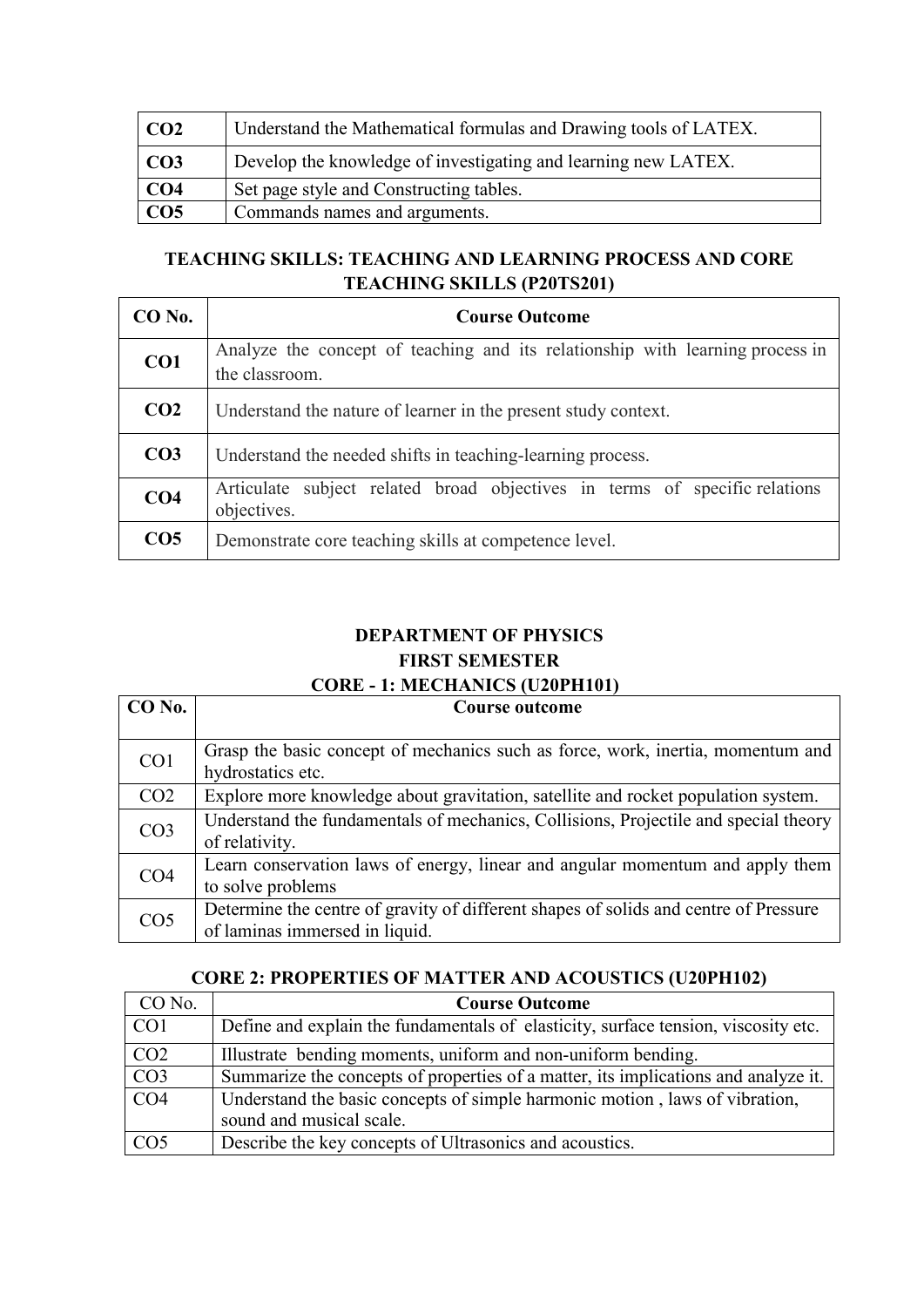| CO <sub>2</sub> | Understand the Mathematical formulas and Drawing tools of LATEX. |
|-----------------|------------------------------------------------------------------|
| CO <sub>3</sub> | Develop the knowledge of investigating and learning new LATEX.   |
| CO4             | Set page style and Constructing tables.                          |
| CO <sub>5</sub> | Commands names and arguments.                                    |

### **TEACHING SKILLS: TEACHING AND LEARNING PROCESS AND CORE TEACHING SKILLS (P20TS201)**

| CO No.          | <b>Course Outcome</b>                                                                           |
|-----------------|-------------------------------------------------------------------------------------------------|
| CO1             | Analyze the concept of teaching and its relationship with learning process in<br>the classroom. |
| CO <sub>2</sub> | Understand the nature of learner in the present study context.                                  |
| CO <sub>3</sub> | Understand the needed shifts in teaching-learning process.                                      |
| CO <sub>4</sub> | Articulate subject related broad objectives in terms of specific relations<br>objectives.       |
| CO <sub>5</sub> | Demonstrate core teaching skills at competence level.                                           |

### **DEPARTMENT OF PHYSICS FIRST SEMESTER CORE - 1: MECHANICS (U20PH101)**

| $CO$ No.        | <b>Course outcome</b>                                                                                                  |
|-----------------|------------------------------------------------------------------------------------------------------------------------|
|                 |                                                                                                                        |
| CO <sub>1</sub> | Grasp the basic concept of mechanics such as force, work, inertia, momentum and<br>hydrostatics etc.                   |
| CO <sub>2</sub> | Explore more knowledge about gravitation, satellite and rocket population system.                                      |
| CO <sub>3</sub> | Understand the fundamentals of mechanics, Collisions, Projectile and special theory<br>of relativity.                  |
| CO <sub>4</sub> | Learn conservation laws of energy, linear and angular momentum and apply them<br>to solve problems                     |
| CO <sub>5</sub> | Determine the centre of gravity of different shapes of solids and centre of Pressure<br>of laminas immersed in liquid. |

### **CORE 2: PROPERTIES OF MATTER AND ACOUSTICS (U20PH102)**

| CO No.          | <b>Course Outcome</b>                                                              |
|-----------------|------------------------------------------------------------------------------------|
| CO <sub>1</sub> | Define and explain the fundamentals of elasticity, surface tension, viscosity etc. |
| CO <sub>2</sub> | Illustrate bending moments, uniform and non-uniform bending.                       |
| CO <sub>3</sub> | Summarize the concepts of properties of a matter, its implications and analyze it. |
| CO <sub>4</sub> | Understand the basic concepts of simple harmonic motion, laws of vibration,        |
|                 | sound and musical scale.                                                           |
| CO <sub>5</sub> | Describe the key concepts of Ultrasonics and acoustics.                            |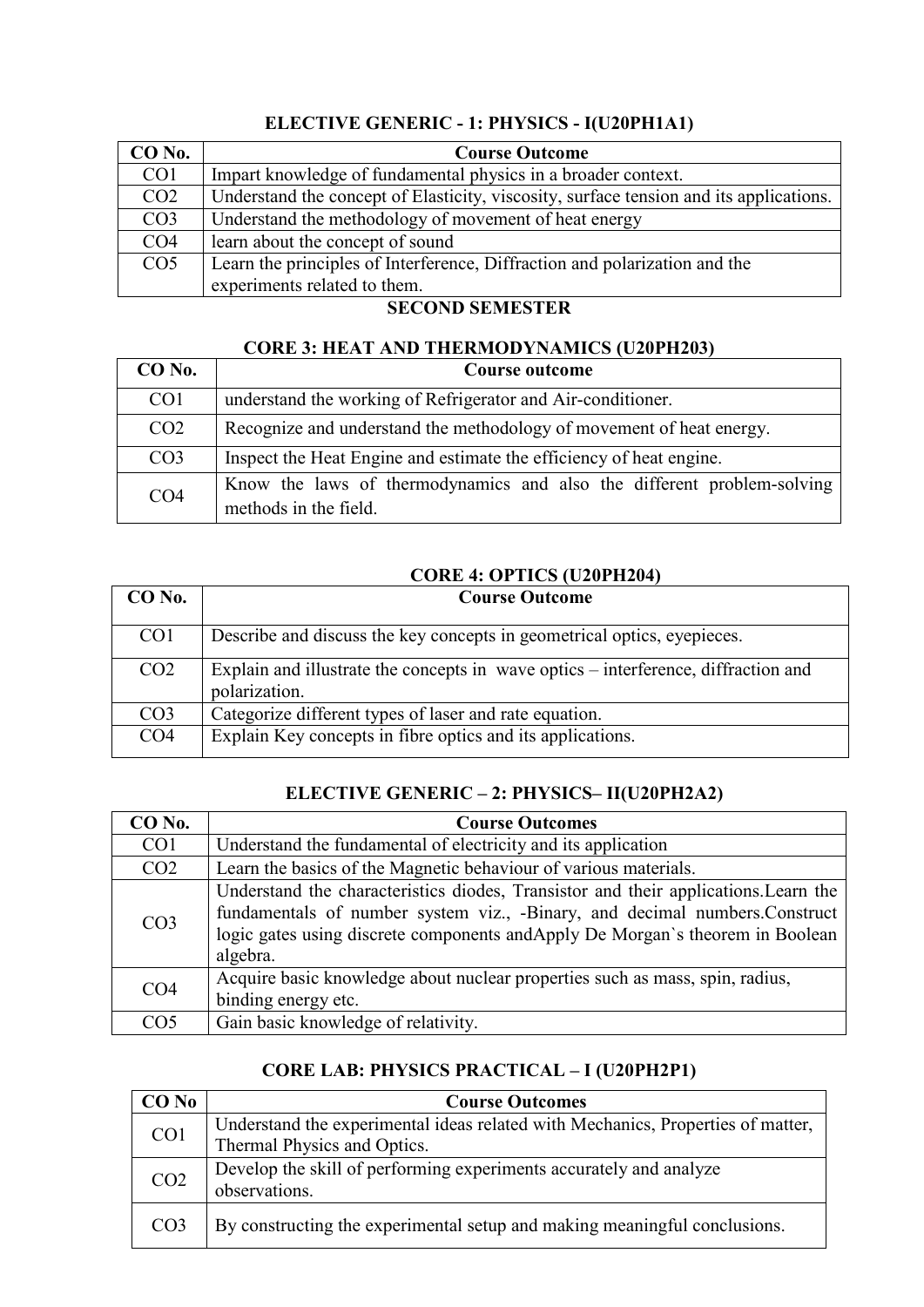### **ELECTIVE GENERIC - 1: PHYSICS - I(U20PH1A1)**

| CO No.          | <b>Course Outcome</b>                                                                  |
|-----------------|----------------------------------------------------------------------------------------|
| CO <sub>1</sub> | Impart knowledge of fundamental physics in a broader context.                          |
| CO <sub>2</sub> | Understand the concept of Elasticity, viscosity, surface tension and its applications. |
| CO <sub>3</sub> | Understand the methodology of movement of heat energy                                  |
| CO <sub>4</sub> | learn about the concept of sound                                                       |
| CO <sub>5</sub> | Learn the principles of Interference, Diffraction and polarization and the             |
|                 | experiments related to them.                                                           |

### **SECOND SEMESTER**

### **CORE 3: HEAT AND THERMODYNAMICS (U20PH203)**

| $CO$ No.        | Course outcome                                                                                  |
|-----------------|-------------------------------------------------------------------------------------------------|
| CO <sub>1</sub> | understand the working of Refrigerator and Air-conditioner.                                     |
| CO <sub>2</sub> | Recognize and understand the methodology of movement of heat energy.                            |
| CO <sub>3</sub> | Inspect the Heat Engine and estimate the efficiency of heat engine.                             |
| CO <sub>4</sub> | Know the laws of thermodynamics and also the different problem-solving<br>methods in the field. |

### **CORE 4: OPTICS (U20PH204)**

| $CO$ No.        | <b>Course Outcome</b>                                                                               |
|-----------------|-----------------------------------------------------------------------------------------------------|
| CO <sub>1</sub> | Describe and discuss the key concepts in geometrical optics, eyepieces.                             |
| CO <sub>2</sub> | Explain and illustrate the concepts in wave optics – interference, diffraction and<br>polarization. |
| CO <sub>3</sub> | Categorize different types of laser and rate equation.                                              |
| CO <sub>4</sub> | Explain Key concepts in fibre optics and its applications.                                          |

### **ELECTIVE GENERIC – 2: PHYSICS– II(U20PH2A2)**

| CO <sub>No.</sub> | <b>Course Outcomes</b>                                                                                                                                                                                                                                          |
|-------------------|-----------------------------------------------------------------------------------------------------------------------------------------------------------------------------------------------------------------------------------------------------------------|
| CO <sub>1</sub>   | Understand the fundamental of electricity and its application                                                                                                                                                                                                   |
| CO <sub>2</sub>   | Learn the basics of the Magnetic behaviour of various materials.                                                                                                                                                                                                |
| CO <sub>3</sub>   | Understand the characteristics diodes, Transistor and their applications. Learn the<br>fundamentals of number system viz., -Binary, and decimal numbers.Construct<br>logic gates using discrete components and Apply De Morgan's theorem in Boolean<br>algebra. |
| CO <sub>4</sub>   | Acquire basic knowledge about nuclear properties such as mass, spin, radius,<br>binding energy etc.                                                                                                                                                             |
| CO <sub>5</sub>   | Gain basic knowledge of relativity.                                                                                                                                                                                                                             |

### **CORE LAB: PHYSICS PRACTICAL – I (U20PH2P1)**

| <b>CO</b> No    | <b>Course Outcomes</b>                                                                                         |
|-----------------|----------------------------------------------------------------------------------------------------------------|
| CO <sub>1</sub> | Understand the experimental ideas related with Mechanics, Properties of matter,<br>Thermal Physics and Optics. |
| CO <sub>2</sub> | Develop the skill of performing experiments accurately and analyze<br>observations.                            |
| CO <sub>3</sub> | By constructing the experimental setup and making meaningful conclusions.                                      |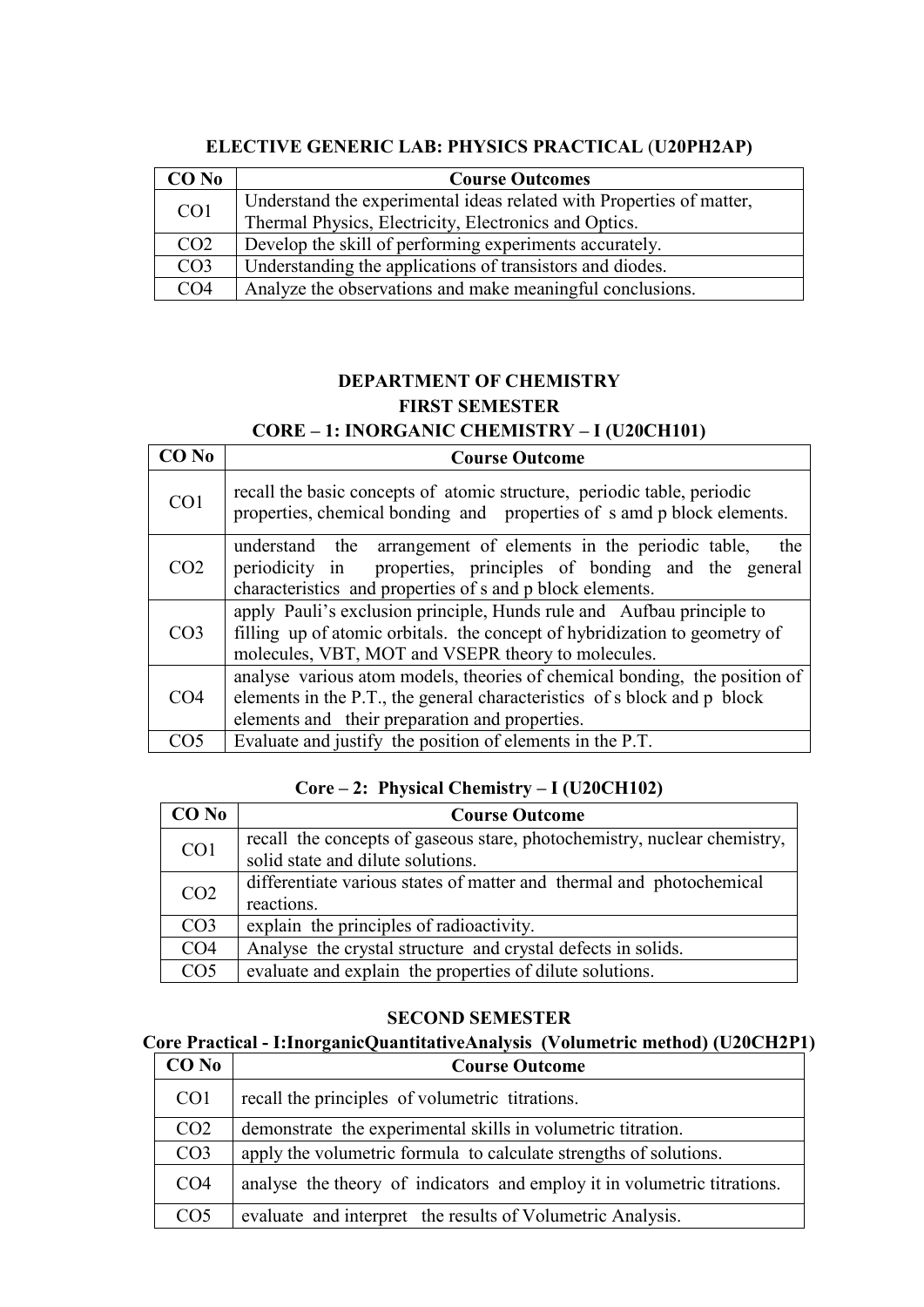| $CO$ No         | <b>Course Outcomes</b>                                               |
|-----------------|----------------------------------------------------------------------|
| CO <sub>1</sub> | Understand the experimental ideas related with Properties of matter, |
|                 | Thermal Physics, Electricity, Electronics and Optics.                |
| CO <sub>2</sub> | Develop the skill of performing experiments accurately.              |
| CO <sub>3</sub> | Understanding the applications of transistors and diodes.            |
| CO <sub>4</sub> | Analyze the observations and make meaningful conclusions.            |

### **ELECTIVE GENERIC LAB: PHYSICS PRACTICAL** (**U20PH2AP)**

### **DEPARTMENT OF CHEMISTRY FIRST SEMESTER CORE – 1: INORGANIC CHEMISTRY – I (U20CH101)**

| CO <sub>No</sub> | <b>Course Outcome</b>                                                                                                                                                                                     |
|------------------|-----------------------------------------------------------------------------------------------------------------------------------------------------------------------------------------------------------|
| CO <sub>1</sub>  | recall the basic concepts of atomic structure, periodic table, periodic<br>properties, chemical bonding and properties of s amd p block elements.                                                         |
| CO <sub>2</sub>  | understand the arrangement of elements in the periodic table,<br>the<br>properties, principles of bonding and the general<br>periodicity in<br>characteristics and properties of s and p block elements.  |
| CO <sub>3</sub>  | apply Pauli's exclusion principle, Hunds rule and Aufbau principle to<br>filling up of atomic orbitals. the concept of hybridization to geometry of<br>molecules, VBT, MOT and VSEPR theory to molecules. |
| CO <sub>4</sub>  | analyse various atom models, theories of chemical bonding, the position of<br>elements in the P.T., the general characteristics of s block and p block<br>elements and their preparation and properties.  |
| CO5              | Evaluate and justify the position of elements in the P.T.                                                                                                                                                 |

### **Core – 2: Physical Chemistry – I (U20CH102)**

| $CO$ No         | <b>Course Outcome</b>                                                    |
|-----------------|--------------------------------------------------------------------------|
| CO <sub>1</sub> | recall the concepts of gaseous stare, photochemistry, nuclear chemistry, |
|                 | solid state and dilute solutions.                                        |
| CO <sub>2</sub> | differentiate various states of matter and thermal and photochemical     |
|                 | reactions.                                                               |
| CO <sub>3</sub> | explain the principles of radioactivity.                                 |
| CO <sub>4</sub> | Analyse the crystal structure and crystal defects in solids.             |
| CO <sub>5</sub> | evaluate and explain the properties of dilute solutions.                 |

#### **SECOND SEMESTER**

#### **Core Practical - I:InorganicQuantitativeAnalysis (Volumetric method) (U20CH2P1)**

| $CO$ No         | <b>Course Outcome</b>                                                    |
|-----------------|--------------------------------------------------------------------------|
| CO <sub>1</sub> | recall the principles of volumetric titrations.                          |
| CO <sub>2</sub> | demonstrate the experimental skills in volumetric titration.             |
| CO <sub>3</sub> | apply the volumetric formula to calculate strengths of solutions.        |
| CO <sub>4</sub> | analyse the theory of indicators and employ it in volumetric titrations. |
| CO <sub>5</sub> | evaluate and interpret the results of Volumetric Analysis.               |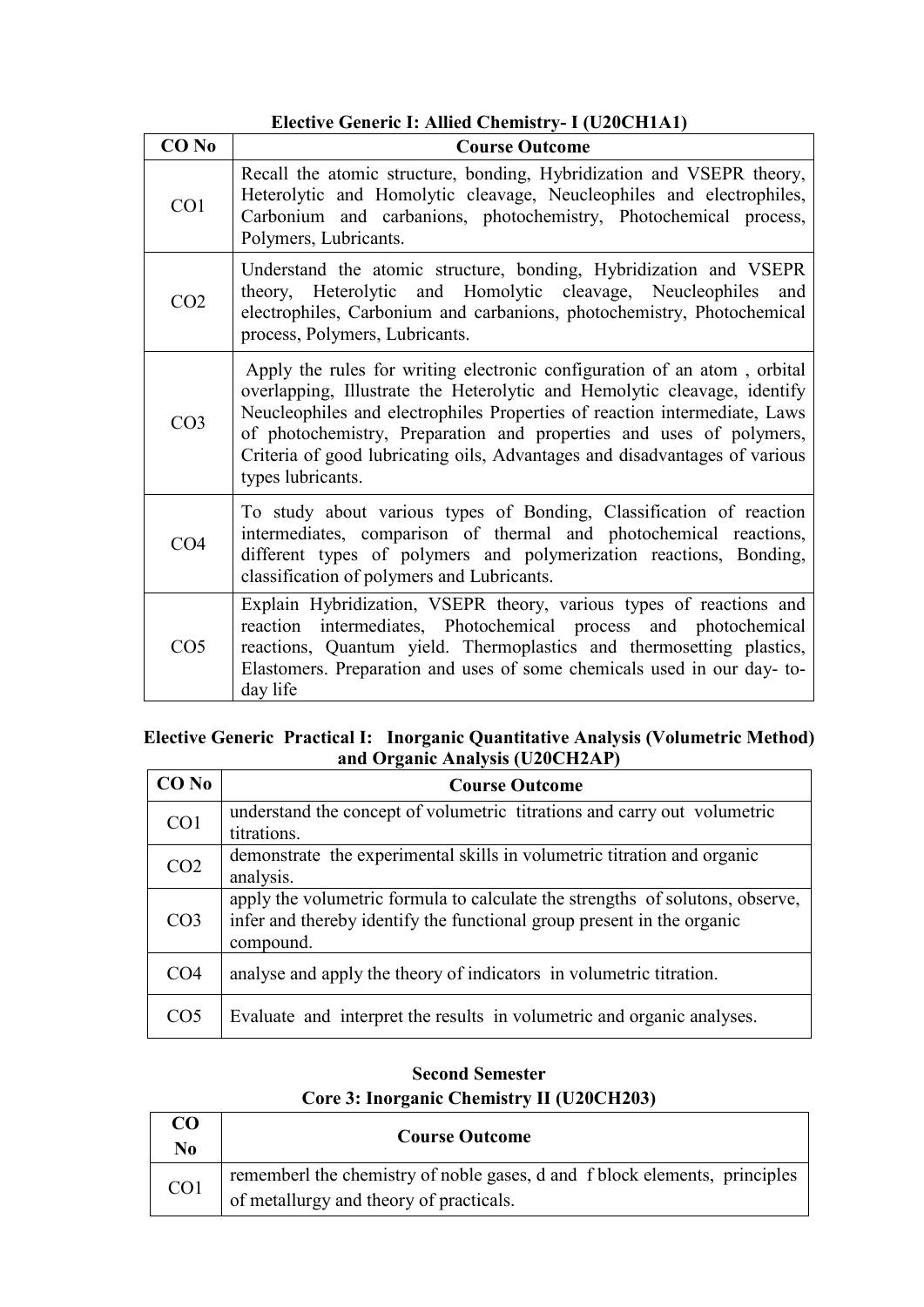### **Elective Generic I: Allied Chemistry- I (U20CH1A1)**

| CO <sub>No</sub> | <b>Course Outcome</b>                                                                                                                                                                                                                                                                                                                                                                                       |
|------------------|-------------------------------------------------------------------------------------------------------------------------------------------------------------------------------------------------------------------------------------------------------------------------------------------------------------------------------------------------------------------------------------------------------------|
| CO <sub>1</sub>  | Recall the atomic structure, bonding, Hybridization and VSEPR theory,<br>Heterolytic and Homolytic cleavage, Neucleophiles and electrophiles,<br>Carbonium and carbanions, photochemistry, Photochemical process,<br>Polymers, Lubricants.                                                                                                                                                                  |
| CO <sub>2</sub>  | Understand the atomic structure, bonding, Hybridization and VSEPR<br>theory, Heterolytic and Homolytic cleavage, Neucleophiles<br>and<br>electrophiles, Carbonium and carbanions, photochemistry, Photochemical<br>process, Polymers, Lubricants.                                                                                                                                                           |
| CO <sub>3</sub>  | Apply the rules for writing electronic configuration of an atom, orbital<br>overlapping, Illustrate the Heterolytic and Hemolytic cleavage, identify<br>Neucleophiles and electrophiles Properties of reaction intermediate, Laws<br>of photochemistry, Preparation and properties and uses of polymers,<br>Criteria of good lubricating oils, Advantages and disadvantages of various<br>types lubricants. |
| CO <sub>4</sub>  | To study about various types of Bonding, Classification of reaction<br>intermediates, comparison of thermal and photochemical reactions,<br>different types of polymers and polymerization reactions, Bonding,<br>classification of polymers and Lubricants.                                                                                                                                                |
| CO <sub>5</sub>  | Explain Hybridization, VSEPR theory, various types of reactions and<br>reaction intermediates, Photochemical process and photochemical<br>reactions, Quantum yield. Thermoplastics and thermosetting plastics,<br>Elastomers. Preparation and uses of some chemicals used in our day-to-<br>day life                                                                                                        |

#### **Elective Generic Practical I: Inorganic Quantitative Analysis (Volumetric Method) and Organic Analysis (U20CH2AP)**

| <b>CO</b> No    | <b>Course Outcome</b>                                                         |
|-----------------|-------------------------------------------------------------------------------|
| CO <sub>1</sub> | understand the concept of volumetric titrations and carry out volumetric      |
|                 | titrations.                                                                   |
| CO <sub>2</sub> | demonstrate the experimental skills in volumetric titration and organic       |
|                 | analysis.                                                                     |
| CO <sub>3</sub> | apply the volumetric formula to calculate the strengths of solutons, observe, |
|                 | infer and thereby identify the functional group present in the organic        |
|                 | compound.                                                                     |
| CO <sub>4</sub> | analyse and apply the theory of indicators in volumetric titration.           |
|                 |                                                                               |
| CO <sub>5</sub> | Evaluate and interpret the results in volumetric and organic analyses.        |
|                 |                                                                               |

### **Second Semester Core 3: Inorganic Chemistry II (U20CH203)**

| CO<br>No.       | <b>Course Outcome</b>                                                                                                 |
|-----------------|-----------------------------------------------------------------------------------------------------------------------|
| CO <sub>1</sub> | rememberl the chemistry of noble gases, d and f block elements, principles<br>of metallurgy and theory of practicals. |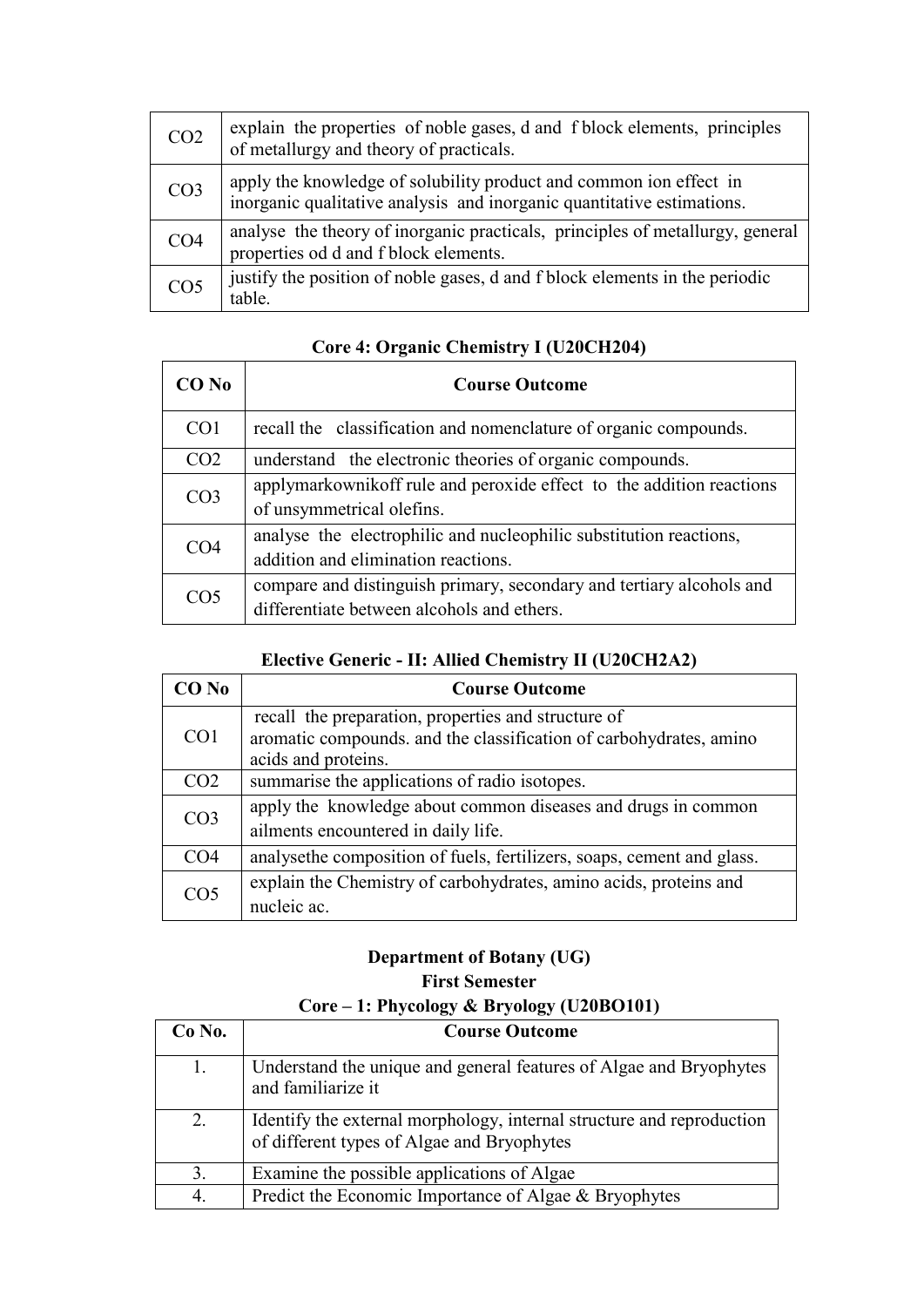| CO <sub>2</sub> | explain the properties of noble gases, d and f block elements, principles<br>of metallurgy and theory of practicals.                         |
|-----------------|----------------------------------------------------------------------------------------------------------------------------------------------|
| CO <sub>3</sub> | apply the knowledge of solubility product and common ion effect in<br>inorganic qualitative analysis and inorganic quantitative estimations. |
| CO <sub>4</sub> | analyse the theory of inorganic practicals, principles of metallurgy, general<br>properties od d and f block elements.                       |
| CO <sub>5</sub> | justify the position of noble gases, d and f block elements in the periodic<br>table.                                                        |

### **Core 4: Organic Chemistry I (U20CH204)**

| CO No           | <b>Course Outcome</b>                                                                                              |
|-----------------|--------------------------------------------------------------------------------------------------------------------|
| CO <sub>1</sub> | recall the classification and nomenclature of organic compounds.                                                   |
| CO <sub>2</sub> | understand the electronic theories of organic compounds.                                                           |
| CO <sub>3</sub> | applymarkownikoff rule and peroxide effect to the addition reactions<br>of unsymmetrical olefins.                  |
| CO <sub>4</sub> | analyse the electrophilic and nucleophilic substitution reactions,<br>addition and elimination reactions.          |
| CO <sub>5</sub> | compare and distinguish primary, secondary and tertiary alcohols and<br>differentiate between alcohols and ethers. |

### **Elective Generic - II: Allied Chemistry II (U20CH2A2)**

| CO No           | <b>Course Outcome</b>                                                                                                                            |
|-----------------|--------------------------------------------------------------------------------------------------------------------------------------------------|
| CO <sub>1</sub> | recall the preparation, properties and structure of<br>aromatic compounds. and the classification of carbohydrates, amino<br>acids and proteins. |
| CO <sub>2</sub> | summarise the applications of radio isotopes.                                                                                                    |
| CO <sub>3</sub> | apply the knowledge about common diseases and drugs in common<br>ailments encountered in daily life.                                             |
| CO <sub>4</sub> | analysethe composition of fuels, fertilizers, soaps, cement and glass.                                                                           |
| CO <sub>5</sub> | explain the Chemistry of carbohydrates, amino acids, proteins and<br>nucleic ac.                                                                 |

### **Department of Botany (UG)**

### **First Semester Core – 1: Phycology & Bryology (U20BO101)**

| $Co$ No. | <b>Course Outcome</b>                                                                                               |
|----------|---------------------------------------------------------------------------------------------------------------------|
| 1.       | Understand the unique and general features of Algae and Bryophytes<br>and familiarize it                            |
| 2.       | Identify the external morphology, internal structure and reproduction<br>of different types of Algae and Bryophytes |
| 3.       | Examine the possible applications of Algae                                                                          |
| 4.       | Predict the Economic Importance of Algae & Bryophytes                                                               |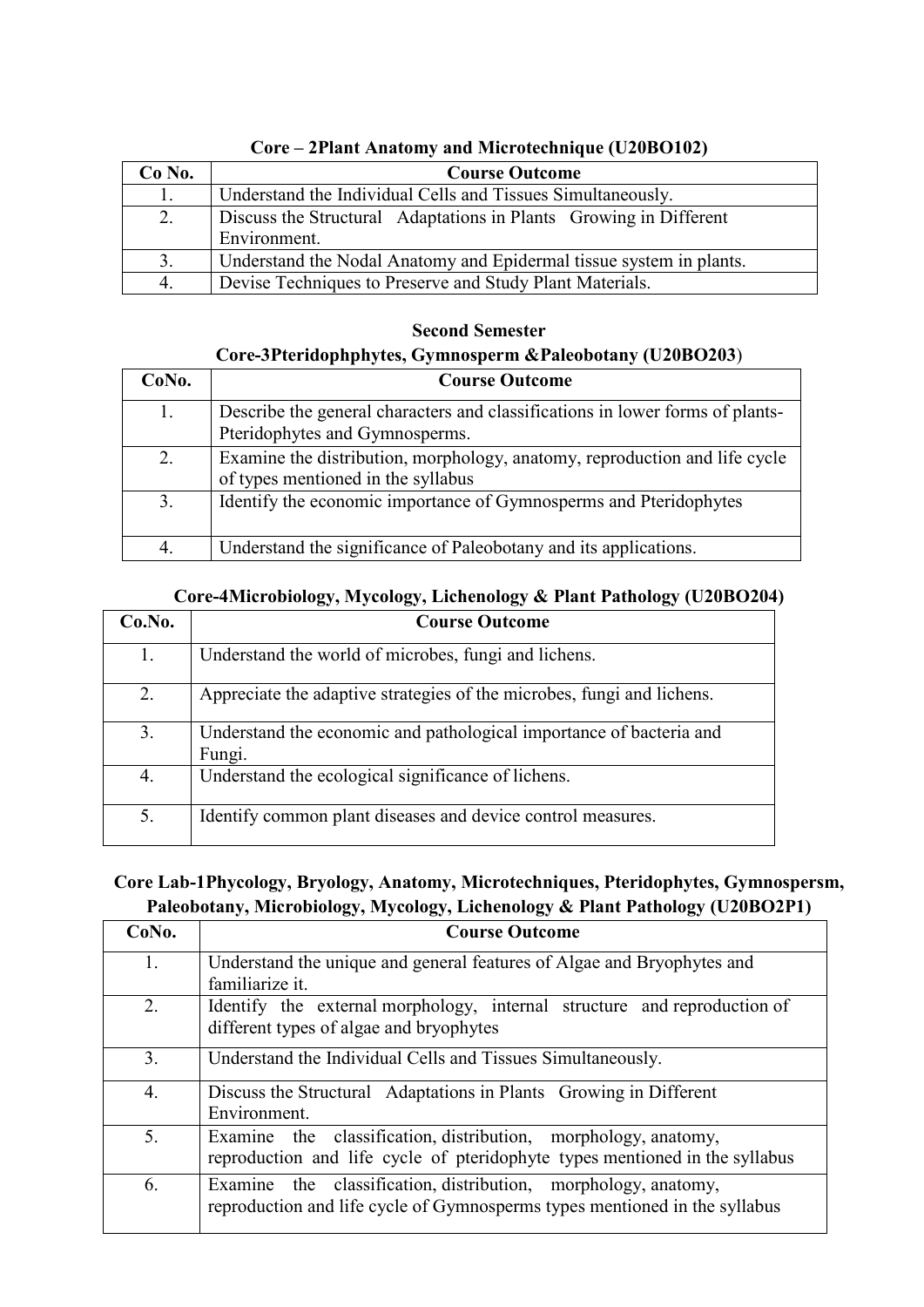| $Co$ No. | <b>Course Outcome</b>                                               |
|----------|---------------------------------------------------------------------|
| 1.       | Understand the Individual Cells and Tissues Simultaneously.         |
| 2.       | Discuss the Structural Adaptations in Plants Growing in Different   |
|          | Environment.                                                        |
| 3.       | Understand the Nodal Anatomy and Epidermal tissue system in plants. |
| 4.       | Devise Techniques to Preserve and Study Plant Materials.            |

#### **Core – 2Plant Anatomy and Microtechnique (U20BO102)**

### **Second Semester Core-3Pteridophphytes, Gymnosperm &Paleobotany (U20BO203**)

| CoNo. | <b>Course Outcome</b>                                                                                            |
|-------|------------------------------------------------------------------------------------------------------------------|
| 1.    | Describe the general characters and classifications in lower forms of plants-<br>Pteridophytes and Gymnosperms.  |
| 2.    | Examine the distribution, morphology, anatomy, reproduction and life cycle<br>of types mentioned in the syllabus |
| 3.    | Identify the economic importance of Gymnosperms and Pteridophytes                                                |
| 4.    | Understand the significance of Paleobotany and its applications.                                                 |

### **Core-4Microbiology, Mycology, Lichenology & Plant Pathology (U20BO204)**

| Co.No. | <b>Course Outcome</b>                                                         |
|--------|-------------------------------------------------------------------------------|
| 1.     | Understand the world of microbes, fungi and lichens.                          |
| 2.     | Appreciate the adaptive strategies of the microbes, fungi and lichens.        |
| 3.     | Understand the economic and pathological importance of bacteria and<br>Fungi. |
| 4.     | Understand the ecological significance of lichens.                            |
| 5.     | Identify common plant diseases and device control measures.                   |

### **Core Lab-1Phycology, Bryology, Anatomy, Microtechniques, Pteridophytes, Gymnospersm, Paleobotany, Microbiology, Mycology, Lichenology & Plant Pathology (U20BO2P1)**

| CoNo. | <b>Course Outcome</b>                                                                                                                         |
|-------|-----------------------------------------------------------------------------------------------------------------------------------------------|
| 1.    | Understand the unique and general features of Algae and Bryophytes and<br>familiarize it.                                                     |
| 2.    | Identify the external morphology, internal structure and reproduction of<br>different types of algae and bryophytes                           |
| 3.    | Understand the Individual Cells and Tissues Simultaneously.                                                                                   |
| 4.    | Discuss the Structural Adaptations in Plants Growing in Different<br>Environment.                                                             |
| 5.    | Examine the classification, distribution, morphology, anatomy,<br>reproduction and life cycle of pteridophyte types mentioned in the syllabus |
| 6.    | Examine the classification, distribution, morphology, anatomy,<br>reproduction and life cycle of Gymnosperms types mentioned in the syllabus  |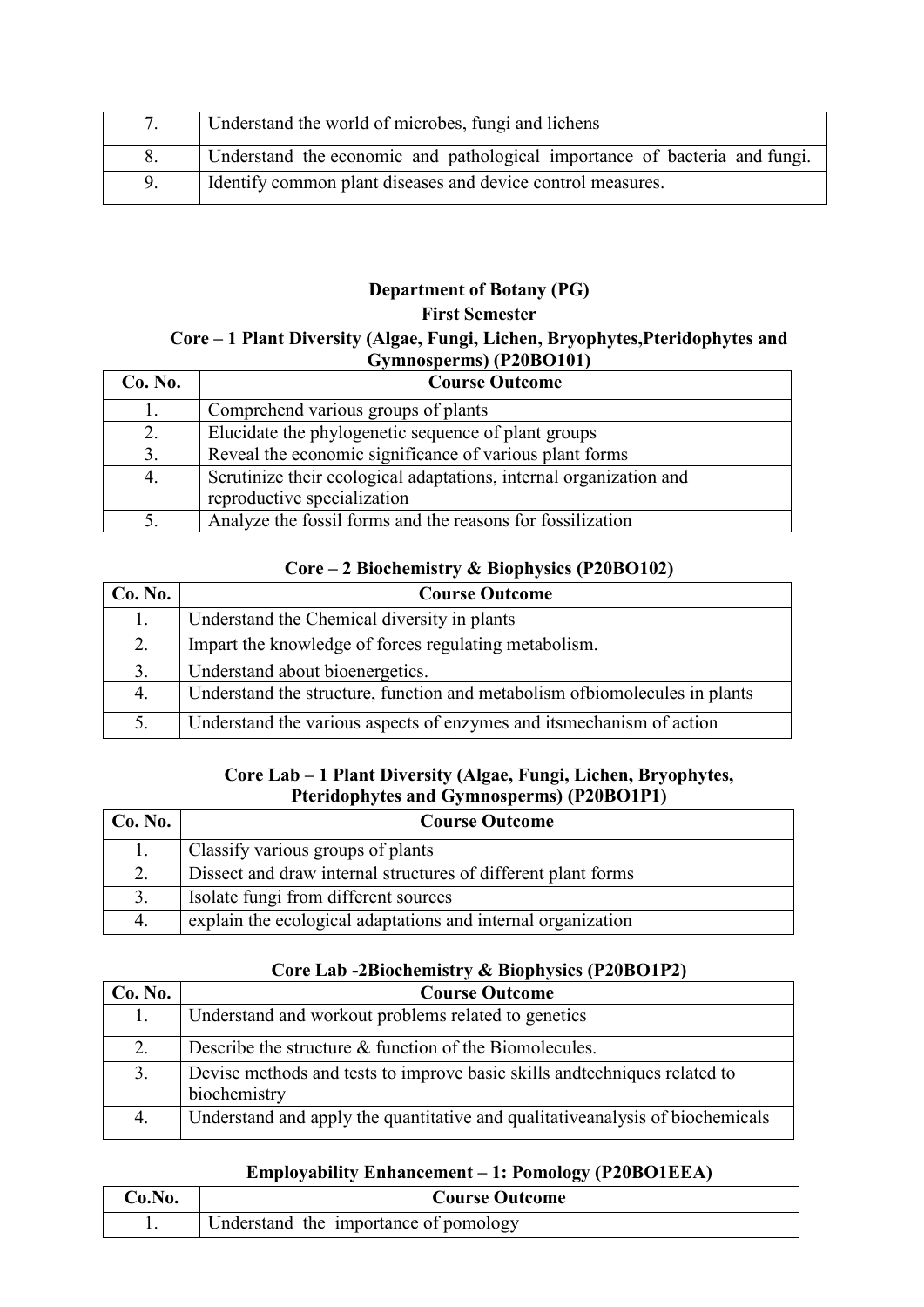|  | Understand the world of microbes, fungi and lichens                        |
|--|----------------------------------------------------------------------------|
|  | Understand the economic and pathological importance of bacteria and fungi. |
|  | Identify common plant diseases and device control measures.                |

### **Department of Botany (PG)**

#### **First Semester**

#### **Core – 1 Plant Diversity (Algae, Fungi, Lichen, Bryophytes,Pteridophytes and Gymnosperms) (P20BO101)**

| Co. No. | <b>Course Outcome</b>                                                                             |
|---------|---------------------------------------------------------------------------------------------------|
| 1.      | Comprehend various groups of plants                                                               |
| 2.      | Elucidate the phylogenetic sequence of plant groups                                               |
| 3.      | Reveal the economic significance of various plant forms                                           |
| 4.      | Scrutinize their ecological adaptations, internal organization and<br>reproductive specialization |
| 5.      | Analyze the fossil forms and the reasons for fossilization                                        |

#### **Core – 2 Biochemistry & Biophysics (P20BO102)**

| Co. No. | <b>Course Outcome</b>                                                       |
|---------|-----------------------------------------------------------------------------|
| 1.      | Understand the Chemical diversity in plants                                 |
| 2.      | Impart the knowledge of forces regulating metabolism.                       |
| 3.      | Understand about bioenergetics.                                             |
| 4.      | Understand the structure, function and metabolism of biomolecules in plants |
|         | Understand the various aspects of enzymes and its mechanism of action       |

#### **Core Lab – 1 Plant Diversity (Algae, Fungi, Lichen, Bryophytes, Pteridophytes and Gymnosperms) (P20BO1P1)**

| Co. No. | <b>Course Outcome</b>                                         |
|---------|---------------------------------------------------------------|
|         | Classify various groups of plants                             |
|         | Dissect and draw internal structures of different plant forms |
| 3.      | Isolate fungi from different sources                          |
| 4.      | explain the ecological adaptations and internal organization  |

### **Core Lab -2Biochemistry & Biophysics (P20BO1P2)**

| Co. No. | <b>Course Outcome</b>                                                                      |
|---------|--------------------------------------------------------------------------------------------|
| 1.      | Understand and workout problems related to genetics                                        |
| 2.      | Describe the structure & function of the Biomolecules.                                     |
| 3.      | Devise methods and tests to improve basic skills and techniques related to<br>biochemistry |
| 4.      | Understand and apply the quantitative and qualitative analysis of biochemicals             |

#### **Employability Enhancement – 1: Pomology (P20BO1EEA)**

| Co.No. | <b>Course Outcome</b>                 |
|--------|---------------------------------------|
|        | Understand the importance of pomology |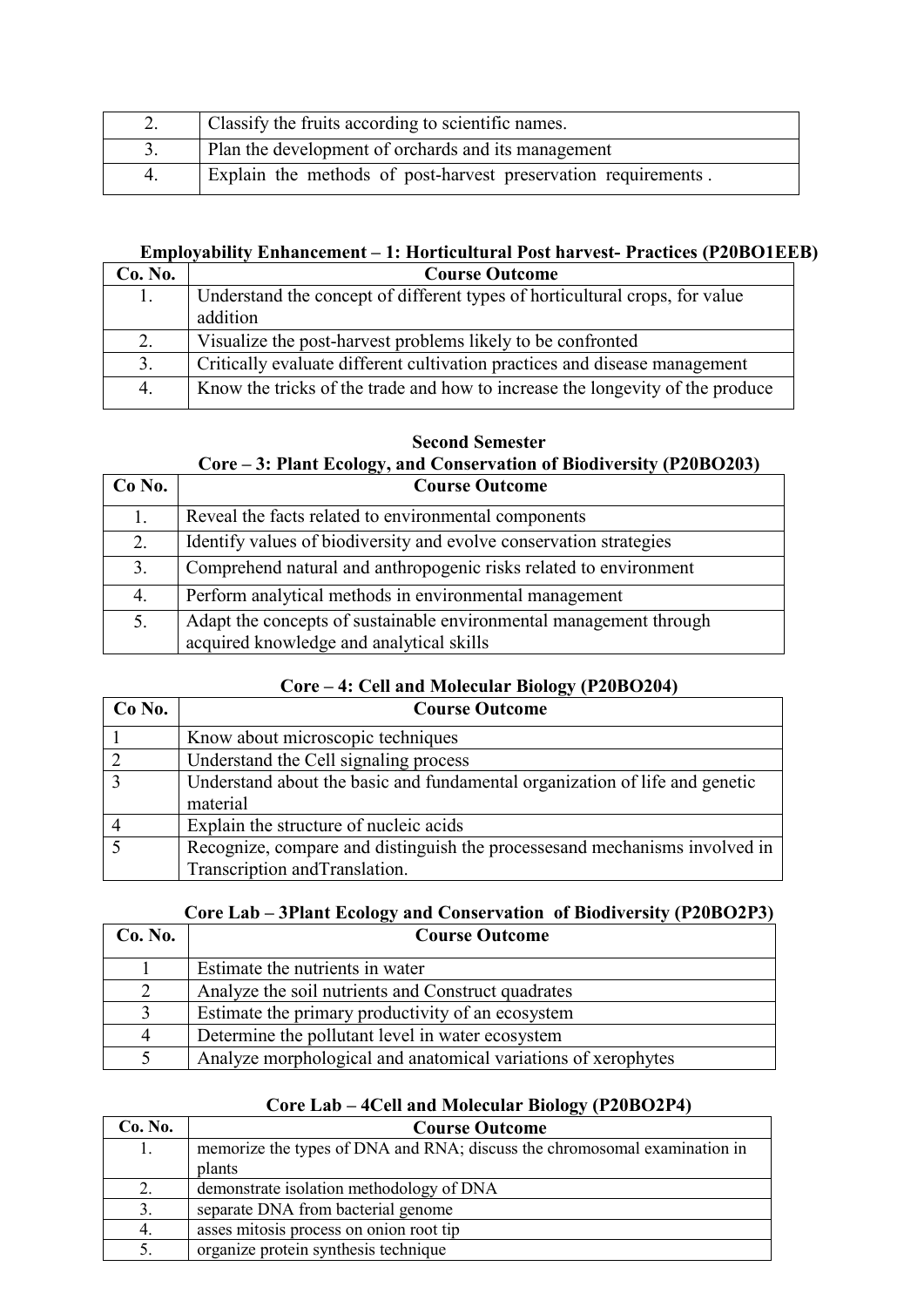| 2. | Classify the fruits according to scientific names.             |
|----|----------------------------------------------------------------|
|    | Plan the development of orchards and its management            |
|    | Explain the methods of post-harvest preservation requirements. |

### **Employability Enhancement – 1: Horticultural Post harvest- Practices (P20BO1EEB)**

| Co. No. | <b>Course Outcome</b>                                                         |
|---------|-------------------------------------------------------------------------------|
| 1.      | Understand the concept of different types of horticultural crops, for value   |
|         | addition                                                                      |
| 2.      | Visualize the post-harvest problems likely to be confronted                   |
| 3.      | Critically evaluate different cultivation practices and disease management    |
| 4.      | Know the tricks of the trade and how to increase the longevity of the produce |

#### **Second Semester**

### **Core – 3: Plant Ecology, and Conservation of Biodiversity (P20BO203)**

| $Co$ No. | <b>Course Outcome</b>                                              |
|----------|--------------------------------------------------------------------|
|          | Reveal the facts related to environmental components               |
| 2.       | Identify values of biodiversity and evolve conservation strategies |
| 3.       | Comprehend natural and anthropogenic risks related to environment  |
| 4.       | Perform analytical methods in environmental management             |
| 5.       | Adapt the concepts of sustainable environmental management through |
|          | acquired knowledge and analytical skills                           |

#### **Core – 4: Cell and Molecular Biology (P20BO204)**

| Co No.         | <b>Course Outcome</b>                                                       |
|----------------|-----------------------------------------------------------------------------|
|                | Know about microscopic techniques                                           |
| $\overline{2}$ | Understand the Cell signaling process                                       |
| 3              | Understand about the basic and fundamental organization of life and genetic |
|                | material                                                                    |
|                | Explain the structure of nucleic acids                                      |
|                | Recognize, compare and distinguish the processes and mechanisms involved in |
|                | Transcription and Translation.                                              |

# **Core Lab – 3Plant Ecology and Conservation of Biodiversity (P20BO2P3)**

| Co. No. | <b>Course Outcome</b>                                         |
|---------|---------------------------------------------------------------|
|         | Estimate the nutrients in water                               |
| 2       | Analyze the soil nutrients and Construct quadrates            |
| 3       | Estimate the primary productivity of an ecosystem             |
| 4       | Determine the pollutant level in water ecosystem              |
|         | Analyze morphological and anatomical variations of xerophytes |

### **Core Lab – 4Cell and Molecular Biology (P20BO2P4)**

| Co. No. | <b>Course Outcome</b>                                                     |
|---------|---------------------------------------------------------------------------|
| 1.      | memorize the types of DNA and RNA; discuss the chromosomal examination in |
|         | plants                                                                    |
| 2.      | demonstrate isolation methodology of DNA                                  |
| 3.      | separate DNA from bacterial genome                                        |
| 4.      | asses mitosis process on onion root tip                                   |
| 5.      | organize protein synthesis technique                                      |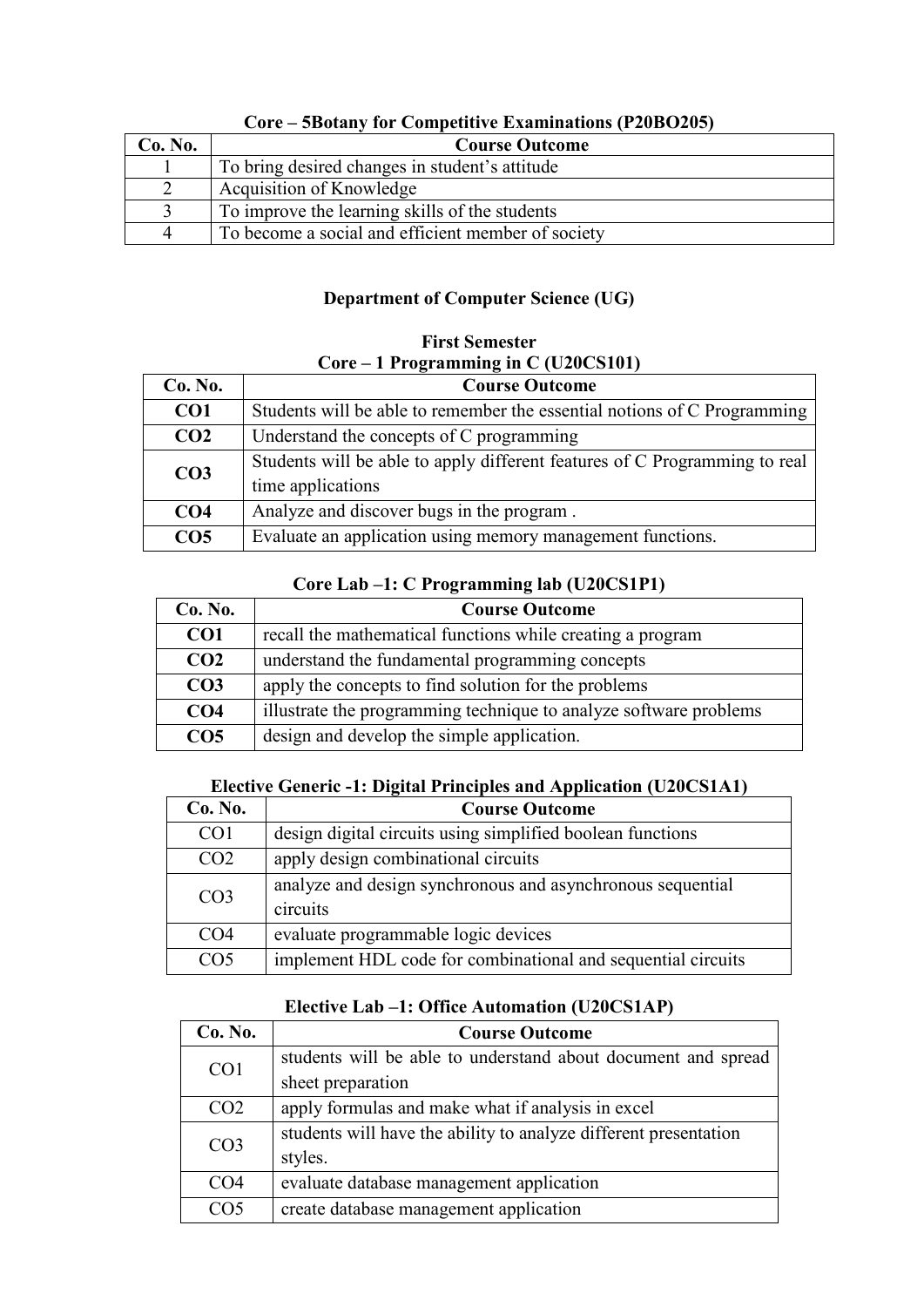| Co. No. | <b>Course Outcome</b>                              |
|---------|----------------------------------------------------|
|         | To bring desired changes in student's attitude     |
|         | Acquisition of Knowledge                           |
|         | To improve the learning skills of the students     |
| 4       | To become a social and efficient member of society |

#### **Core – 5Botany for Competitive Examinations (P20BO205)**

### **Department of Computer Science (UG)**

### **First Semester Core – 1 Programming in C (U20CS101)**

| Co. No.         | <b>Course Outcome</b>                                                      |  |
|-----------------|----------------------------------------------------------------------------|--|
| CO <sub>1</sub> | Students will be able to remember the essential notions of C Programming   |  |
| CO <sub>2</sub> | Understand the concepts of C programming                                   |  |
| CO <sub>3</sub> | Students will be able to apply different features of C Programming to real |  |
|                 | time applications                                                          |  |
| CO <sub>4</sub> | Analyze and discover bugs in the program.                                  |  |
| CO <sub>5</sub> | Evaluate an application using memory management functions.                 |  |

#### **Core Lab –1: C Programming lab (U20CS1P1)**

| Co. No.         | <b>Course Outcome</b>                                             |
|-----------------|-------------------------------------------------------------------|
| CO <sub>1</sub> | recall the mathematical functions while creating a program        |
| CO <sub>2</sub> | understand the fundamental programming concepts                   |
| CO <sub>3</sub> | apply the concepts to find solution for the problems              |
| CO <sub>4</sub> | illustrate the programming technique to analyze software problems |
| CO <sub>5</sub> | design and develop the simple application.                        |

### **Elective Generic -1: Digital Principles and Application (U20CS1A1)**

| Co. No.                                                | <b>Course Outcome</b>                                        |  |
|--------------------------------------------------------|--------------------------------------------------------------|--|
| CO <sub>1</sub>                                        | design digital circuits using simplified boolean functions   |  |
| CO <sub>2</sub><br>apply design combinational circuits |                                                              |  |
| CO <sub>3</sub>                                        | analyze and design synchronous and asynchronous sequential   |  |
|                                                        | circuits                                                     |  |
| CO <sub>4</sub>                                        | evaluate programmable logic devices                          |  |
| CO <sub>5</sub>                                        | implement HDL code for combinational and sequential circuits |  |

### **Elective Lab –1: Office Automation (U20CS1AP)**

| Co. No.                                                   | <b>Course Outcome</b>                                            |  |
|-----------------------------------------------------------|------------------------------------------------------------------|--|
| CO <sub>1</sub>                                           | students will be able to understand about document and spread    |  |
|                                                           | sheet preparation                                                |  |
| CO <sub>2</sub>                                           | apply formulas and make what if analysis in excel                |  |
| CO <sub>3</sub>                                           | students will have the ability to analyze different presentation |  |
|                                                           | styles.                                                          |  |
| CO <sub>4</sub>                                           | evaluate database management application                         |  |
| create database management application<br>CO <sub>5</sub> |                                                                  |  |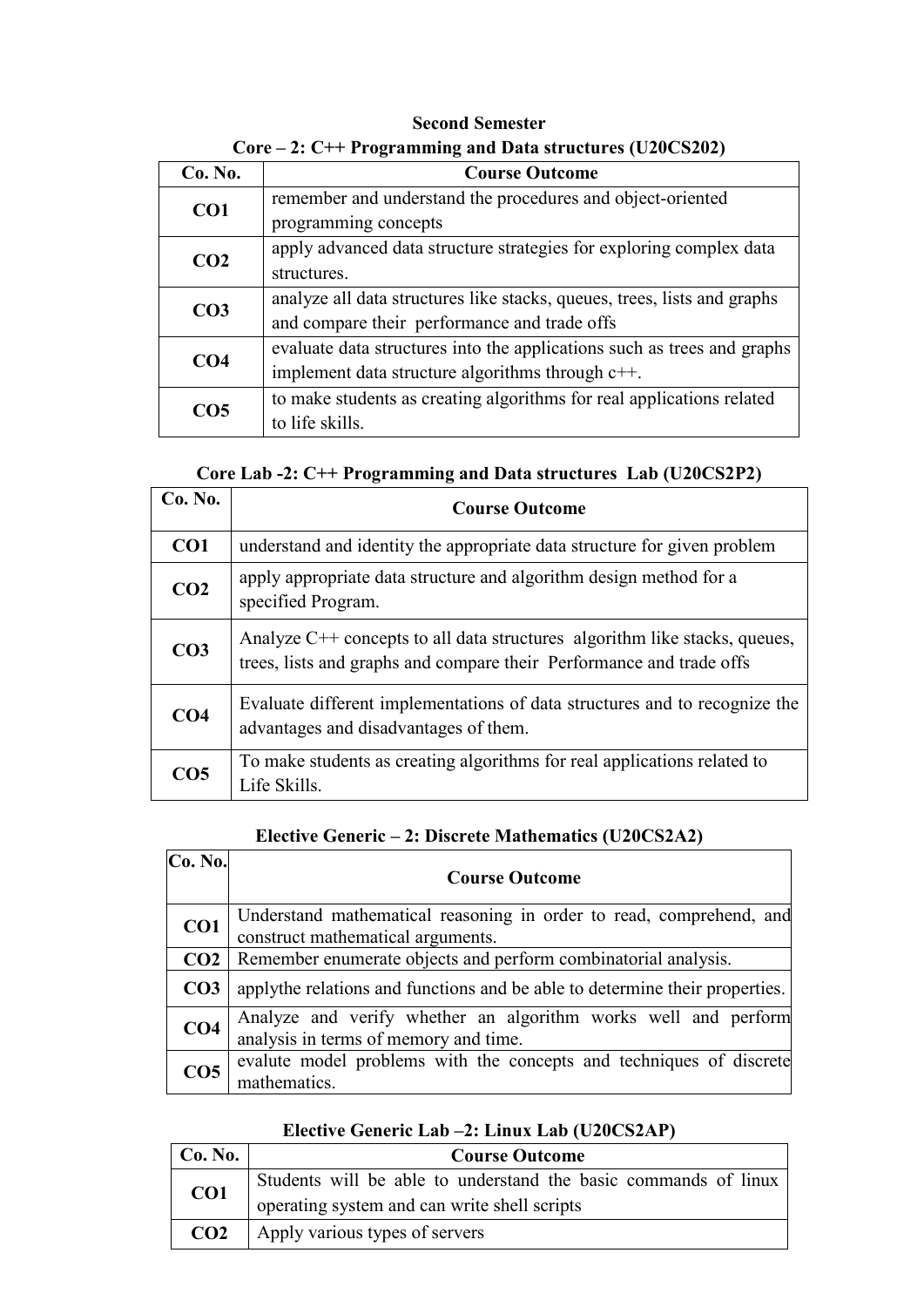| $\mu$ , $\sigma$ + + 1 requirements and bata structures (0.40 co404) |                                                                          |  |
|----------------------------------------------------------------------|--------------------------------------------------------------------------|--|
| Co. No.                                                              | <b>Course Outcome</b>                                                    |  |
|                                                                      | remember and understand the procedures and object-oriented               |  |
| CO1                                                                  | programming concepts                                                     |  |
| CO <sub>2</sub>                                                      | apply advanced data structure strategies for exploring complex data      |  |
|                                                                      | structures.                                                              |  |
| CO <sub>3</sub>                                                      | analyze all data structures like stacks, queues, trees, lists and graphs |  |
|                                                                      | and compare their performance and trade offs                             |  |
| CO <sub>4</sub>                                                      | evaluate data structures into the applications such as trees and graphs  |  |
|                                                                      | implement data structure algorithms through $c++$ .                      |  |
| CO <sub>5</sub>                                                      | to make students as creating algorithms for real applications related    |  |
|                                                                      | to life skills.                                                          |  |

**Second Semester Core – 2: C++ Programming and Data structures (U20CS202)** 

| Core Lab -2: C++ Programming and Data structures Lab (U20CS2P2) |  |  |
|-----------------------------------------------------------------|--|--|
|-----------------------------------------------------------------|--|--|

| Co. No.         | <b>Course Outcome</b>                                                                                                                                |  |
|-----------------|------------------------------------------------------------------------------------------------------------------------------------------------------|--|
| CO <sub>1</sub> | understand and identity the appropriate data structure for given problem                                                                             |  |
| CO <sub>2</sub> | apply appropriate data structure and algorithm design method for a<br>specified Program.                                                             |  |
| CO <sub>3</sub> | Analyze $C++$ concepts to all data structures algorithm like stacks, queues,<br>trees, lists and graphs and compare their Performance and trade offs |  |
| CO <sub>4</sub> | Evaluate different implementations of data structures and to recognize the<br>advantages and disadvantages of them.                                  |  |
| CO <sub>5</sub> | To make students as creating algorithms for real applications related to<br>Life Skills.                                                             |  |

### **Elective Generic – 2: Discrete Mathematics (U20CS2A2)**

| Co. No.         | <b>Course Outcome</b>                                                                                    |
|-----------------|----------------------------------------------------------------------------------------------------------|
| CO <sub>1</sub> | Understand mathematical reasoning in order to read, comprehend, and<br>construct mathematical arguments. |
|                 | <b>CO2</b> Remember enumerate objects and perform combinatorial analysis.                                |
| CO <sub>3</sub> | apply the relations and functions and be able to determine their properties.                             |
| CO <sub>4</sub> | Analyze and verify whether an algorithm works well and perform<br>analysis in terms of memory and time.  |
| CO <sub>5</sub> | evalute model problems with the concepts and techniques of discrete<br>mathematics.                      |

### **Elective Generic Lab –2: Linux Lab (U20CS2AP)**

| Co. No.         | <b>Course Outcome</b>                                           |  |
|-----------------|-----------------------------------------------------------------|--|
| CO1             | Students will be able to understand the basic commands of linux |  |
|                 | operating system and can write shell scripts                    |  |
| CO <sub>2</sub> | Apply various types of servers                                  |  |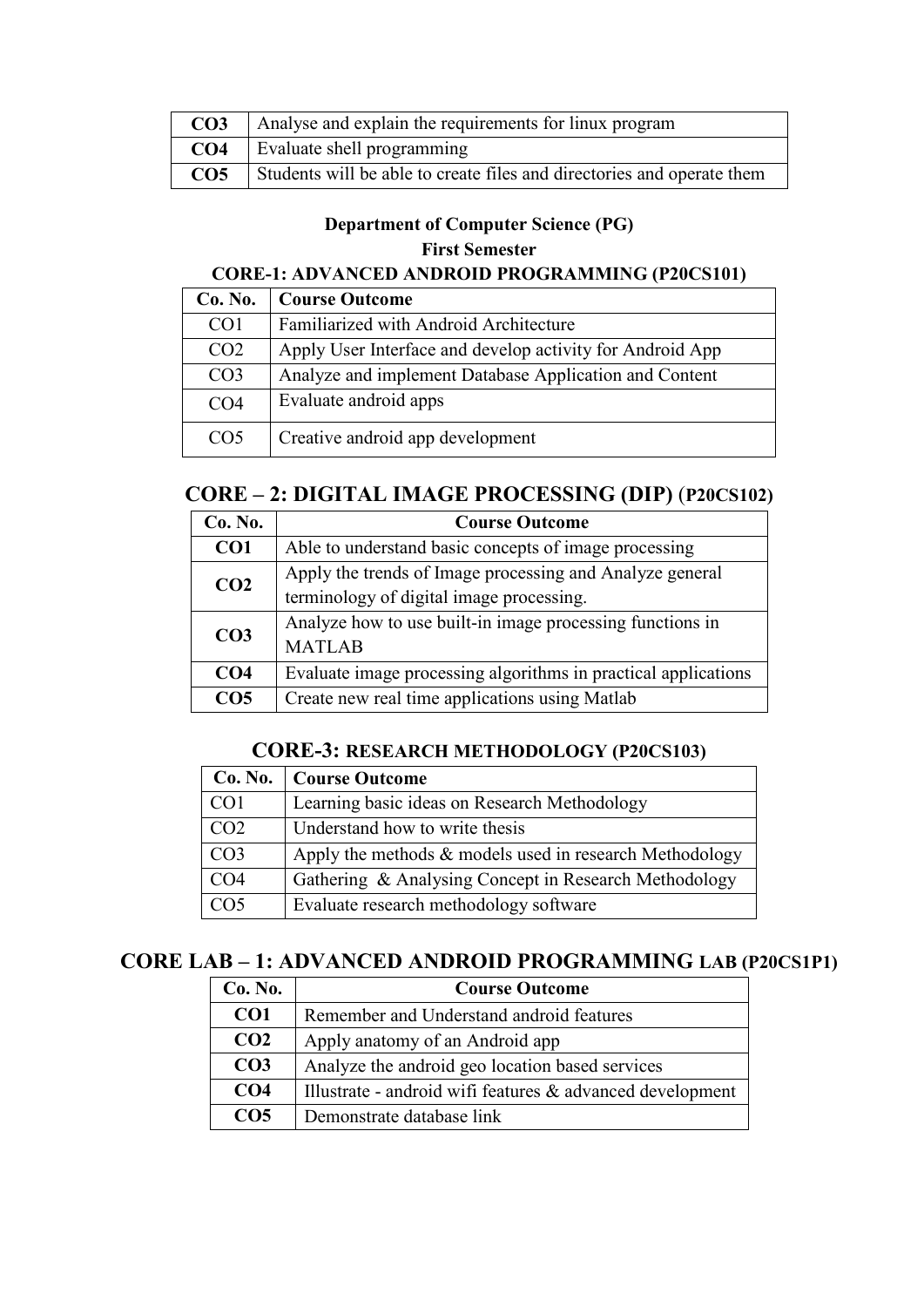| CO <sub>3</sub> | Analyse and explain the requirements for linux program                 |
|-----------------|------------------------------------------------------------------------|
| CO <sub>4</sub> | Evaluate shell programming                                             |
| CO <sub>5</sub> | Students will be able to create files and directories and operate them |

### **Department of Computer Science (PG) First Semester**

### **CORE-1: ADVANCED ANDROID PROGRAMMING (P20CS101)**

| Co. No.         | <b>Course Outcome</b>                                     |
|-----------------|-----------------------------------------------------------|
| CO <sub>1</sub> | Familiarized with Android Architecture                    |
| CO <sub>2</sub> | Apply User Interface and develop activity for Android App |
| CO <sub>3</sub> | Analyze and implement Database Application and Content    |
| CO <sub>4</sub> | Evaluate android apps                                     |
| CO <sub>5</sub> | Creative android app development                          |

### **CORE – 2: DIGITAL IMAGE PROCESSING (DIP)** (**P20CS102)**

| Co. No.         | <b>Course Outcome</b>                                          |
|-----------------|----------------------------------------------------------------|
| CO <sub>1</sub> | Able to understand basic concepts of image processing          |
| CO <sub>2</sub> | Apply the trends of Image processing and Analyze general       |
|                 | terminology of digital image processing.                       |
| CO <sub>3</sub> | Analyze how to use built-in image processing functions in      |
|                 | <b>MATLAB</b>                                                  |
| CO <sub>4</sub> | Evaluate image processing algorithms in practical applications |
| CO <sub>5</sub> | Create new real time applications using Matlab                 |

### **CORE-3: RESEARCH METHODOLOGY (P20CS103)**

| Co. No.         | <b>Course Outcome</b>                                   |
|-----------------|---------------------------------------------------------|
| CO <sub>1</sub> | Learning basic ideas on Research Methodology            |
| CO <sub>2</sub> | Understand how to write thesis                          |
| CO <sub>3</sub> | Apply the methods & models used in research Methodology |
| CO <sub>4</sub> | Gathering & Analysing Concept in Research Methodology   |
| CO <sub>5</sub> | Evaluate research methodology software                  |

### **CORE LAB – 1: ADVANCED ANDROID PROGRAMMING LAB (P20CS1P1)**

| Co. No.         | <b>Course Outcome</b>                                     |
|-----------------|-----------------------------------------------------------|
| CO1             | Remember and Understand android features                  |
| CO <sub>2</sub> | Apply anatomy of an Android app                           |
| CO <sub>3</sub> | Analyze the android geo location based services           |
| CO <sub>4</sub> | Illustrate - android wifi features & advanced development |
| CO <sub>5</sub> | Demonstrate database link                                 |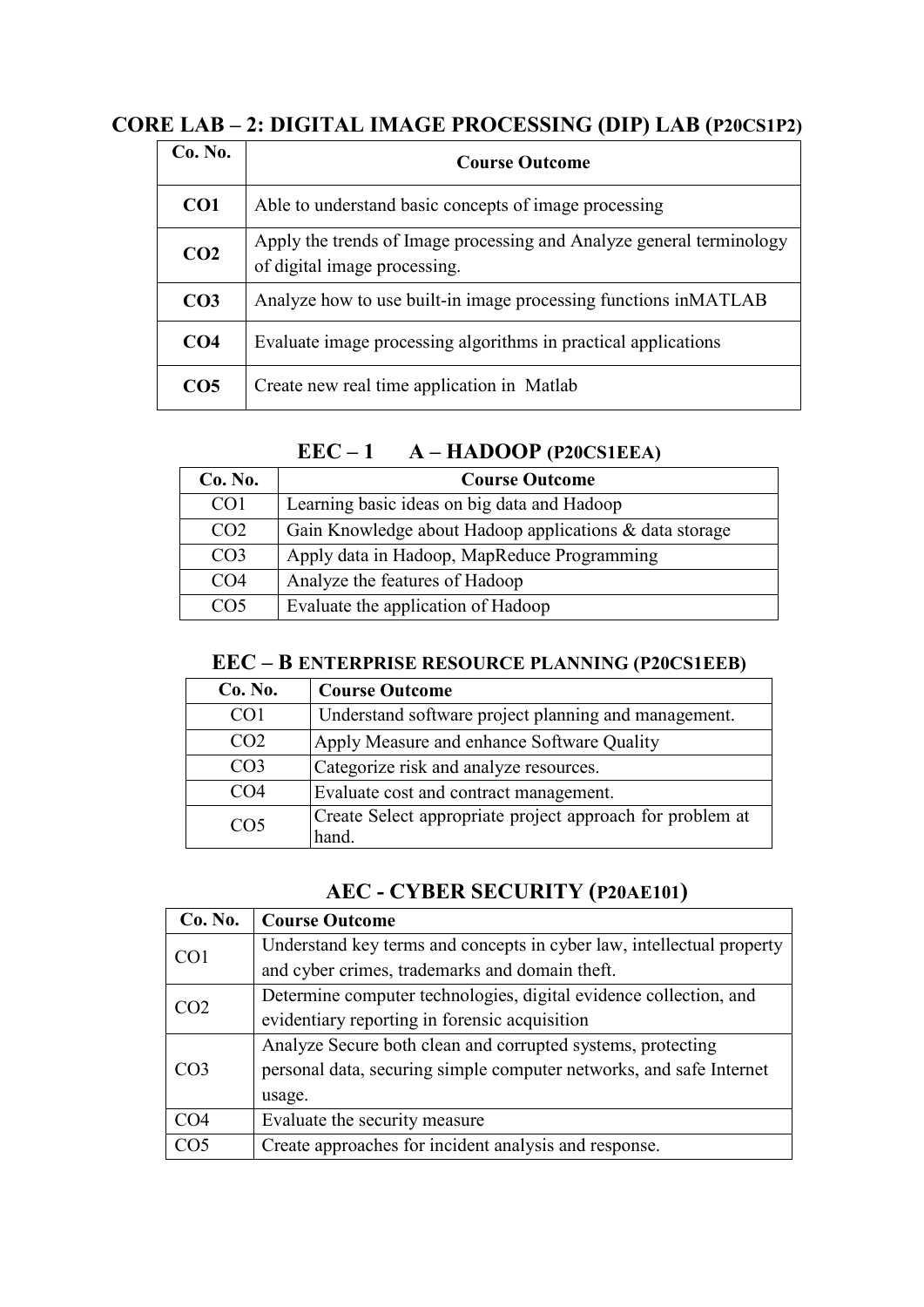### **CORE LAB – 2: DIGITAL IMAGE PROCESSING (DIP) LAB (P20CS1P2)**

| Co. No.         | <b>Course Outcome</b>                                                                                |
|-----------------|------------------------------------------------------------------------------------------------------|
| CO <sub>1</sub> | Able to understand basic concepts of image processing                                                |
| CO <sub>2</sub> | Apply the trends of Image processing and Analyze general terminology<br>of digital image processing. |
| CO <sub>3</sub> | Analyze how to use built-in image processing functions in MATLAB                                     |
| CO <sub>4</sub> | Evaluate image processing algorithms in practical applications                                       |
| CO <sub>5</sub> | Create new real time application in Matlab                                                           |

### **EEC – 1 A – HADOOP (P20CS1EEA)**

| Co. No.         | <b>Course Outcome</b>                                   |
|-----------------|---------------------------------------------------------|
| CO <sub>1</sub> | Learning basic ideas on big data and Hadoop             |
| CO <sub>2</sub> | Gain Knowledge about Hadoop applications & data storage |
| CO <sub>3</sub> | Apply data in Hadoop, MapReduce Programming             |
| CO <sub>4</sub> | Analyze the features of Hadoop                          |
| CO5             | Evaluate the application of Hadoop                      |

### **EEC – B ENTERPRISE RESOURCE PLANNING (P20CS1EEB)**

| Co. No.         | <b>Course Outcome</b>                                              |
|-----------------|--------------------------------------------------------------------|
| CO <sub>1</sub> | Understand software project planning and management.               |
| CO <sub>2</sub> | Apply Measure and enhance Software Quality                         |
| CO <sub>3</sub> | Categorize risk and analyze resources.                             |
| CO4             | Evaluate cost and contract management.                             |
| CO <sub>5</sub> | Create Select appropriate project approach for problem at<br>hand. |

### **AEC - CYBER SECURITY (P20AE101)**

| Co. No.         | <b>Course Outcome</b>                                                 |
|-----------------|-----------------------------------------------------------------------|
| CO <sub>1</sub> | Understand key terms and concepts in cyber law, intellectual property |
|                 | and cyber crimes, trademarks and domain theft.                        |
| CO2             | Determine computer technologies, digital evidence collection, and     |
|                 | evidentiary reporting in forensic acquisition                         |
| CO <sub>3</sub> | Analyze Secure both clean and corrupted systems, protecting           |
|                 | personal data, securing simple computer networks, and safe Internet   |
|                 | usage.                                                                |
| CO <sub>4</sub> | Evaluate the security measure                                         |
| CO <sub>5</sub> | Create approaches for incident analysis and response.                 |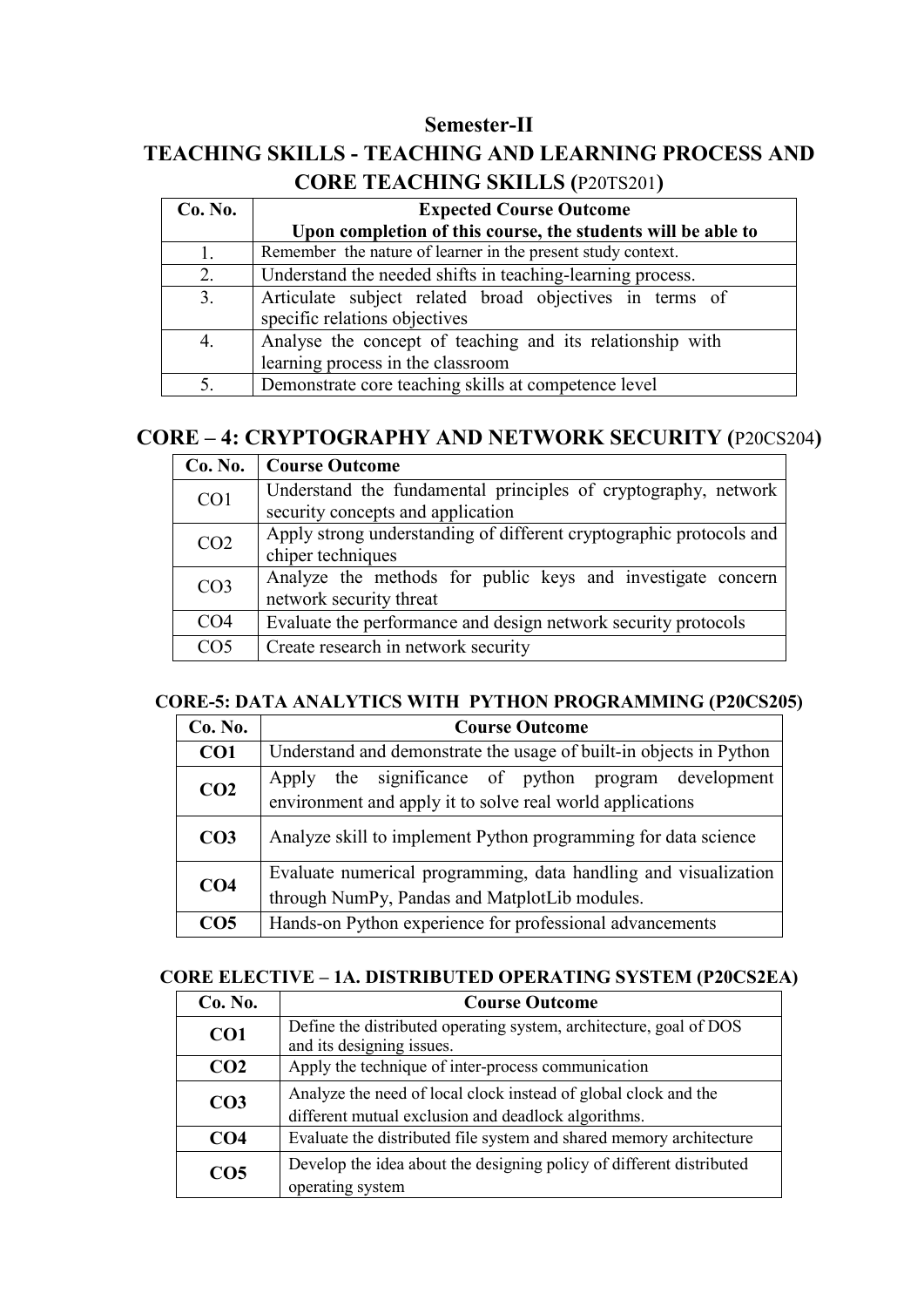### **Semester-II**

### **TEACHING SKILLS - TEACHING AND LEARNING PROCESS AND CORE TEACHING SKILLS (**P20TS201**)**

| Co. No. | <b>Expected Course Outcome</b>                                                                 |
|---------|------------------------------------------------------------------------------------------------|
|         | Upon completion of this course, the students will be able to                                   |
|         | Remember the nature of learner in the present study context.                                   |
| 2.      | Understand the needed shifts in teaching-learning process.                                     |
| 3.      | Articulate subject related broad objectives in terms of<br>specific relations objectives       |
| 4.      | Analyse the concept of teaching and its relationship with<br>learning process in the classroom |
|         | Demonstrate core teaching skills at competence level                                           |

### **CORE – 4: CRYPTOGRAPHY AND NETWORK SECURITY (**P20CS204**)**

| Co. No.         | <b>Course Outcome</b>                                               |
|-----------------|---------------------------------------------------------------------|
| CO1             | Understand the fundamental principles of cryptography, network      |
|                 | security concepts and application                                   |
| CO <sub>2</sub> | Apply strong understanding of different cryptographic protocols and |
|                 | chiper techniques                                                   |
| CO <sub>3</sub> | Analyze the methods for public keys and investigate concern         |
|                 | network security threat                                             |
| CO <sub>4</sub> | Evaluate the performance and design network security protocols      |
| CO <sub>5</sub> | Create research in network security                                 |

### **CORE-5: DATA ANALYTICS WITH PYTHON PROGRAMMING (P20CS205)**

| Co. No.         | <b>Course Outcome</b>                                                                                                |
|-----------------|----------------------------------------------------------------------------------------------------------------------|
| CO <sub>1</sub> | Understand and demonstrate the usage of built-in objects in Python                                                   |
| CO <sub>2</sub> | the significance of python program development<br>Apply<br>environment and apply it to solve real world applications |
| CO <sub>3</sub> | Analyze skill to implement Python programming for data science                                                       |
| CO <sub>4</sub> | Evaluate numerical programming, data handling and visualization<br>through NumPy, Pandas and MatplotLib modules.     |
| CO <sub>5</sub> | Hands-on Python experience for professional advancements                                                             |

### **CORE ELECTIVE – 1A. DISTRIBUTED OPERATING SYSTEM (P20CS2EA)**

| Co. No.         | <b>Course Outcome</b>                                                                                                  |
|-----------------|------------------------------------------------------------------------------------------------------------------------|
| CO <sub>1</sub> | Define the distributed operating system, architecture, goal of DOS<br>and its designing issues.                        |
| CO <sub>2</sub> | Apply the technique of inter-process communication                                                                     |
| CO <sub>3</sub> | Analyze the need of local clock instead of global clock and the<br>different mutual exclusion and deadlock algorithms. |
| CO <sub>4</sub> | Evaluate the distributed file system and shared memory architecture                                                    |
| CO <sub>5</sub> | Develop the idea about the designing policy of different distributed<br>operating system                               |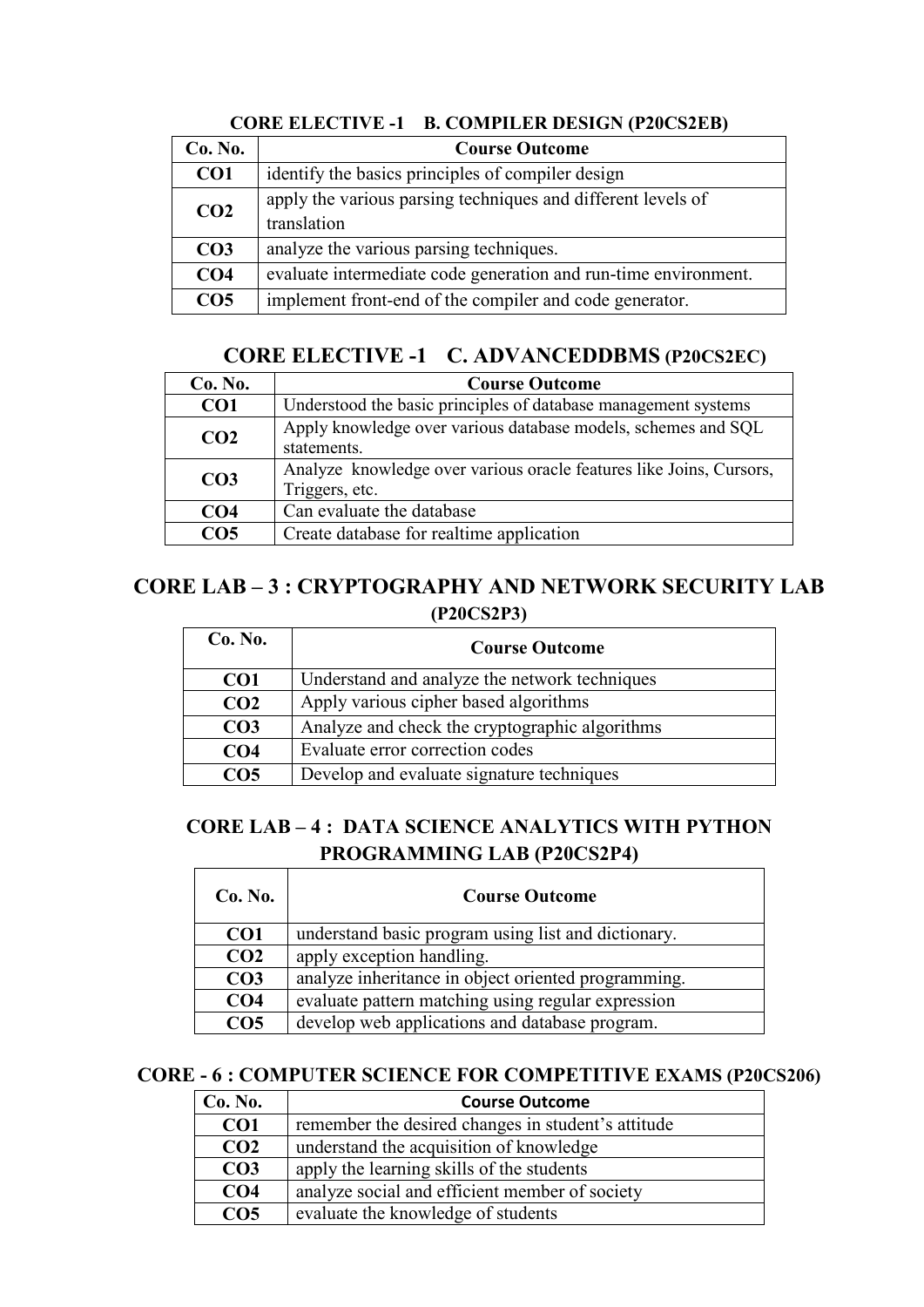| Co. No.         | <b>Course Outcome</b>                                                       |
|-----------------|-----------------------------------------------------------------------------|
| CO <sub>1</sub> | identify the basics principles of compiler design                           |
| CO <sub>2</sub> | apply the various parsing techniques and different levels of<br>translation |
| CO <sub>3</sub> | analyze the various parsing techniques.                                     |
| CO <sub>4</sub> | evaluate intermediate code generation and run-time environment.             |
| CO <sub>5</sub> | implement front-end of the compiler and code generator.                     |

**CORE ELECTIVE -1 B. COMPILER DESIGN (P20CS2EB)** 

### **CORE ELECTIVE -1 C. ADVANCEDDBMS (P20CS2EC)**

| Co. No.         | <b>Course Outcome</b>                                                                 |
|-----------------|---------------------------------------------------------------------------------------|
| CO <sub>1</sub> | Understood the basic principles of database management systems                        |
| CO <sub>2</sub> | Apply knowledge over various database models, schemes and SQL<br>statements.          |
| CO <sub>3</sub> | Analyze knowledge over various oracle features like Joins, Cursors,<br>Triggers, etc. |
| CO <sub>4</sub> | Can evaluate the database                                                             |
| CO <sub>5</sub> | Create database for realtime application                                              |

### **CORE LAB – 3 : CRYPTOGRAPHY AND NETWORK SECURITY LAB (P20CS2P3)**

| Co. No.         | <b>Course Outcome</b>                          |
|-----------------|------------------------------------------------|
| CO <sub>1</sub> | Understand and analyze the network techniques  |
| CO <sub>2</sub> | Apply various cipher based algorithms          |
| CO <sub>3</sub> | Analyze and check the cryptographic algorithms |
| CO <sub>4</sub> | Evaluate error correction codes                |
| CO5             | Develop and evaluate signature techniques      |

### **CORE LAB – 4 : DATA SCIENCE ANALYTICS WITH PYTHON PROGRAMMING LAB (P20CS2P4)**

| Co. No.         | <b>Course Outcome</b>                               |
|-----------------|-----------------------------------------------------|
| CO <sub>1</sub> | understand basic program using list and dictionary. |
| CO <sub>2</sub> | apply exception handling.                           |
| CO <sub>3</sub> | analyze inheritance in object oriented programming. |
| CO <sub>4</sub> | evaluate pattern matching using regular expression  |
| CO <sub>5</sub> | develop web applications and database program.      |

### **CORE - 6 : COMPUTER SCIENCE FOR COMPETITIVE EXAMS (P20CS206)**

| Co. No.         | <b>Course Outcome</b>                              |
|-----------------|----------------------------------------------------|
| CO <sub>1</sub> | remember the desired changes in student's attitude |
| CO <sub>2</sub> | understand the acquisition of knowledge            |
| CO <sub>3</sub> | apply the learning skills of the students          |
| CO <sub>4</sub> | analyze social and efficient member of society     |
| CO <sub>5</sub> | evaluate the knowledge of students                 |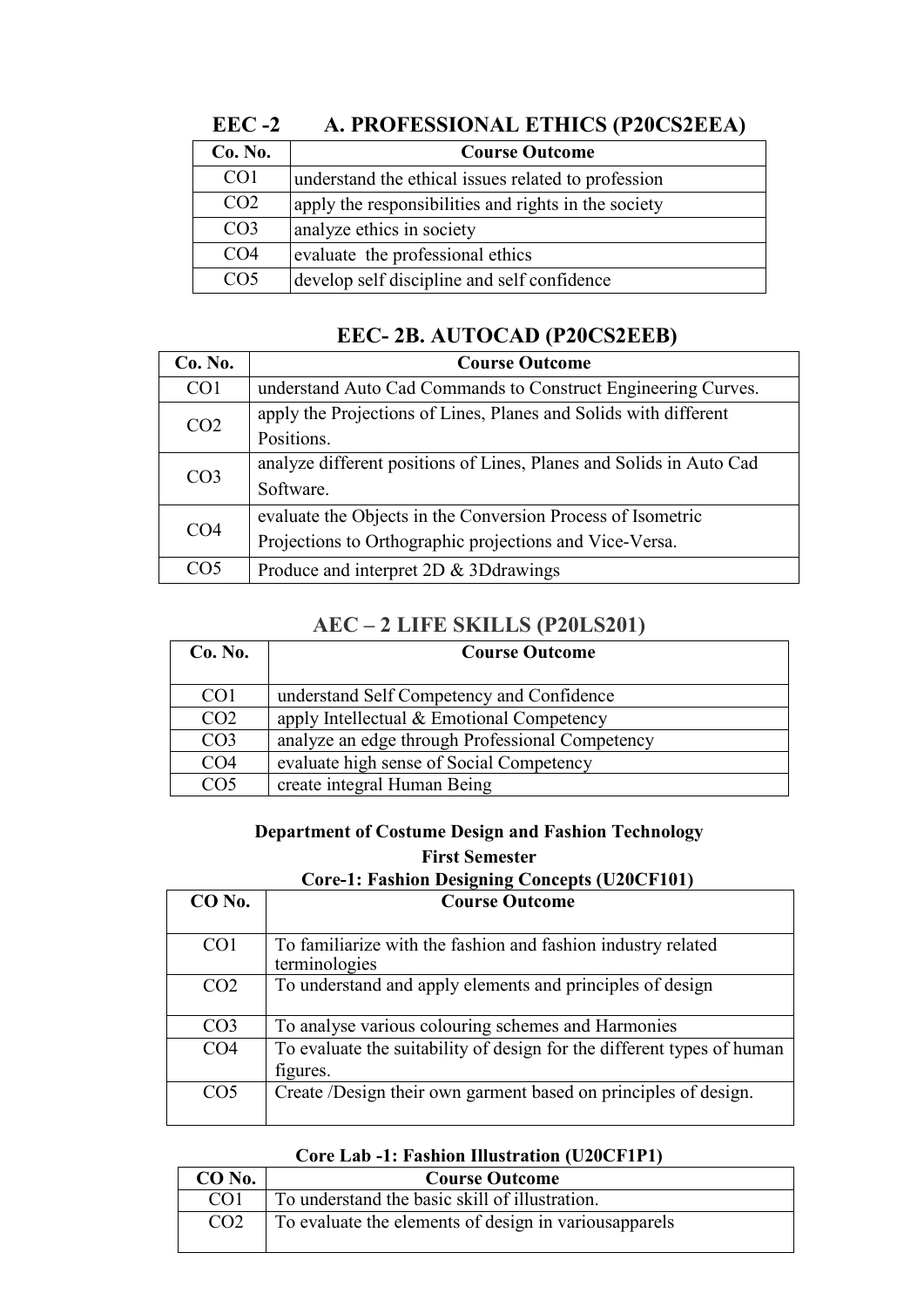| LLU -4          | A. I RUFESSIUNAL ETHICS (F20CS2EEA)                  |
|-----------------|------------------------------------------------------|
| Co. No.         | <b>Course Outcome</b>                                |
| CO <sub>1</sub> | understand the ethical issues related to profession  |
| CO <sub>2</sub> | apply the responsibilities and rights in the society |
| CO <sub>3</sub> | analyze ethics in society                            |
| CO <sub>4</sub> | evaluate the professional ethics                     |
| CO <sub>5</sub> | develop self discipline and self confidence          |

### **EEC -2 A. PROFESSIONAL ETHICS (P20CS2EEA)**

### **EEC- 2B. AUTOCAD (P20CS2EEB)**

| Co. No.         | <b>Course Outcome</b>                                               |
|-----------------|---------------------------------------------------------------------|
| CO <sub>1</sub> | understand Auto Cad Commands to Construct Engineering Curves.       |
| CO <sub>2</sub> | apply the Projections of Lines, Planes and Solids with different    |
|                 | Positions.                                                          |
| CO <sub>3</sub> | analyze different positions of Lines, Planes and Solids in Auto Cad |
|                 | Software.                                                           |
| CO <sub>4</sub> | evaluate the Objects in the Conversion Process of Isometric         |
|                 | Projections to Orthographic projections and Vice-Versa.             |
| CO5             | Produce and interpret 2D & 3D drawings                              |

### **AEC – 2 LIFE SKILLS (P20LS201)**

| Co. No.         | <b>Course Outcome</b>                           |
|-----------------|-------------------------------------------------|
|                 |                                                 |
| CO <sub>1</sub> | understand Self Competency and Confidence       |
| CO <sub>2</sub> | apply Intellectual & Emotional Competency       |
| CO <sub>3</sub> | analyze an edge through Professional Competency |
| CO <sub>4</sub> | evaluate high sense of Social Competency        |
| CO5             | create integral Human Being                     |

### **Department of Costume Design and Fashion Technology First Semester**

### **Core-1: Fashion Designing Concepts (U20CF101)**

| $CO$ No.        | <b>Course Outcome</b>                                                              |
|-----------------|------------------------------------------------------------------------------------|
|                 |                                                                                    |
| CO <sub>1</sub> | To familiarize with the fashion and fashion industry related<br>terminologies      |
| CO <sub>2</sub> | To understand and apply elements and principles of design                          |
| CO <sub>3</sub> | To analyse various colouring schemes and Harmonies                                 |
| CO <sub>4</sub> | To evaluate the suitability of design for the different types of human<br>figures. |
| CO <sub>5</sub> | Create /Design their own garment based on principles of design.                    |

#### **Core Lab -1: Fashion Illustration (U20CF1P1)**

| $CO$ No.        | <b>Course Outcome</b>                                  |
|-----------------|--------------------------------------------------------|
| CO <sub>1</sub> | To understand the basic skill of illustration.         |
| CO <sub>2</sub> | To evaluate the elements of design in various apparels |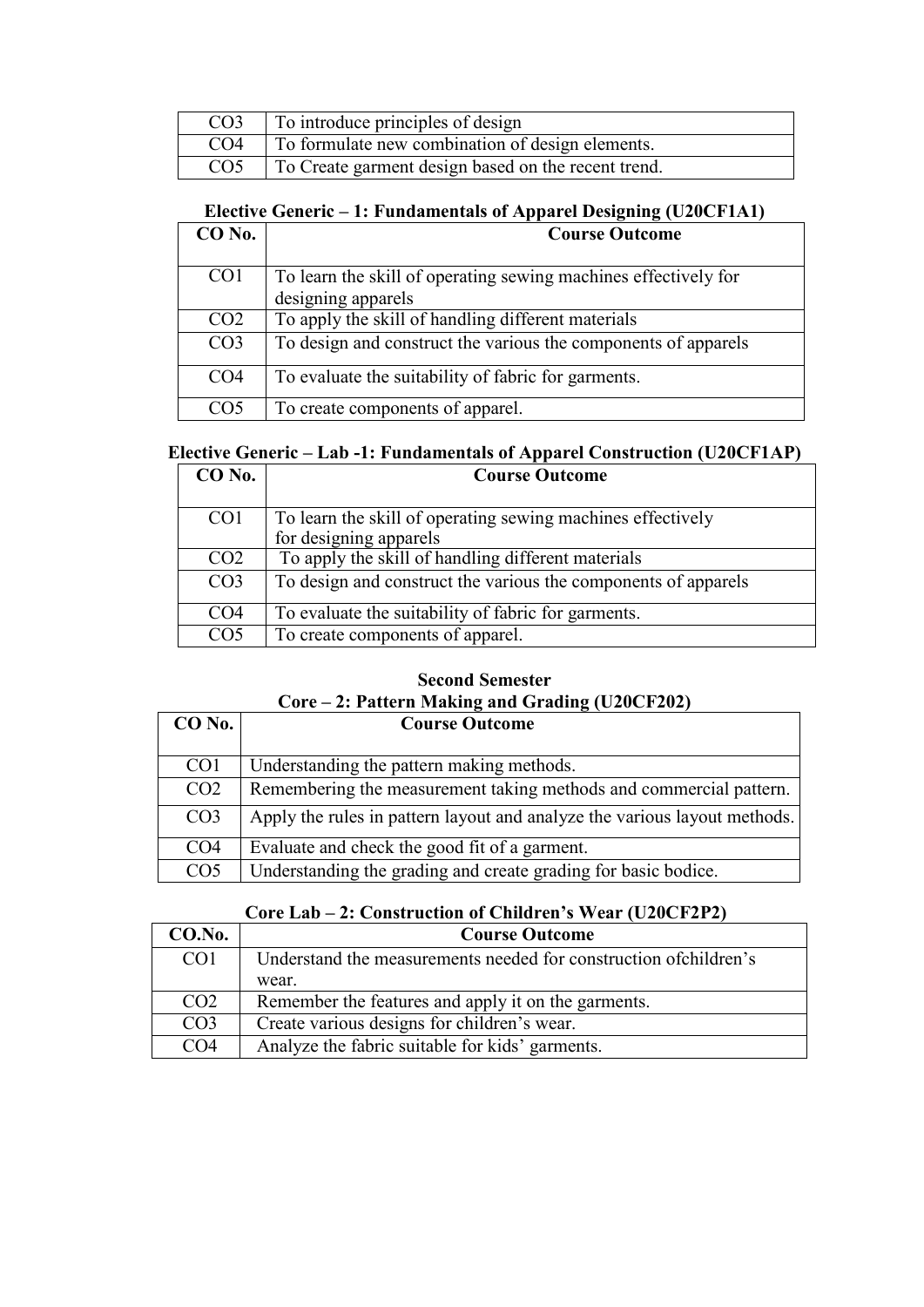| CO <sub>3</sub> | To introduce principles of design                   |
|-----------------|-----------------------------------------------------|
| CO <sub>4</sub> | To formulate new combination of design elements.    |
| CO <sub>5</sub> | To Create garment design based on the recent trend. |

### **Elective Generic – 1: Fundamentals of Apparel Designing (U20CF1A1)**

| $CO$ No.        | <b>Course Outcome</b>                                           |
|-----------------|-----------------------------------------------------------------|
| CO <sub>1</sub> | To learn the skill of operating sewing machines effectively for |
|                 | designing apparels                                              |
| CO <sub>2</sub> | To apply the skill of handling different materials              |
| CO <sub>3</sub> | To design and construct the various the components of apparels  |
| CO <sub>4</sub> | To evaluate the suitability of fabric for garments.             |
| CO5             | To create components of apparel.                                |

### **Elective Generic – Lab -1: Fundamentals of Apparel Construction (U20CF1AP)**

| CO No.          | <b>Course Outcome</b>                                          |
|-----------------|----------------------------------------------------------------|
|                 |                                                                |
| CO <sub>1</sub> | To learn the skill of operating sewing machines effectively    |
|                 | for designing apparels                                         |
| CO <sub>2</sub> | To apply the skill of handling different materials             |
| CO <sub>3</sub> | To design and construct the various the components of apparels |
| CO <sub>4</sub> | To evaluate the suitability of fabric for garments.            |
| CO <sub>5</sub> | To create components of apparel.                               |

#### **Second Semester Core – 2: Pattern Making and Grading (U20CF202)**

| $CO$ No.        | <b>Course Outcome</b>                                                     |
|-----------------|---------------------------------------------------------------------------|
| CO <sub>1</sub> | Understanding the pattern making methods.                                 |
| CO <sub>2</sub> | Remembering the measurement taking methods and commercial pattern.        |
| CO <sub>3</sub> | Apply the rules in pattern layout and analyze the various layout methods. |
| CO <sub>4</sub> | Evaluate and check the good fit of a garment.                             |
| CO <sub>5</sub> | Understanding the grading and create grading for basic bodice.            |

### **Core Lab – 2: Construction of Children's Wear (U20CF2P2)**

| CO.No.          | <b>Course Outcome</b>                                             |
|-----------------|-------------------------------------------------------------------|
| CO <sub>1</sub> | Understand the measurements needed for construction of children's |
|                 | wear.                                                             |
| CO <sub>2</sub> | Remember the features and apply it on the garments.               |
| CO <sub>3</sub> | Create various designs for children's wear.                       |
| CO <sub>4</sub> | Analyze the fabric suitable for kids' garments.                   |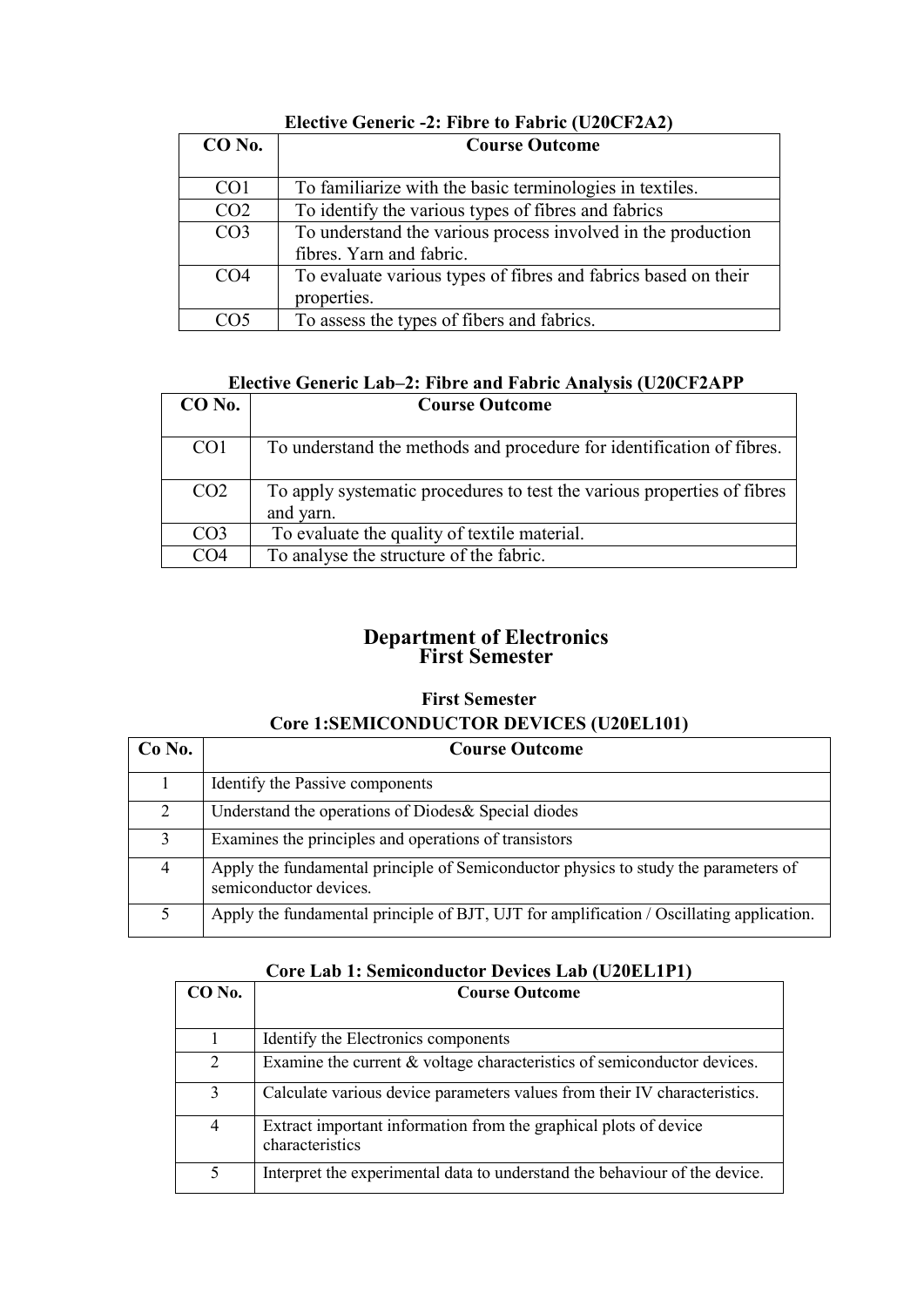| $CO$ No.        | <b>Course Outcome</b>                                                                    |
|-----------------|------------------------------------------------------------------------------------------|
| CO <sub>1</sub> | To familiarize with the basic terminologies in textiles.                                 |
| CO <sub>2</sub> | To identify the various types of fibres and fabrics                                      |
| CO <sub>3</sub> | To understand the various process involved in the production<br>fibres. Yarn and fabric. |
| CO <sub>4</sub> | To evaluate various types of fibres and fabrics based on their<br>properties.            |
| CO5             | To assess the types of fibers and fabrics.                                               |

### **Elective Generic -2: Fibre to Fabric (U20CF2A2)**

### **Elective Generic Lab–2: Fibre and Fabric Analysis (U20CF2APP**

| $CO$ No.        | <b>Course Outcome</b>                                                                |
|-----------------|--------------------------------------------------------------------------------------|
| CO <sub>1</sub> | To understand the methods and procedure for identification of fibres.                |
| CO <sub>2</sub> | To apply systematic procedures to test the various properties of fibres<br>and yarn. |
| CO <sub>3</sub> | To evaluate the quality of textile material.                                         |
| CO <sub>4</sub> | To analyse the structure of the fabric.                                              |

### **Department of Electronics First Semester**

### **First Semester Core 1:SEMICONDUCTOR DEVICES (U20EL101)**

| Co No. | <b>Course Outcome</b>                                                                                         |
|--------|---------------------------------------------------------------------------------------------------------------|
|        | Identify the Passive components                                                                               |
| 2      | Understand the operations of Diodes & Special diodes                                                          |
|        | Examines the principles and operations of transistors                                                         |
| 4      | Apply the fundamental principle of Semiconductor physics to study the parameters of<br>semiconductor devices. |
|        | Apply the fundamental principle of BJT, UJT for amplification / Oscillating application.                      |

### **Core Lab 1: Semiconductor Devices Lab (U20EL1P1)**

| CO No.         | <b>Course Outcome</b>                                                               |
|----------------|-------------------------------------------------------------------------------------|
|                |                                                                                     |
|                | Identify the Electronics components                                                 |
| 2              | Examine the current & voltage characteristics of semiconductor devices.             |
| 3              | Calculate various device parameters values from their IV characteristics.           |
| $\overline{4}$ | Extract important information from the graphical plots of device<br>characteristics |
| 5              | Interpret the experimental data to understand the behaviour of the device.          |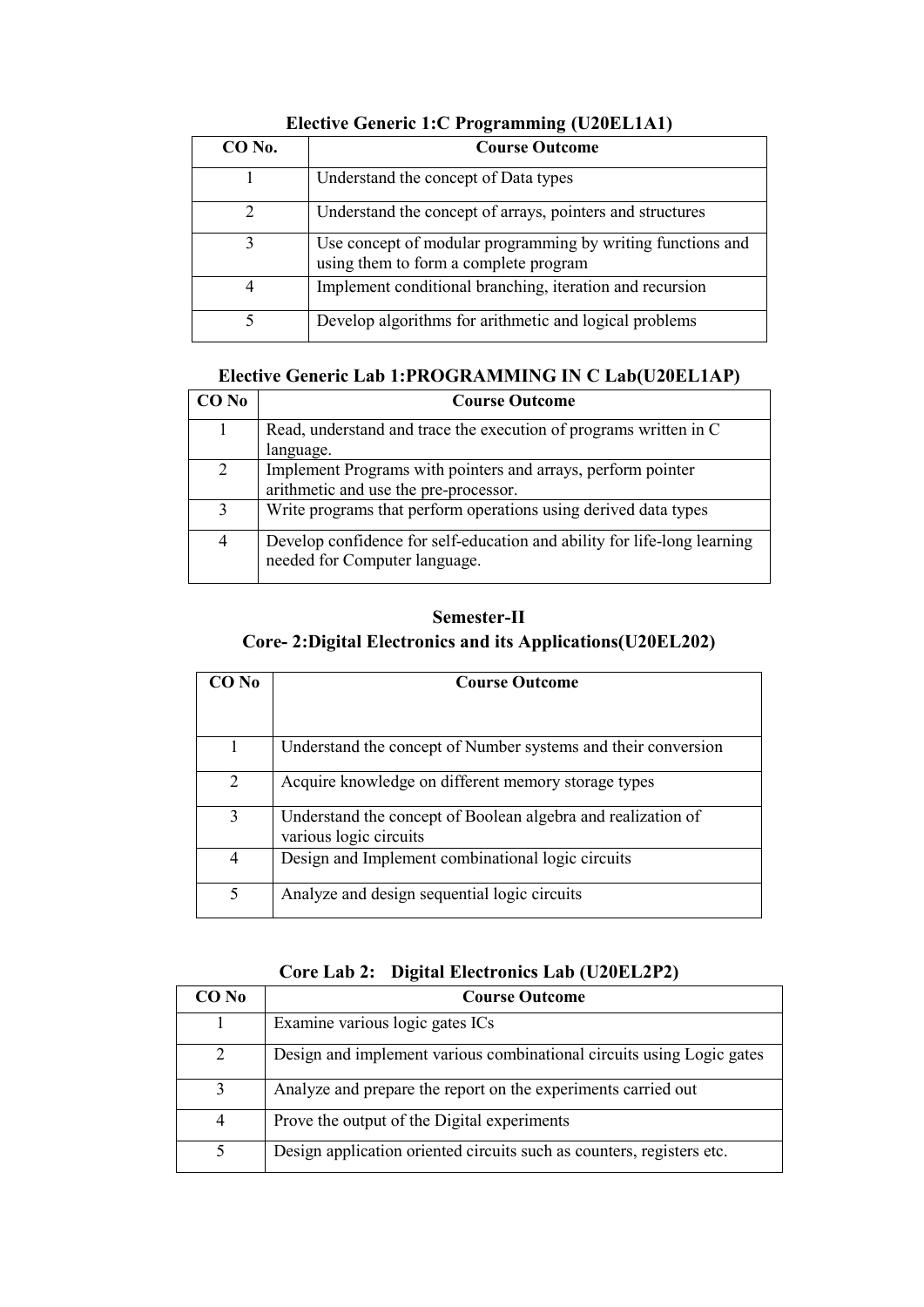| $CO$ No. | <b>Course Outcome</b>                                                                                |
|----------|------------------------------------------------------------------------------------------------------|
|          | Understand the concept of Data types                                                                 |
|          | Understand the concept of arrays, pointers and structures                                            |
|          | Use concept of modular programming by writing functions and<br>using them to form a complete program |
|          | Implement conditional branching, iteration and recursion                                             |
|          | Develop algorithms for arithmetic and logical problems                                               |

### **Elective Generic 1:C Programming (U20EL1A1)**

### **Elective Generic Lab 1:PROGRAMMING IN C Lab(U20EL1AP)**

| CO No | <b>Course Outcome</b>                                                                                     |
|-------|-----------------------------------------------------------------------------------------------------------|
|       | Read, understand and trace the execution of programs written in C                                         |
|       | language.                                                                                                 |
| 2     | Implement Programs with pointers and arrays, perform pointer                                              |
|       | arithmetic and use the pre-processor.                                                                     |
| 3     | Write programs that perform operations using derived data types                                           |
| 4     | Develop confidence for self-education and ability for life-long learning<br>needed for Computer language. |

### **Semester-II Core- 2:Digital Electronics and its Applications(U20EL202)**

| CO No | <b>Course Outcome</b>                                                                  |
|-------|----------------------------------------------------------------------------------------|
|       |                                                                                        |
|       | Understand the concept of Number systems and their conversion                          |
| 2     | Acquire knowledge on different memory storage types                                    |
| 3     | Understand the concept of Boolean algebra and realization of<br>various logic circuits |
| 4     | Design and Implement combinational logic circuits                                      |
| 5     | Analyze and design sequential logic circuits                                           |

#### **Core Lab 2: Digital Electronics Lab (U20EL2P2)**

| $CO$ No        | <b>Course Outcome</b>                                                 |
|----------------|-----------------------------------------------------------------------|
|                | Examine various logic gates ICs                                       |
| $\mathcal{L}$  | Design and implement various combinational circuits using Logic gates |
| 3              | Analyze and prepare the report on the experiments carried out         |
| $\overline{4}$ | Prove the output of the Digital experiments                           |
|                | Design application oriented circuits such as counters, registers etc. |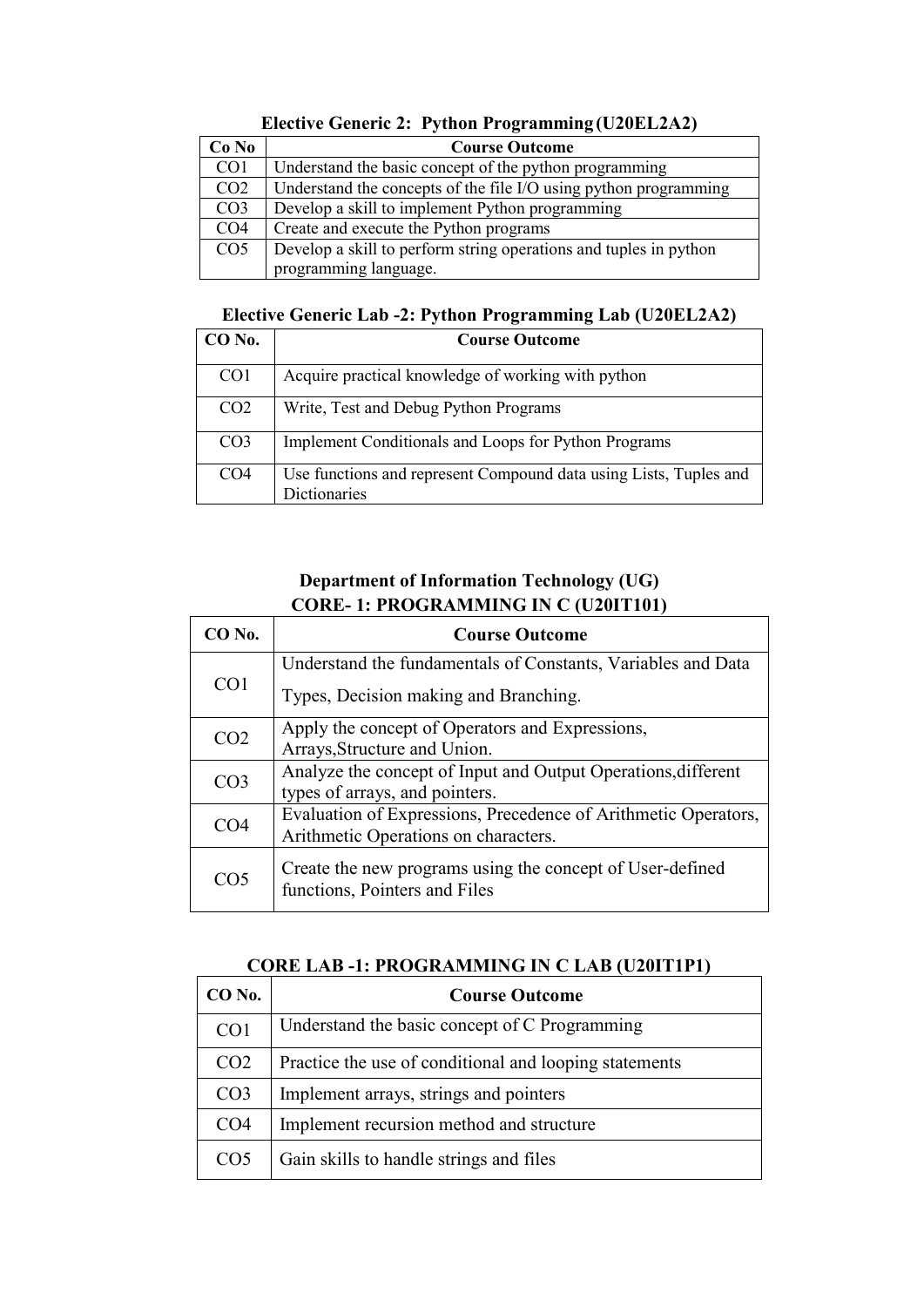| Co No           | <b>Course Outcome</b>                                             |
|-----------------|-------------------------------------------------------------------|
| CO <sub>1</sub> | Understand the basic concept of the python programming            |
| CO <sub>2</sub> | Understand the concepts of the file I/O using python programming  |
| CO <sub>3</sub> | Develop a skill to implement Python programming                   |
| CO <sub>4</sub> | Create and execute the Python programs                            |
| CO <sub>5</sub> | Develop a skill to perform string operations and tuples in python |
|                 | programming language.                                             |

#### **Elective Generic 2: Python Programming (U20EL2A2)**

#### **Elective Generic Lab -2: Python Programming Lab (U20EL2A2)**

| CO No.          | <b>Course Outcome</b>                                             |
|-----------------|-------------------------------------------------------------------|
| CO <sub>1</sub> | Acquire practical knowledge of working with python                |
| CO <sub>2</sub> | Write, Test and Debug Python Programs                             |
| CO <sub>3</sub> | Implement Conditionals and Loops for Python Programs              |
| CO <sub>4</sub> | Use functions and represent Compound data using Lists, Tuples and |
|                 | <b>Dictionaries</b>                                               |

### **Department of Information Technology (UG) CORE- 1: PROGRAMMING IN C (U20IT101)**

| $CO$ No.        | <b>Course Outcome</b>                                                                      |
|-----------------|--------------------------------------------------------------------------------------------|
| CO <sub>1</sub> | Understand the fundamentals of Constants, Variables and Data                               |
|                 | Types, Decision making and Branching.                                                      |
| CO <sub>2</sub> | Apply the concept of Operators and Expressions,                                            |
|                 | Arrays, Structure and Union.                                                               |
| CO <sub>3</sub> | Analyze the concept of Input and Output Operations, different                              |
|                 | types of arrays, and pointers.                                                             |
| CO4             | Evaluation of Expressions, Precedence of Arithmetic Operators,                             |
|                 | Arithmetic Operations on characters.                                                       |
| CO <sub>5</sub> | Create the new programs using the concept of User-defined<br>functions, Pointers and Files |

### **CORE LAB -1: PROGRAMMING IN C LAB (U20IT1P1)**

| CO No.          | <b>Course Outcome</b>                                  |
|-----------------|--------------------------------------------------------|
| CO <sub>1</sub> | Understand the basic concept of C Programming          |
| CO <sub>2</sub> | Practice the use of conditional and looping statements |
| CO <sub>3</sub> | Implement arrays, strings and pointers                 |
| CO <sub>4</sub> | Implement recursion method and structure               |
| CO <sub>5</sub> | Gain skills to handle strings and files                |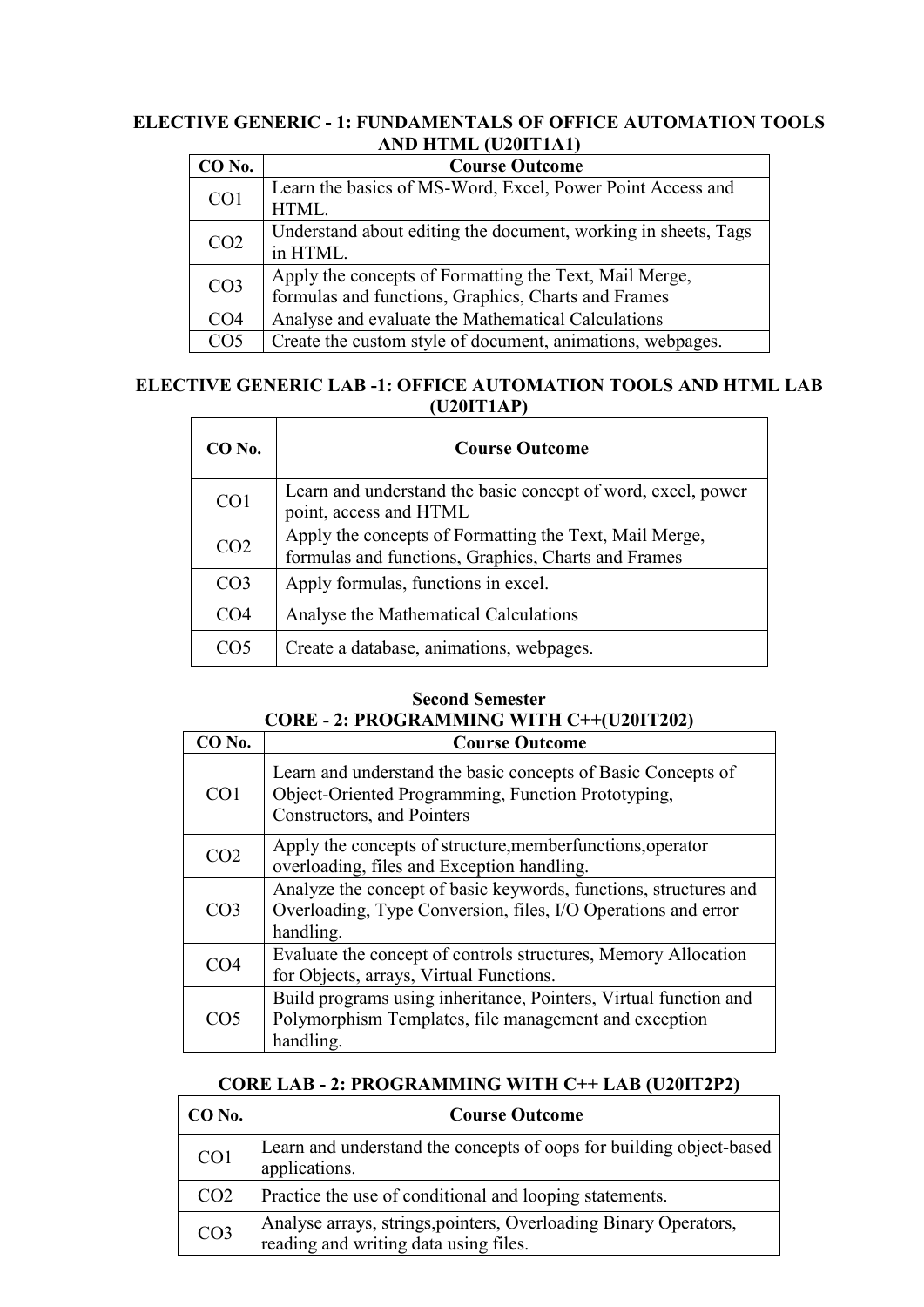#### **ELECTIVE GENERIC - 1: FUNDAMENTALS OF OFFICE AUTOMATION TOOLS AND HTML (U20IT1A1)**

| CO No.          | <b>Course Outcome</b>                                          |
|-----------------|----------------------------------------------------------------|
| CO <sub>1</sub> | Learn the basics of MS-Word, Excel, Power Point Access and     |
|                 | HTML.                                                          |
| CO <sub>2</sub> | Understand about editing the document, working in sheets, Tags |
|                 | in HTML.                                                       |
| CO <sub>3</sub> | Apply the concepts of Formatting the Text, Mail Merge,         |
|                 | formulas and functions, Graphics, Charts and Frames            |
| CO <sub>4</sub> | Analyse and evaluate the Mathematical Calculations             |
| CO <sub>5</sub> | Create the custom style of document, animations, webpages.     |

### **ELECTIVE GENERIC LAB -1: OFFICE AUTOMATION TOOLS AND HTML LAB (U20IT1AP)**

| CO No.          | <b>Course Outcome</b>                                                                                         |
|-----------------|---------------------------------------------------------------------------------------------------------------|
| CO <sub>1</sub> | Learn and understand the basic concept of word, excel, power<br>point, access and HTML                        |
| CO <sub>2</sub> | Apply the concepts of Formatting the Text, Mail Merge,<br>formulas and functions, Graphics, Charts and Frames |
| CO <sub>3</sub> | Apply formulas, functions in excel.                                                                           |
| CO4             | Analyse the Mathematical Calculations                                                                         |
|                 | Create a database, animations, webpages.                                                                      |

### **Second Semester CORE - 2: PROGRAMMING WITH C++(U20IT202)**

| CO No.          | <b>Course Outcome</b>                                                                                                                            |
|-----------------|--------------------------------------------------------------------------------------------------------------------------------------------------|
| CO <sub>1</sub> | Learn and understand the basic concepts of Basic Concepts of<br>Object-Oriented Programming, Function Prototyping,<br>Constructors, and Pointers |
| CO <sub>2</sub> | Apply the concepts of structure, member functions, operator<br>overloading, files and Exception handling.                                        |
| CO <sub>3</sub> | Analyze the concept of basic keywords, functions, structures and<br>Overloading, Type Conversion, files, I/O Operations and error<br>handling.   |
| CO <sub>4</sub> | Evaluate the concept of controls structures, Memory Allocation<br>for Objects, arrays, Virtual Functions.                                        |
| CO5             | Build programs using inheritance, Pointers, Virtual function and<br>Polymorphism Templates, file management and exception<br>handling.           |

### **CORE LAB - 2: PROGRAMMING WITH C++ LAB (U20IT2P2)**

| $CO$ No.        | <b>Course Outcome</b>                                                                                     |
|-----------------|-----------------------------------------------------------------------------------------------------------|
| CO1             | Learn and understand the concepts of oops for building object-based<br>applications.                      |
| CO <sub>2</sub> | Practice the use of conditional and looping statements.                                                   |
| CO <sub>3</sub> | Analyse arrays, strings, pointers, Overloading Binary Operators,<br>reading and writing data using files. |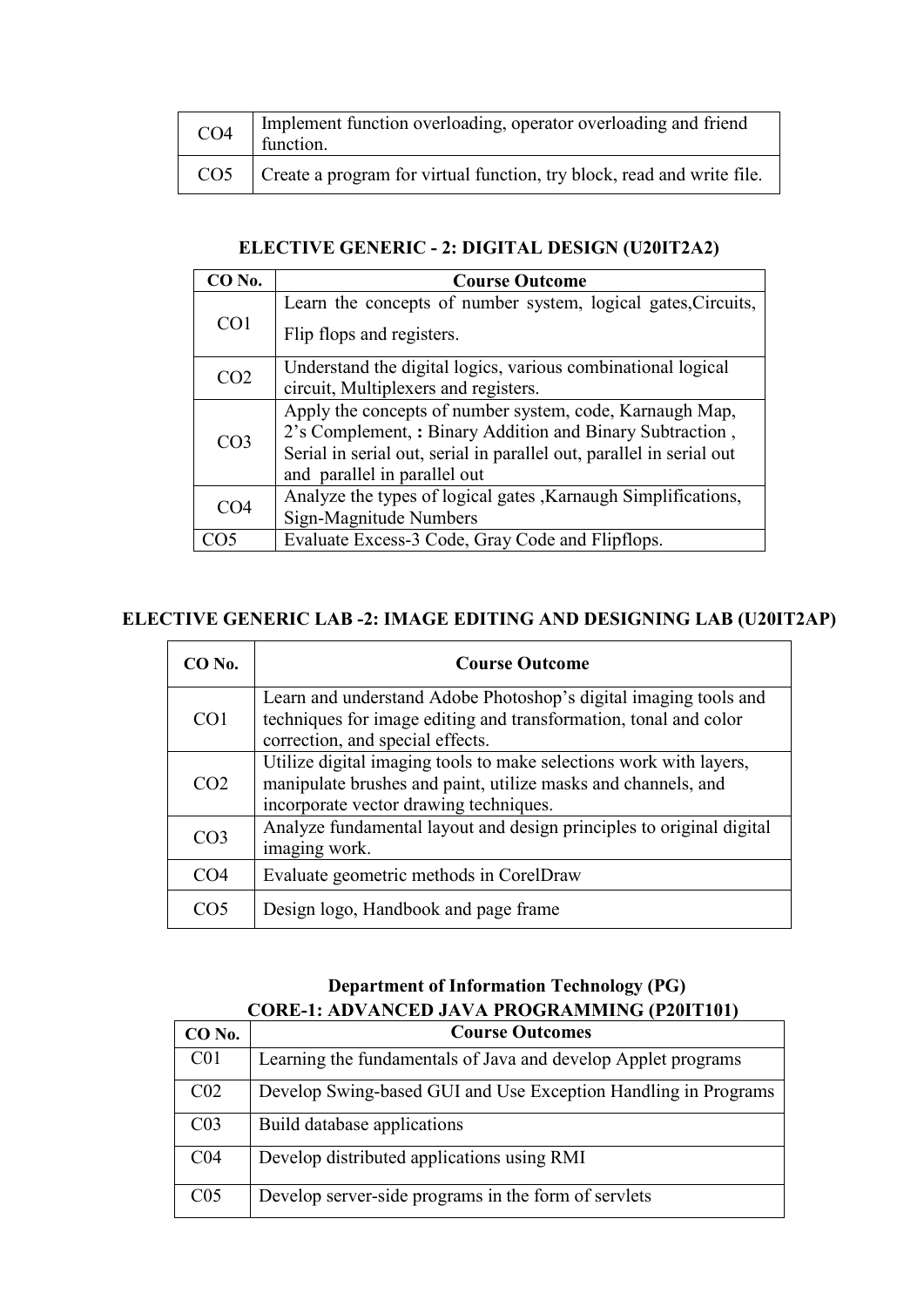| CO <sub>4</sub> | Implement function overloading, operator overloading and friend<br>function. |
|-----------------|------------------------------------------------------------------------------|
| CO <sub>5</sub> | Create a program for virtual function, try block, read and write file.       |

### **ELECTIVE GENERIC - 2: DIGITAL DESIGN (U20IT2A2)**

| CO No.          | <b>Course Outcome</b>                                                |
|-----------------|----------------------------------------------------------------------|
| CO <sub>1</sub> | Learn the concepts of number system, logical gates, Circuits,        |
|                 | Flip flops and registers.                                            |
| CO <sub>2</sub> | Understand the digital logics, various combinational logical         |
|                 | circuit, Multiplexers and registers.                                 |
|                 | Apply the concepts of number system, code, Karnaugh Map,             |
| CO <sub>3</sub> | 2's Complement, : Binary Addition and Binary Subtraction,            |
|                 | Serial in serial out, serial in parallel out, parallel in serial out |
|                 | and parallel in parallel out                                         |
| CO <sub>4</sub> | Analyze the types of logical gates, Karnaugh Simplifications,        |
|                 | Sign-Magnitude Numbers                                               |
|                 | Evaluate Excess-3 Code, Gray Code and Flipflops.                     |

### **ELECTIVE GENERIC LAB -2: IMAGE EDITING AND DESIGNING LAB (U20IT2AP)**

| CO No.          | <b>Course Outcome</b>                                                                                                                                                         |
|-----------------|-------------------------------------------------------------------------------------------------------------------------------------------------------------------------------|
| CO <sub>1</sub> | Learn and understand Adobe Photoshop's digital imaging tools and<br>techniques for image editing and transformation, tonal and color<br>correction, and special effects.      |
| CO <sub>2</sub> | Utilize digital imaging tools to make selections work with layers,<br>manipulate brushes and paint, utilize masks and channels, and<br>incorporate vector drawing techniques. |
| CO <sub>3</sub> | Analyze fundamental layout and design principles to original digital<br>imaging work.                                                                                         |
| CO <sub>4</sub> | Evaluate geometric methods in CorelDraw                                                                                                                                       |
|                 | Design logo, Handbook and page frame                                                                                                                                          |

### **Department of Information Technology (PG) CORE-1: ADVANCED JAVA PROGRAMMING (P20IT101)**

| CO No.          | <b>Course Outcomes</b>                                         |
|-----------------|----------------------------------------------------------------|
| C <sub>01</sub> | Learning the fundamentals of Java and develop Applet programs  |
| CO <sub>2</sub> | Develop Swing-based GUI and Use Exception Handling in Programs |
| CO <sub>3</sub> | Build database applications                                    |
| CO <sub>4</sub> | Develop distributed applications using RMI                     |
| C <sub>05</sub> | Develop server-side programs in the form of servlets           |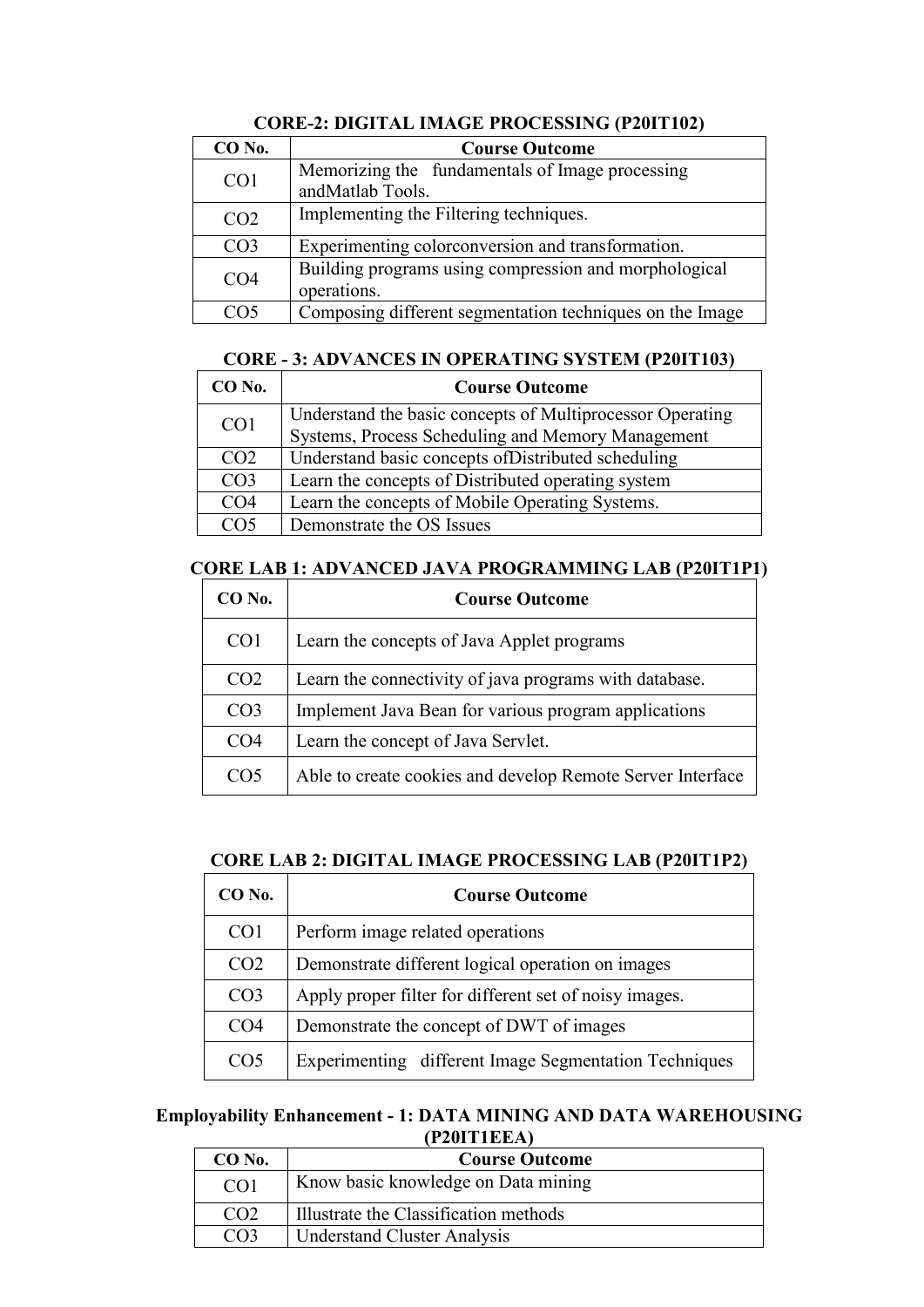| CO No.          | <b>Course Outcome</b>                                                |
|-----------------|----------------------------------------------------------------------|
| CO <sub>1</sub> | Memorizing the fundamentals of Image processing<br>andMatlab Tools.  |
| CO <sub>2</sub> | Implementing the Filtering techniques.                               |
| CO <sub>3</sub> | Experimenting colorconversion and transformation.                    |
| CO <sub>4</sub> | Building programs using compression and morphological<br>operations. |
|                 | Composing different segmentation techniques on the Image             |

### **CORE-2: DIGITAL IMAGE PROCESSING (P20IT102)**

#### **CORE - 3: ADVANCES IN OPERATING SYSTEM (P20IT103)**

| CO No.          | <b>Course Outcome</b>                                     |
|-----------------|-----------------------------------------------------------|
| CO <sub>1</sub> | Understand the basic concepts of Multiprocessor Operating |
|                 | Systems, Process Scheduling and Memory Management         |
| CO <sub>2</sub> | Understand basic concepts of Distributed scheduling       |
| CO <sub>3</sub> | Learn the concepts of Distributed operating system        |
| CO <sub>4</sub> | Learn the concepts of Mobile Operating Systems.           |
| CO5             | Demonstrate the OS Issues                                 |

### **CORE LAB 1: ADVANCED JAVA PROGRAMMING LAB (P20IT1P1)**

| $CO$ No.        | <b>Course Outcome</b>                                      |
|-----------------|------------------------------------------------------------|
| CO <sub>1</sub> | Learn the concepts of Java Applet programs                 |
| CO <sub>2</sub> | Learn the connectivity of java programs with database.     |
| CO <sub>3</sub> | Implement Java Bean for various program applications       |
| CO <sub>4</sub> | Learn the concept of Java Servlet.                         |
| CO <sub>5</sub> | Able to create cookies and develop Remote Server Interface |

### **CORE LAB 2: DIGITAL IMAGE PROCESSING LAB (P20IT1P2)**

| CO No.          | <b>Course Outcome</b>                                  |
|-----------------|--------------------------------------------------------|
| CO <sub>1</sub> | Perform image related operations                       |
| CO <sub>2</sub> | Demonstrate different logical operation on images      |
| CO <sub>3</sub> | Apply proper filter for different set of noisy images. |
| CO <sub>4</sub> | Demonstrate the concept of DWT of images               |
| CO <sub>5</sub> | Experimenting different Image Segmentation Techniques  |

#### **Employability Enhancement - 1: DATA MINING AND DATA WAREHOUSING (P20IT1EEA)**

| CO No.          | <b>Course Outcome</b>                 |
|-----------------|---------------------------------------|
| CO <sub>1</sub> | Know basic knowledge on Data mining   |
| CO <sup>2</sup> | Illustrate the Classification methods |
| $\bigcap$       | <b>Understand Cluster Analysis</b>    |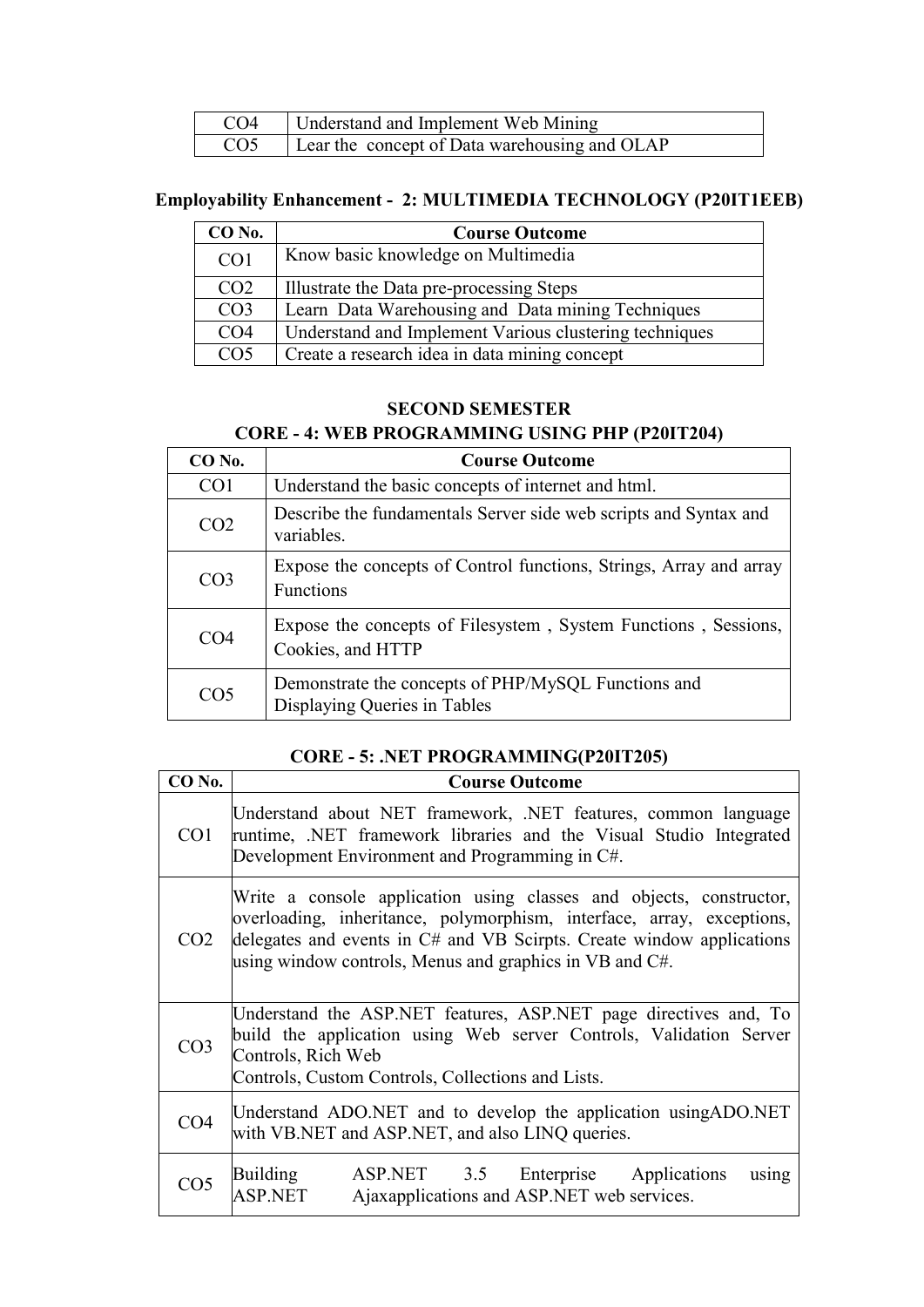| CO <sub>4</sub> | Understand and Implement Web Mining           |
|-----------------|-----------------------------------------------|
| CO <sub>5</sub> | Lear the concept of Data warehousing and OLAP |

### **Employability Enhancement - 2: MULTIMEDIA TECHNOLOGY (P20IT1EEB)**

| $CO$ No.        | <b>Course Outcome</b>                                  |
|-----------------|--------------------------------------------------------|
| CO <sub>1</sub> | Know basic knowledge on Multimedia                     |
| CO <sub>2</sub> | Illustrate the Data pre-processing Steps               |
| CO <sub>3</sub> | Learn Data Warehousing and Data mining Techniques      |
| CO <sub>4</sub> | Understand and Implement Various clustering techniques |
| CO <sub>5</sub> | Create a research idea in data mining concept          |

#### **SECOND SEMESTER**

#### **CORE - 4: WEB PROGRAMMING USING PHP (P20IT204)**

| CO No.          | <b>Course Outcome</b>                                                               |
|-----------------|-------------------------------------------------------------------------------------|
| CO <sub>1</sub> | Understand the basic concepts of internet and html.                                 |
| CO <sub>2</sub> | Describe the fundamentals Server side web scripts and Syntax and<br>variables.      |
| CO <sub>3</sub> | Expose the concepts of Control functions, Strings, Array and array<br>Functions     |
| CO <sub>4</sub> | Expose the concepts of Filesystem, System Functions, Sessions,<br>Cookies, and HTTP |
| CO <sub>5</sub> | Demonstrate the concepts of PHP/MySQL Functions and<br>Displaying Queries in Tables |

### **CORE - 5: .NET PROGRAMMING(P20IT205)**

| CO <sub>No.</sub> | <b>Course Outcome</b>                                                                                                                                                                                                                                                            |
|-------------------|----------------------------------------------------------------------------------------------------------------------------------------------------------------------------------------------------------------------------------------------------------------------------------|
| CO1               | Understand about NET framework, .NET features, common language<br>runtime, .NET framework libraries and the Visual Studio Integrated<br>Development Environment and Programming in C#.                                                                                           |
| CO <sub>2</sub>   | Write a console application using classes and objects, constructor,<br>overloading, inheritance, polymorphism, interface, array, exceptions,<br>delegates and events in C# and VB Scirpts. Create window applications<br>using window controls, Menus and graphics in VB and C#. |
| CO <sub>3</sub>   | Understand the ASP.NET features, ASP.NET page directives and, To<br>build the application using Web server Controls, Validation Server<br>Controls, Rich Web<br>Controls, Custom Controls, Collections and Lists.                                                                |
| CO <sub>4</sub>   | Understand ADO.NET and to develop the application using ADO.NET<br>with VB.NET and ASP.NET, and also LINQ queries.                                                                                                                                                               |
| CO <sub>5</sub>   | <b>Building</b><br>ASP.NET 3.5 Enterprise Applications<br>using<br><b>ASP.NET</b><br>Ajaxapplications and ASP.NET web services.                                                                                                                                                  |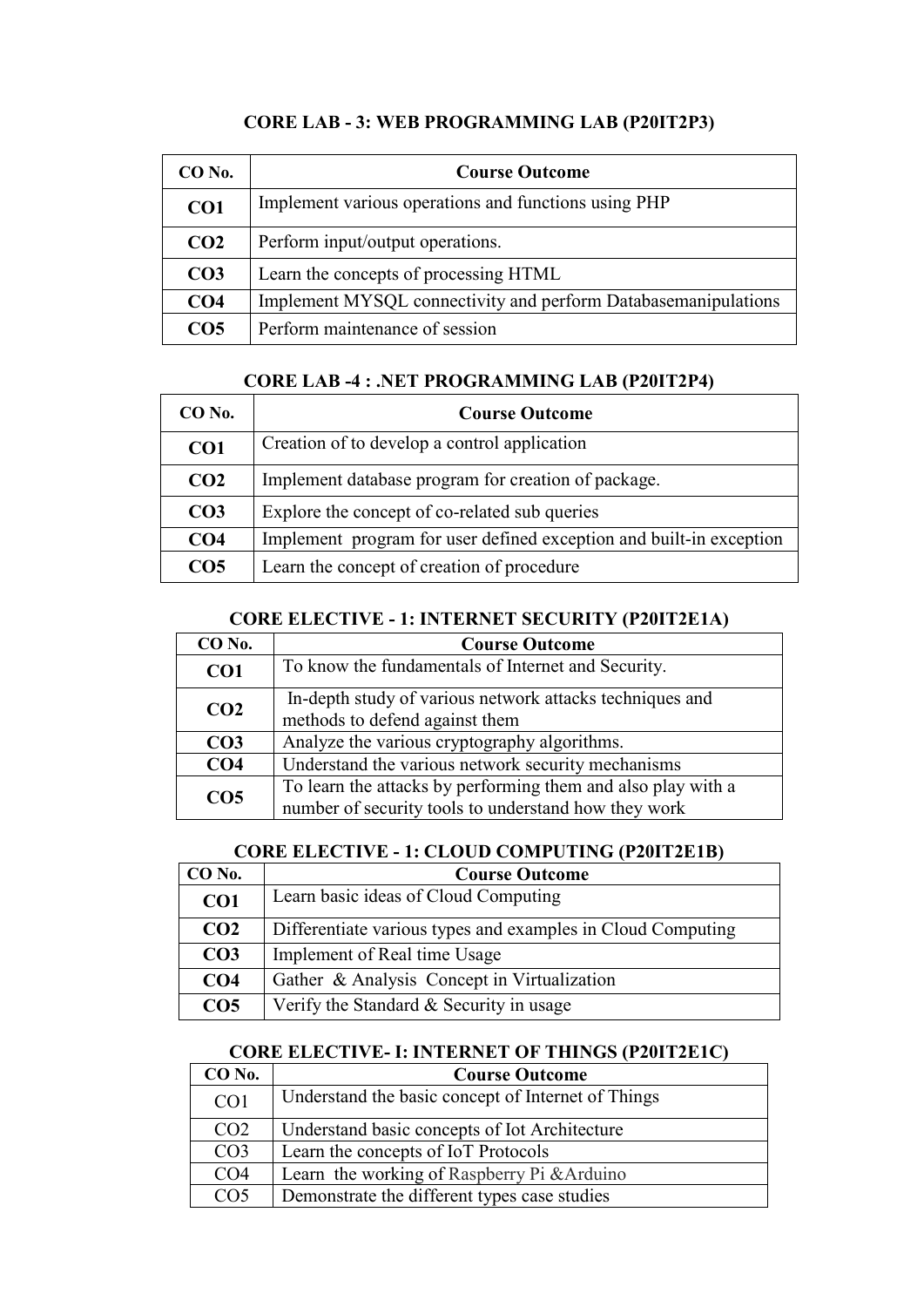| CO No.          | <b>Course Outcome</b>                                          |
|-----------------|----------------------------------------------------------------|
| CO <sub>1</sub> | Implement various operations and functions using PHP           |
| CO <sub>2</sub> | Perform input/output operations.                               |
| CO <sub>3</sub> | Learn the concepts of processing HTML                          |
| CO <sub>4</sub> | Implement MYSQL connectivity and perform Databasemanipulations |
| CO <sub>5</sub> | Perform maintenance of session                                 |

### **CORE LAB - 3: WEB PROGRAMMING LAB (P20IT2P3)**

#### **CORE LAB -4 : .NET PROGRAMMING LAB (P20IT2P4)**

| $CO$ No.        | <b>Course Outcome</b>                                               |
|-----------------|---------------------------------------------------------------------|
| CO <sub>1</sub> | Creation of to develop a control application                        |
| CO <sub>2</sub> | Implement database program for creation of package.                 |
| CO <sub>3</sub> | Explore the concept of co-related sub queries                       |
| CO <sub>4</sub> | Implement program for user defined exception and built-in exception |
| CO <sub>5</sub> | Learn the concept of creation of procedure                          |

#### **CORE ELECTIVE - 1: INTERNET SECURITY (P20IT2E1A)**

| CO <sub>No.</sub> | <b>Course Outcome</b>                                                                                                |
|-------------------|----------------------------------------------------------------------------------------------------------------------|
| CO <sub>1</sub>   | To know the fundamentals of Internet and Security.                                                                   |
| CO <sub>2</sub>   | In-depth study of various network attacks techniques and<br>methods to defend against them                           |
| CO <sub>3</sub>   | Analyze the various cryptography algorithms.                                                                         |
| CO <sub>4</sub>   | Understand the various network security mechanisms                                                                   |
| CO <sub>5</sub>   | To learn the attacks by performing them and also play with a<br>number of security tools to understand how they work |

### **CORE ELECTIVE - 1: CLOUD COMPUTING (P20IT2E1B)**

| CO No.          | <b>Course Outcome</b>                                       |
|-----------------|-------------------------------------------------------------|
| CO1             | Learn basic ideas of Cloud Computing                        |
| CO <sub>2</sub> | Differentiate various types and examples in Cloud Computing |
| CO <sub>3</sub> | Implement of Real time Usage                                |
| CO <sub>4</sub> | Gather & Analysis Concept in Virtualization                 |
| CO <sub>5</sub> | Verify the Standard & Security in usage                     |

#### **CORE ELECTIVE- I: INTERNET OF THINGS (P20IT2E1C)**

| CO No.          | <b>Course Outcome</b>                              |
|-----------------|----------------------------------------------------|
| CO <sub>1</sub> | Understand the basic concept of Internet of Things |
| CO <sub>2</sub> | Understand basic concepts of Iot Architecture      |
| CO <sub>3</sub> | Learn the concepts of IoT Protocols                |
| CO <sub>4</sub> | Learn the working of Raspberry Pi & Arduino        |
| CO <sub>5</sub> | Demonstrate the different types case studies       |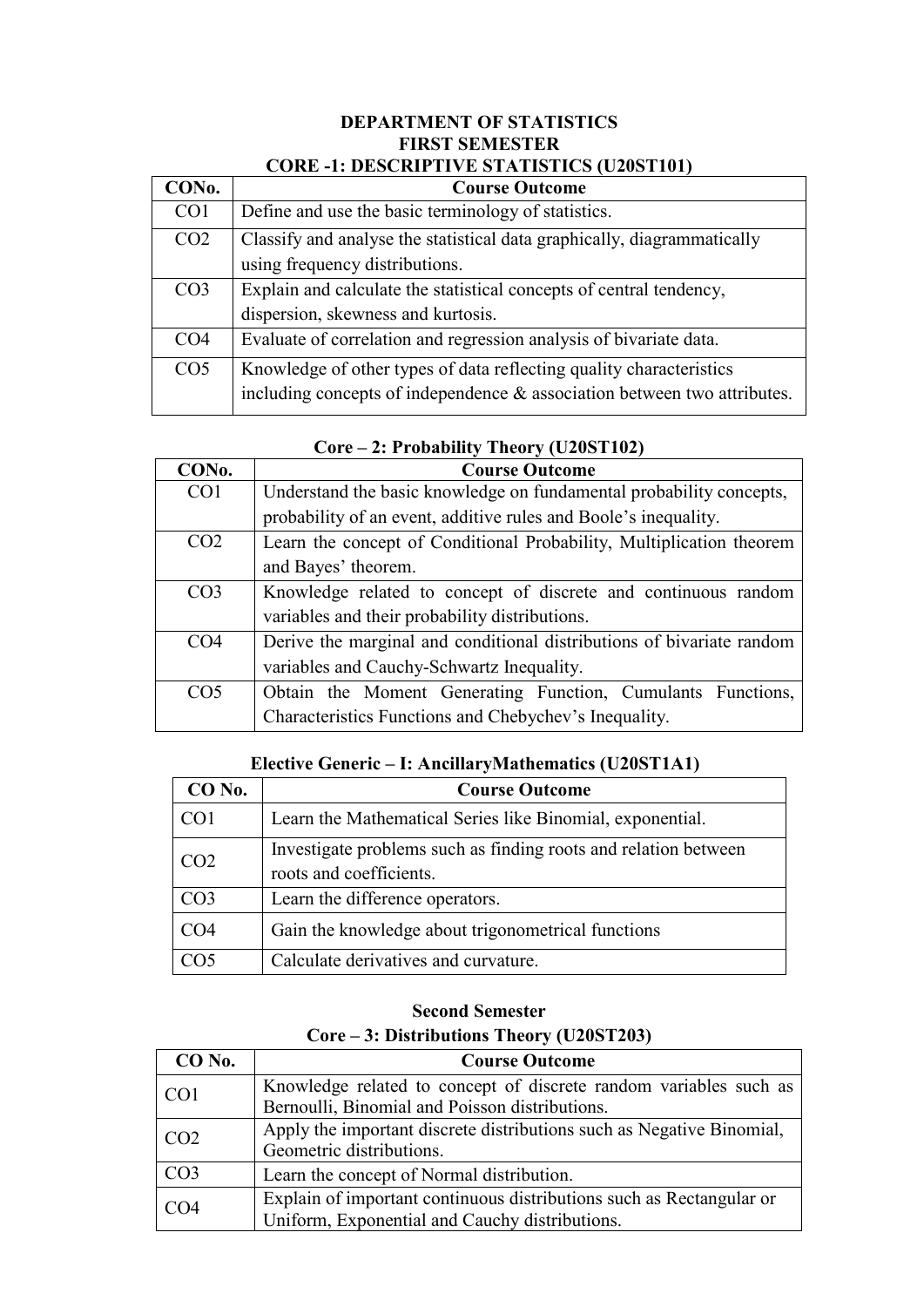#### **DEPARTMENT OF STATISTICS FIRST SEMESTER CORE -1: DESCRIPTIVE STATISTICS (U20ST101)**

| CON <sub>0</sub> . | <b>Course Outcome</b>                                                                                                                              |
|--------------------|----------------------------------------------------------------------------------------------------------------------------------------------------|
| CO <sub>1</sub>    | Define and use the basic terminology of statistics.                                                                                                |
| CO <sub>2</sub>    | Classify and analyse the statistical data graphically, diagrammatically<br>using frequency distributions.                                          |
| CO <sub>3</sub>    | Explain and calculate the statistical concepts of central tendency,<br>dispersion, skewness and kurtosis.                                          |
| CO <sub>4</sub>    | Evaluate of correlation and regression analysis of bivariate data.                                                                                 |
| CO <sub>5</sub>    | Knowledge of other types of data reflecting quality characteristics<br>including concepts of independence $\&$ association between two attributes. |

| CON <sub>0</sub> . | <b>Course Outcome</b>                                                 |
|--------------------|-----------------------------------------------------------------------|
| CO <sub>1</sub>    | Understand the basic knowledge on fundamental probability concepts,   |
|                    | probability of an event, additive rules and Boole's inequality.       |
| CO <sub>2</sub>    | Learn the concept of Conditional Probability, Multiplication theorem  |
|                    | and Bayes' theorem.                                                   |
| CO <sub>3</sub>    | Knowledge related to concept of discrete and continuous random        |
|                    | variables and their probability distributions.                        |
| CO <sub>4</sub>    | Derive the marginal and conditional distributions of bivariate random |
|                    | variables and Cauchy-Schwartz Inequality.                             |
| CO <sub>5</sub>    | Obtain the Moment Generating Function, Cumulants Functions,           |
|                    | Characteristics Functions and Chebychev's Inequality.                 |

### **Core – 2: Probability Theory (U20ST102)**

### **Elective Generic – I: AncillaryMathematics (U20ST1A1)**

| CO No.          | <b>Course Outcome</b>                                                                      |
|-----------------|--------------------------------------------------------------------------------------------|
| CO <sub>1</sub> | Learn the Mathematical Series like Binomial, exponential.                                  |
| CO <sub>2</sub> | Investigate problems such as finding roots and relation between<br>roots and coefficients. |
| CO <sub>3</sub> | Learn the difference operators.                                                            |
| CO <sub>4</sub> | Gain the knowledge about trigonometrical functions                                         |
| CO5             | Calculate derivatives and curvature.                                                       |

### **Second Semester Core – 3: Distributions Theory (U20ST203)**

| $CO$ No.        | <b>Course Outcome</b>                                                 |
|-----------------|-----------------------------------------------------------------------|
| CO <sub>1</sub> | Knowledge related to concept of discrete random variables such as     |
|                 | Bernoulli, Binomial and Poisson distributions.                        |
| CO <sub>2</sub> | Apply the important discrete distributions such as Negative Binomial, |
|                 | Geometric distributions.                                              |
| CO <sub>3</sub> | Learn the concept of Normal distribution.                             |
| CO <sub>4</sub> | Explain of important continuous distributions such as Rectangular or  |
|                 | Uniform, Exponential and Cauchy distributions.                        |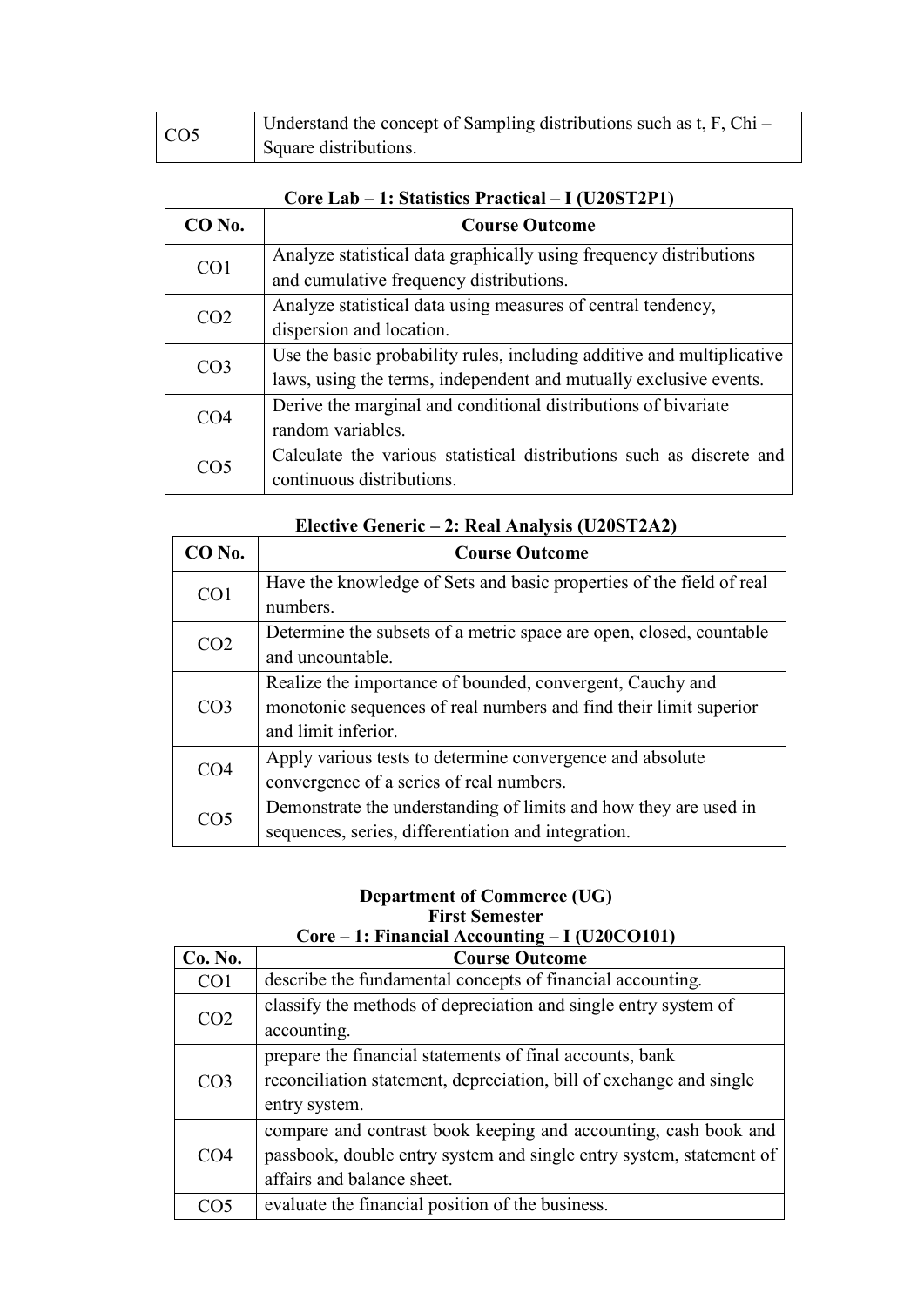| CO <sub>5</sub> | Understand the concept of Sampling distributions such as $t, F, Chi -$ |
|-----------------|------------------------------------------------------------------------|
|                 | Square distributions.                                                  |

| $CO$ No.        | <b>Course Outcome</b>                                                  |
|-----------------|------------------------------------------------------------------------|
| CO <sub>1</sub> | Analyze statistical data graphically using frequency distributions     |
|                 | and cumulative frequency distributions.                                |
| CO <sub>2</sub> | Analyze statistical data using measures of central tendency,           |
|                 | dispersion and location.                                               |
| CO <sub>3</sub> | Use the basic probability rules, including additive and multiplicative |
|                 | laws, using the terms, independent and mutually exclusive events.      |
| CO <sub>4</sub> | Derive the marginal and conditional distributions of bivariate         |
|                 | random variables.                                                      |
| CO5             | Calculate the various statistical distributions such as discrete and   |
|                 | continuous distributions.                                              |

### **Core Lab – 1: Statistics Practical – I (U20ST2P1)**

| <b>CO No.</b>   | <b>Course Outcome</b>                                                                                                                                 |
|-----------------|-------------------------------------------------------------------------------------------------------------------------------------------------------|
| CO <sub>1</sub> | Have the knowledge of Sets and basic properties of the field of real<br>numbers.                                                                      |
| CO <sub>2</sub> | Determine the subsets of a metric space are open, closed, countable<br>and uncountable.                                                               |
| CO <sub>3</sub> | Realize the importance of bounded, convergent, Cauchy and<br>monotonic sequences of real numbers and find their limit superior<br>and limit inferior. |
| CO <sub>4</sub> | Apply various tests to determine convergence and absolute<br>convergence of a series of real numbers.                                                 |
| CO <sub>5</sub> | Demonstrate the understanding of limits and how they are used in<br>sequences, series, differentiation and integration.                               |

### **Elective Generic – 2: Real Analysis (U20ST2A2)**

#### **Department of Commerce (UG) First Semester Core – 1: Financial Accounting – I (U20CO101)**

| $C$ <sub>UI</sub> C – 1, Financial Accounting – 1 (UZUC OTUT) |                                                                     |
|---------------------------------------------------------------|---------------------------------------------------------------------|
| Co. No.                                                       | <b>Course Outcome</b>                                               |
| CO <sub>1</sub>                                               | describe the fundamental concepts of financial accounting.          |
| CO <sub>2</sub>                                               | classify the methods of depreciation and single entry system of     |
|                                                               | accounting.                                                         |
| CO <sub>3</sub>                                               | prepare the financial statements of final accounts, bank            |
|                                                               | reconciliation statement, depreciation, bill of exchange and single |
|                                                               | entry system.                                                       |
| CO <sub>4</sub>                                               | compare and contrast book keeping and accounting, cash book and     |
|                                                               | passbook, double entry system and single entry system, statement of |
|                                                               | affairs and balance sheet.                                          |
| 205                                                           | evaluate the financial position of the business.                    |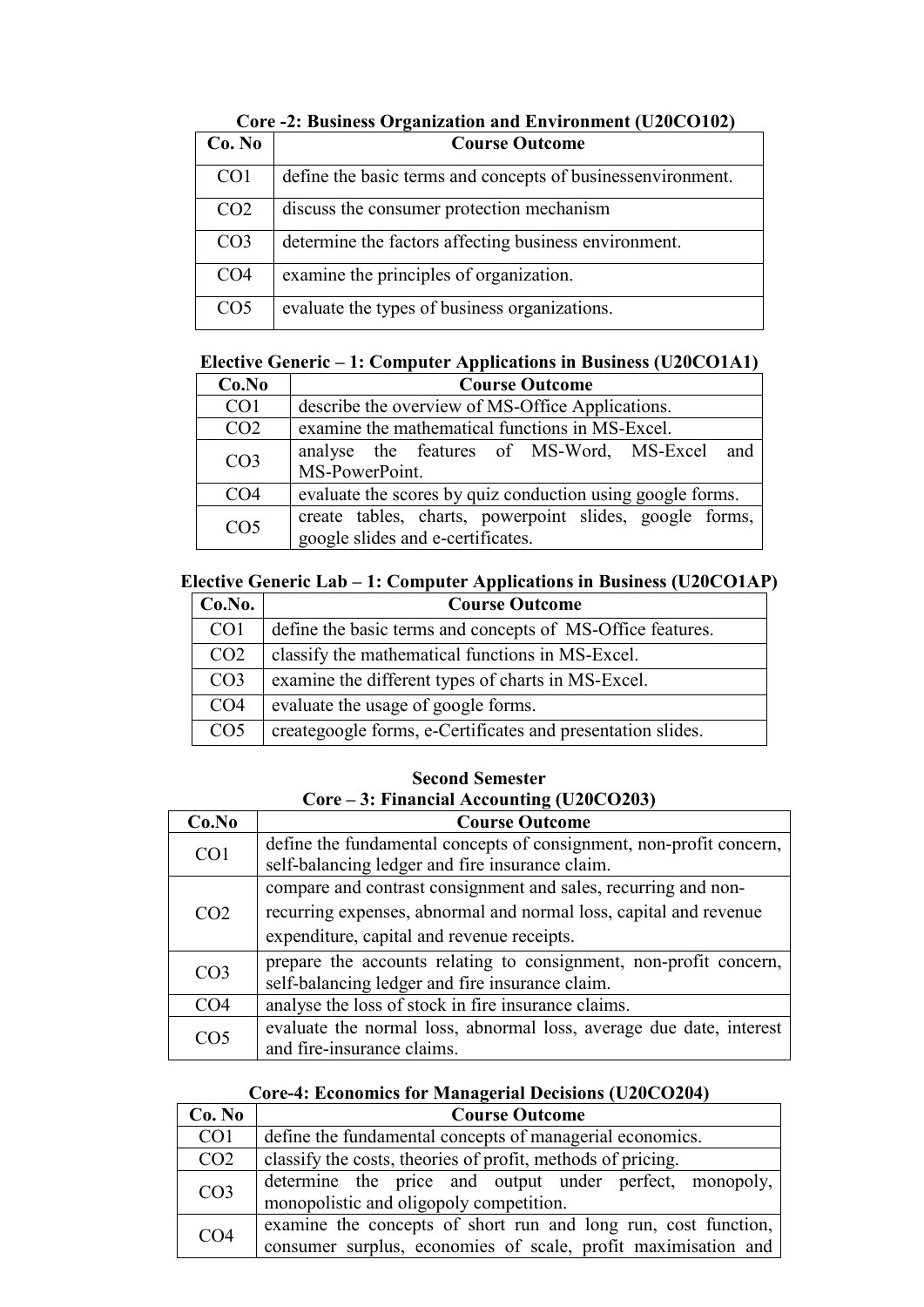| Core <b>E:</b> Dusiness Organization and Environment (CE0CO10E) |                                                             |
|-----------------------------------------------------------------|-------------------------------------------------------------|
| Co. No                                                          | <b>Course Outcome</b>                                       |
| CO <sub>1</sub>                                                 | define the basic terms and concepts of businessenvironment. |
| CO <sub>2</sub>                                                 | discuss the consumer protection mechanism                   |
| CO <sub>3</sub>                                                 | determine the factors affecting business environment.       |
| CO <sub>4</sub>                                                 | examine the principles of organization.                     |
| CO <sub>5</sub>                                                 | evaluate the types of business organizations.               |

### **Core -2: Business Organization and Environment (U20CO102)**

### **Elective Generic – 1: Computer Applications in Business (U20CO1A1)**

| Co.No           | <b>Course Outcome</b>                                                                        |  |  |  |  |
|-----------------|----------------------------------------------------------------------------------------------|--|--|--|--|
| CO <sub>1</sub> | describe the overview of MS-Office Applications.                                             |  |  |  |  |
| CO <sub>2</sub> | examine the mathematical functions in MS-Excel.                                              |  |  |  |  |
| CO <sub>3</sub> | analyse the features of MS-Word, MS-Excel and<br>MS-PowerPoint.                              |  |  |  |  |
| CO <sub>4</sub> | evaluate the scores by quiz conduction using google forms.                                   |  |  |  |  |
| CO <sub>5</sub> | create tables, charts, powerpoint slides, google forms,<br>google slides and e-certificates. |  |  |  |  |

### **Elective Generic Lab – 1: Computer Applications in Business (U20CO1AP)**

| Co.No.          | <b>Course Outcome</b>                                       |  |
|-----------------|-------------------------------------------------------------|--|
| CO <sub>1</sub> | define the basic terms and concepts of MS-Office features.  |  |
| CO <sub>2</sub> | classify the mathematical functions in MS-Excel.            |  |
| CO <sub>3</sub> | examine the different types of charts in MS-Excel.          |  |
| CO <sub>4</sub> | evaluate the usage of google forms.                         |  |
| CO <sub>5</sub> | creategoogle forms, e-Certificates and presentation slides. |  |

### **Second Semester Core – 3: Financial Accounting (U20CO203)**

| Co.No           | <b>Course Outcome</b>                                               |  |  |
|-----------------|---------------------------------------------------------------------|--|--|
| CO <sub>1</sub> | define the fundamental concepts of consignment, non-profit concern, |  |  |
|                 | self-balancing ledger and fire insurance claim.                     |  |  |
|                 | compare and contrast consignment and sales, recurring and non-      |  |  |
| CO <sub>2</sub> | recurring expenses, abnormal and normal loss, capital and revenue   |  |  |
|                 | expenditure, capital and revenue receipts.                          |  |  |
| CO <sub>3</sub> | prepare the accounts relating to consignment, non-profit concern,   |  |  |
|                 | self-balancing ledger and fire insurance claim.                     |  |  |
| CO <sub>4</sub> | analyse the loss of stock in fire insurance claims.                 |  |  |
| CO <sub>5</sub> | evaluate the normal loss, abnormal loss, average due date, interest |  |  |
|                 | and fire-insurance claims.                                          |  |  |

### **Core-4: Economics for Managerial Decisions (U20CO204)**

| Co. No          | <b>Course Outcome</b>                                                                                                           |  |  |  |
|-----------------|---------------------------------------------------------------------------------------------------------------------------------|--|--|--|
| CO <sub>1</sub> | define the fundamental concepts of managerial economics.                                                                        |  |  |  |
| CO <sub>2</sub> | classify the costs, theories of profit, methods of pricing.                                                                     |  |  |  |
| CO <sub>3</sub> | determine the price and output under perfect, monopoly,<br>monopolistic and oligopoly competition.                              |  |  |  |
| CO <sub>4</sub> | examine the concepts of short run and long run, cost function,<br>consumer surplus, economies of scale, profit maximisation and |  |  |  |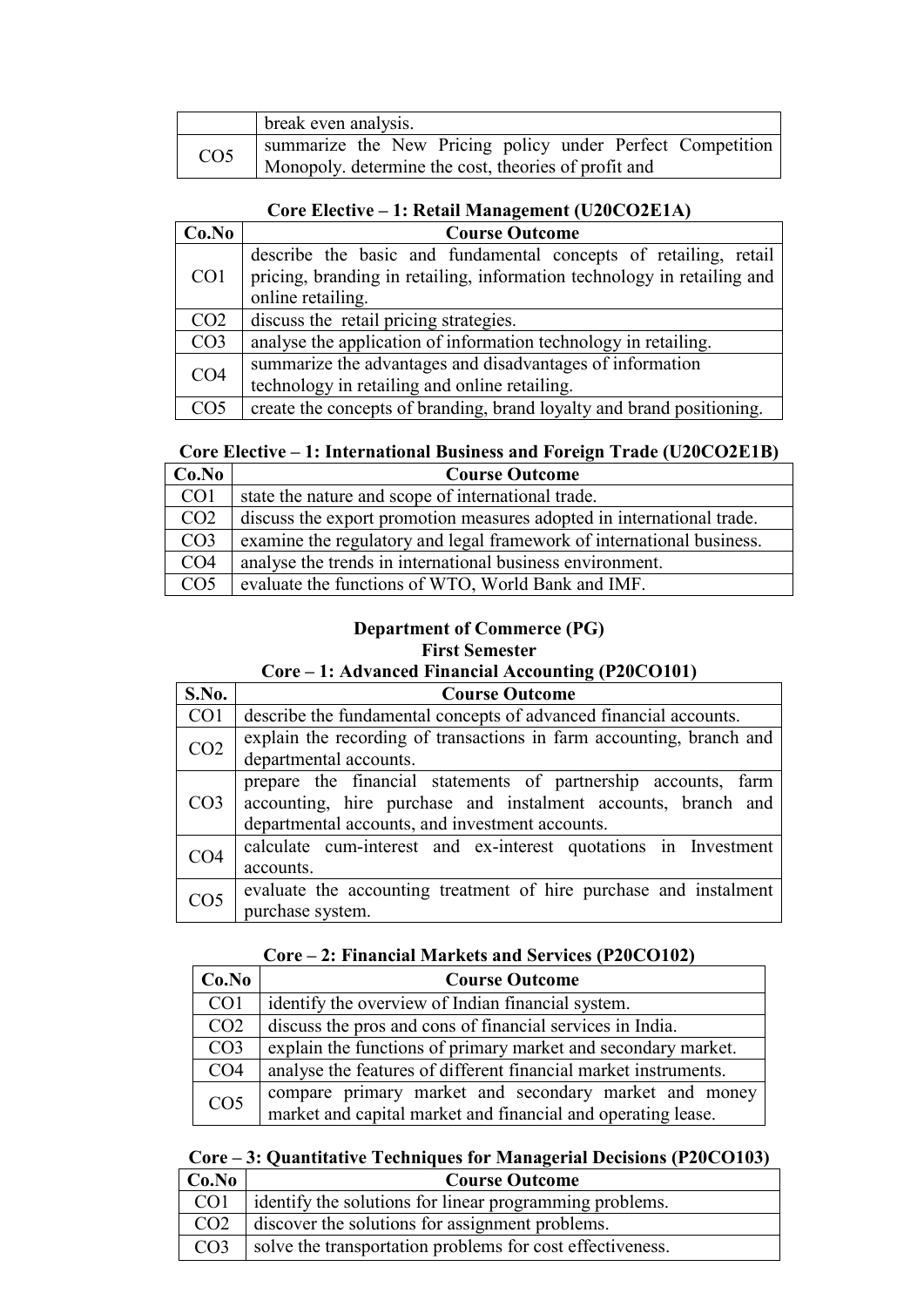|                 | break even analysis.                                       |  |  |  |
|-----------------|------------------------------------------------------------|--|--|--|
| CO <sub>5</sub> | summarize the New Pricing policy under Perfect Competition |  |  |  |
|                 | Monopoly. determine the cost, theories of profit and       |  |  |  |

#### **Core Elective – 1: Retail Management (U20CO2E1A)**

| Co.No           | <b>Course Outcome</b>                                                   |  |  |
|-----------------|-------------------------------------------------------------------------|--|--|
| CO <sub>1</sub> | describe the basic and fundamental concepts of retailing, retail        |  |  |
|                 | pricing, branding in retailing, information technology in retailing and |  |  |
|                 | online retailing.                                                       |  |  |
| CO <sub>2</sub> | discuss the retail pricing strategies.                                  |  |  |
| CO <sub>3</sub> | analyse the application of information technology in retailing.         |  |  |
| CO <sub>4</sub> | summarize the advantages and disadvantages of information               |  |  |
|                 | technology in retailing and online retailing.                           |  |  |
| CO <sub>5</sub> | create the concepts of branding, brand loyalty and brand positioning.   |  |  |

### **Core Elective – 1: International Business and Foreign Trade (U20CO2E1B)**

| Co.No           | <b>Course Outcome</b>                                                 |  |
|-----------------|-----------------------------------------------------------------------|--|
| CO <sub>1</sub> | state the nature and scope of international trade.                    |  |
| CO <sub>2</sub> | discuss the export promotion measures adopted in international trade. |  |
| CO <sub>3</sub> | examine the regulatory and legal framework of international business. |  |
| CO <sub>4</sub> | analyse the trends in international business environment.             |  |
| CO <sub>5</sub> | evaluate the functions of WTO, World Bank and IMF.                    |  |

### **Department of Commerce (PG) First Semester**

### **Core – 1: Advanced Financial Accounting (P20CO101)**

| S.No.           | <b>Course Outcome</b>                                                                                                                                                              |  |  |
|-----------------|------------------------------------------------------------------------------------------------------------------------------------------------------------------------------------|--|--|
| CO <sub>1</sub> | describe the fundamental concepts of advanced financial accounts.                                                                                                                  |  |  |
| CO <sub>2</sub> | explain the recording of transactions in farm accounting, branch and<br>departmental accounts.                                                                                     |  |  |
| CO <sub>3</sub> | prepare the financial statements of partnership accounts, farm<br>accounting, hire purchase and instalment accounts, branch and<br>departmental accounts, and investment accounts. |  |  |
| CO <sub>4</sub> | calculate cum-interest and ex-interest quotations in Investment<br>accounts.                                                                                                       |  |  |
| CO <sub>5</sub> | evaluate the accounting treatment of hire purchase and instalment<br>purchase system.                                                                                              |  |  |

#### **Core – 2: Financial Markets and Services (P20CO102)**

| Co.No           | <b>Course Outcome</b>                                                                                                 |  |
|-----------------|-----------------------------------------------------------------------------------------------------------------------|--|
| CO <sub>1</sub> | identify the overview of Indian financial system.                                                                     |  |
| CO <sub>2</sub> | discuss the pros and cons of financial services in India.                                                             |  |
| CO <sub>3</sub> | explain the functions of primary market and secondary market.                                                         |  |
| CO <sub>4</sub> | analyse the features of different financial market instruments.                                                       |  |
| CO <sub>5</sub> | compare primary market and secondary market and money<br>market and capital market and financial and operating lease. |  |

# **Core – 3: Quantitative Techniques for Managerial Decisions (P20CO103)**

| Co.No           | <b>Course Outcome</b>                                     |
|-----------------|-----------------------------------------------------------|
| CO <sub>1</sub> | identify the solutions for linear programming problems.   |
| CO <sub>2</sub> | discover the solutions for assignment problems.           |
| CO <sub>3</sub> | solve the transportation problems for cost effectiveness. |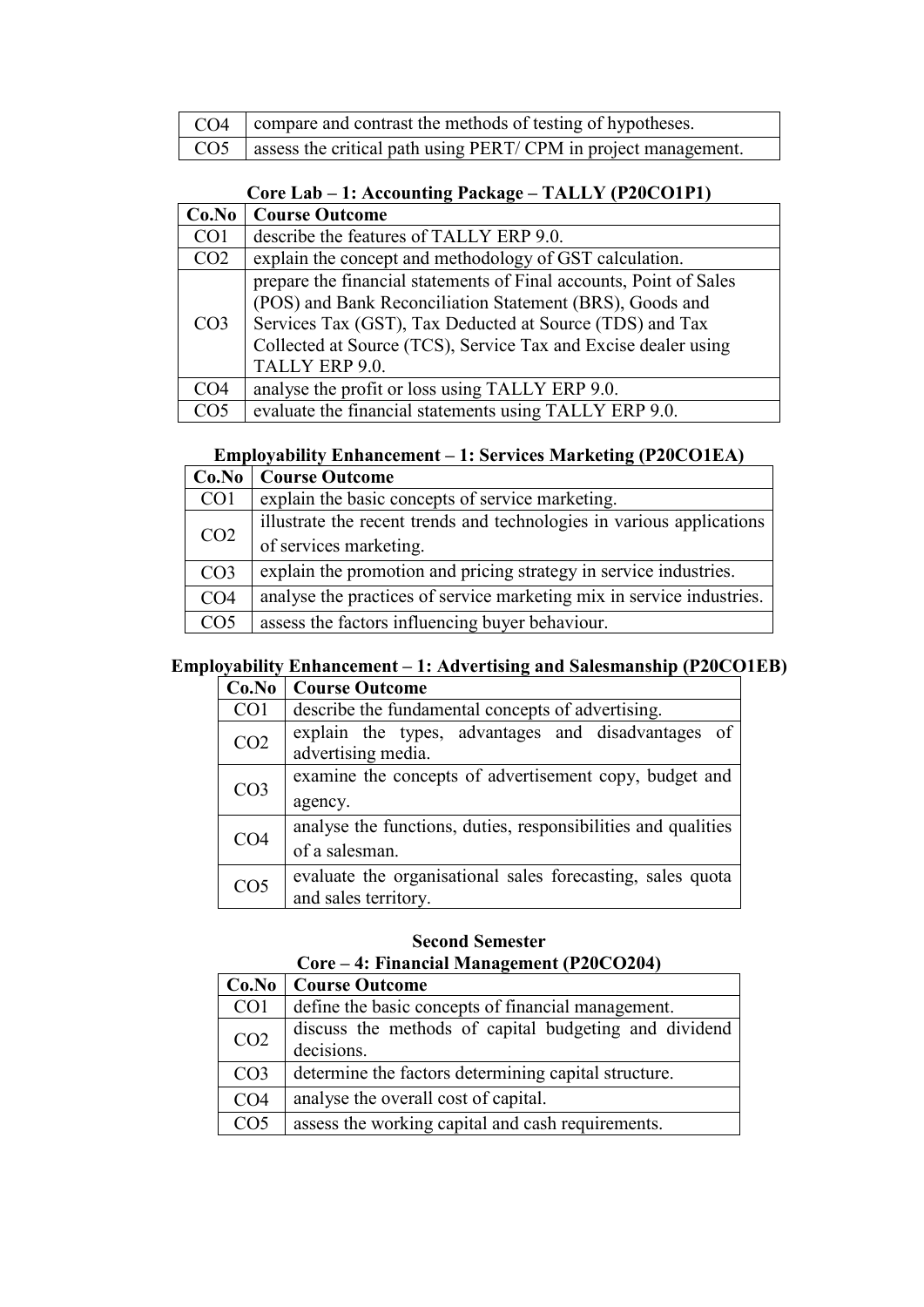| CO4   compare and contrast the methods of testing of hypotheses.                   |  |  |
|------------------------------------------------------------------------------------|--|--|
| $\vert$ CO5 $\vert$ assess the critical path using PERT/CPM in project management. |  |  |

| Core Lab – 1: Accounting Package – TALLY (P20CO1P1) |  |  |
|-----------------------------------------------------|--|--|
|-----------------------------------------------------|--|--|

| Co.No           | <b>Course Outcome</b>                                                                                                                                                                                                                                                          |
|-----------------|--------------------------------------------------------------------------------------------------------------------------------------------------------------------------------------------------------------------------------------------------------------------------------|
| CO <sub>1</sub> | describe the features of TALLY ERP 9.0.                                                                                                                                                                                                                                        |
| CO <sub>2</sub> | explain the concept and methodology of GST calculation.                                                                                                                                                                                                                        |
| CO <sub>3</sub> | prepare the financial statements of Final accounts, Point of Sales<br>(POS) and Bank Reconciliation Statement (BRS), Goods and<br>Services Tax (GST), Tax Deducted at Source (TDS) and Tax<br>Collected at Source (TCS), Service Tax and Excise dealer using<br>TALLY ERP 9.0. |
| CO <sub>4</sub> | analyse the profit or loss using TALLY ERP 9.0.                                                                                                                                                                                                                                |
| CO5             | evaluate the financial statements using TALLY ERP 9.0.                                                                                                                                                                                                                         |

### **Employability Enhancement – 1: Services Marketing (P20CO1EA)**

|                 | <b>Co.No</b>   Course Outcome                                         |
|-----------------|-----------------------------------------------------------------------|
| CO <sub>1</sub> | explain the basic concepts of service marketing.                      |
| CO <sub>2</sub> | illustrate the recent trends and technologies in various applications |
|                 | of services marketing.                                                |
| CO <sub>3</sub> | explain the promotion and pricing strategy in service industries.     |
| CO <sub>4</sub> | analyse the practices of service marketing mix in service industries. |
| CO <sub>5</sub> | assess the factors influencing buyer behaviour.                       |

### **Employability Enhancement – 1: Advertising and Salesmanship (P20CO1EB)**

| Co.No           | <b>Course Outcome</b>                                                              |
|-----------------|------------------------------------------------------------------------------------|
| CO <sub>1</sub> | describe the fundamental concepts of advertising.                                  |
| CO <sub>2</sub> | explain the types, advantages and disadvantages of<br>advertising media.           |
| CO <sub>3</sub> | examine the concepts of advertisement copy, budget and<br>agency.                  |
| CO <sub>4</sub> | analyse the functions, duties, responsibilities and qualities<br>of a salesman.    |
| CO <sub>5</sub> | evaluate the organisational sales forecasting, sales quota<br>and sales territory. |

#### **Second Semester**

| Core – 4: Financial Management (P20CO204) |                                                                     |
|-------------------------------------------|---------------------------------------------------------------------|
| Co.No                                     | <b>Course Outcome</b>                                               |
| CO <sub>1</sub>                           | define the basic concepts of financial management.                  |
| CO <sub>2</sub>                           | discuss the methods of capital budgeting and dividend<br>decisions. |
| CO <sub>3</sub>                           | determine the factors determining capital structure.                |
| CO <sub>4</sub>                           | analyse the overall cost of capital.                                |
| CO <sub>5</sub>                           | assess the working capital and cash requirements.                   |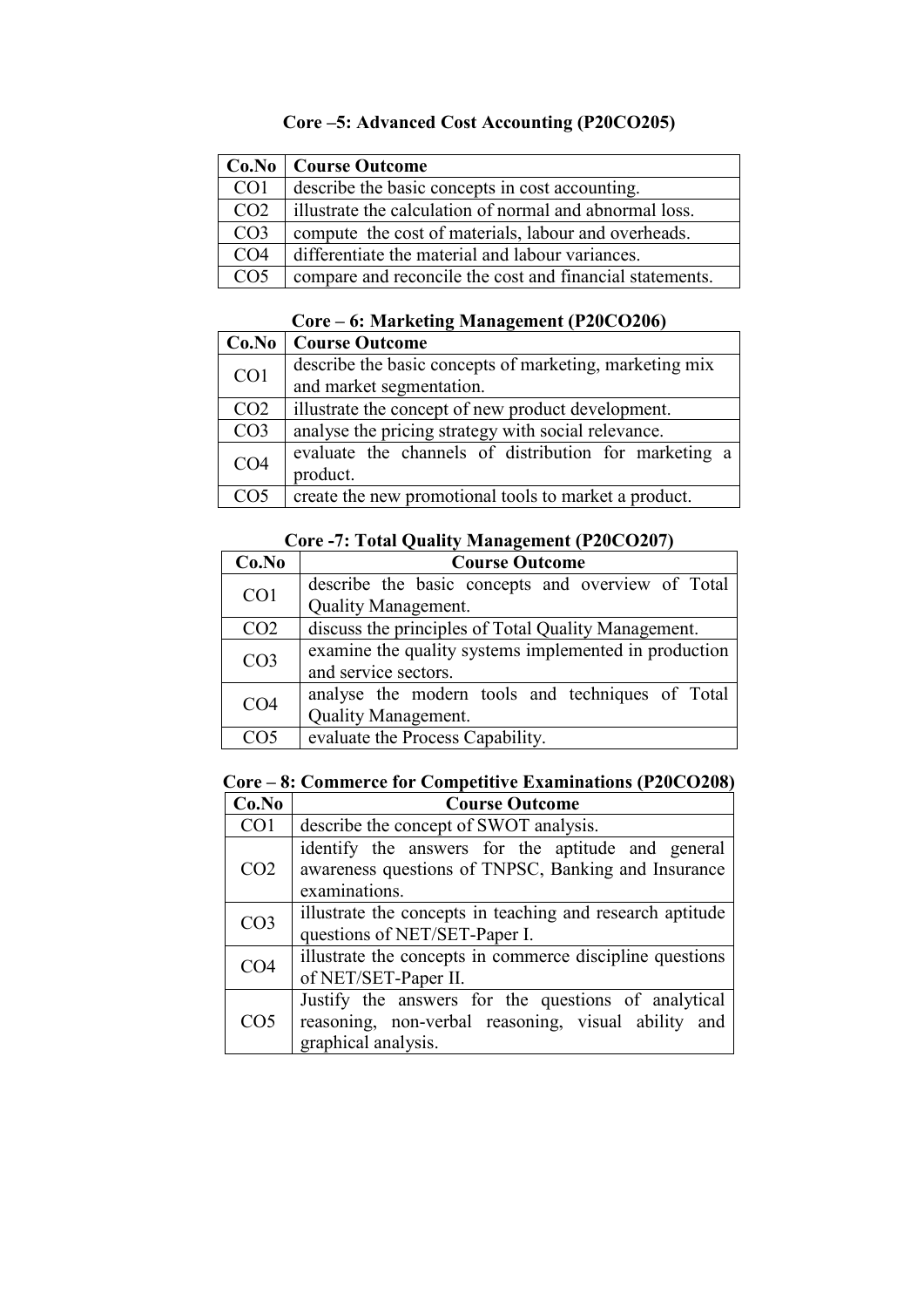### **Core –5: Advanced Cost Accounting (P20CO205)**

|                 | Co.No   Course Outcome                                   |
|-----------------|----------------------------------------------------------|
| CO <sub>1</sub> | describe the basic concepts in cost accounting.          |
| CO <sub>2</sub> | illustrate the calculation of normal and abnormal loss.  |
| CO <sub>3</sub> | compute the cost of materials, labour and overheads.     |
| CO <sub>4</sub> | differentiate the material and labour variances.         |
| CO <sub>5</sub> | compare and reconcile the cost and financial statements. |

### **Core – 6: Marketing Management (P20CO206)**

|                 | <b>Co.No</b>   Course Outcome                           |
|-----------------|---------------------------------------------------------|
| CO1             | describe the basic concepts of marketing, marketing mix |
|                 | and market segmentation.                                |
| CO <sub>2</sub> | illustrate the concept of new product development.      |
| CO <sub>3</sub> | analyse the pricing strategy with social relevance.     |
| CO <sub>4</sub> | evaluate the channels of distribution for marketing a   |
|                 | product.                                                |
| CO <sub>5</sub> | create the new promotional tools to market a product.   |

### **Core -7: Total Quality Management (P20CO207)**

| Co.No           | <b>Course Outcome</b>                                 |
|-----------------|-------------------------------------------------------|
| CO <sub>1</sub> | describe the basic concepts and overview of Total     |
|                 | Quality Management.                                   |
| CO <sub>2</sub> | discuss the principles of Total Quality Management.   |
| CO <sub>3</sub> | examine the quality systems implemented in production |
|                 | and service sectors.                                  |
| CO <sub>4</sub> | analyse the modern tools and techniques of Total      |
|                 | <b>Quality Management.</b>                            |
| CO5             | evaluate the Process Capability.                      |

### **Core – 8: Commerce for Competitive Examinations (P20CO208)**

| Co.No           | <b>Course Outcome</b>                                                                                                             |
|-----------------|-----------------------------------------------------------------------------------------------------------------------------------|
| CO <sub>1</sub> | describe the concept of SWOT analysis.                                                                                            |
| CO <sub>2</sub> | identify the answers for the aptitude and general<br>awareness questions of TNPSC, Banking and Insurance<br>examinations.         |
| CO <sub>3</sub> | illustrate the concepts in teaching and research aptitude<br>questions of NET/SET-Paper I.                                        |
| CO <sub>4</sub> | illustrate the concepts in commerce discipline questions<br>of NET/SET-Paper II.                                                  |
| CO <sub>5</sub> | Justify the answers for the questions of analytical<br>reasoning, non-verbal reasoning, visual ability and<br>graphical analysis. |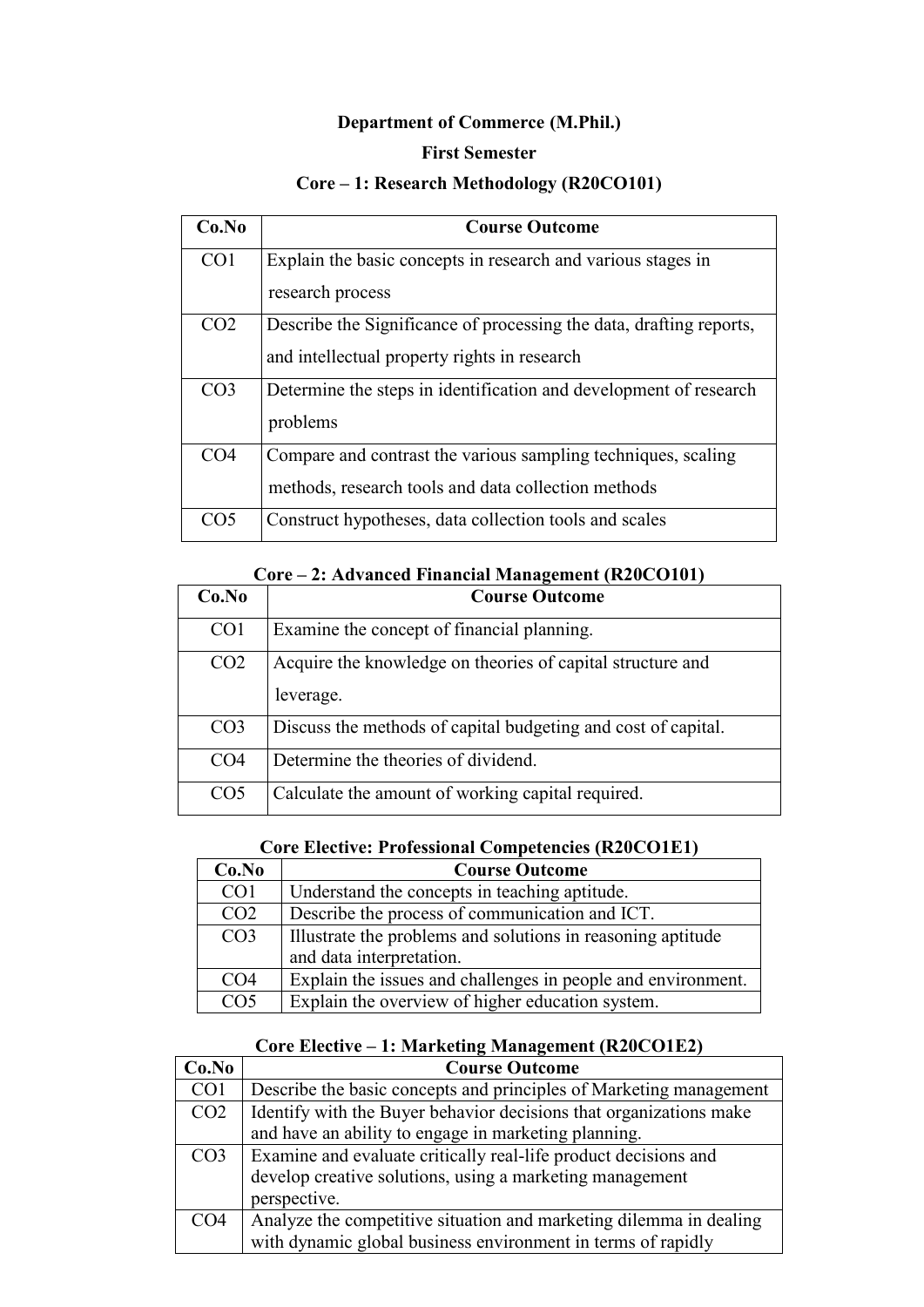### **Department of Commerce (M.Phil.)**

#### **First Semester**

### **Core – 1: Research Methodology (R20CO101)**

| Co.No           | <b>Course Outcome</b>                                               |
|-----------------|---------------------------------------------------------------------|
| CO <sub>1</sub> | Explain the basic concepts in research and various stages in        |
|                 | research process                                                    |
| CO <sub>2</sub> | Describe the Significance of processing the data, drafting reports, |
|                 | and intellectual property rights in research                        |
| CO <sub>3</sub> | Determine the steps in identification and development of research   |
|                 | problems                                                            |
| CO <sub>4</sub> | Compare and contrast the various sampling techniques, scaling       |
|                 | methods, research tools and data collection methods                 |
| CO <sub>5</sub> | Construct hypotheses, data collection tools and scales              |

### **Core – 2: Advanced Financial Management (R20CO101)**

| Co.No           | <b>Course Outcome</b>                                                   |
|-----------------|-------------------------------------------------------------------------|
| CO <sub>1</sub> | Examine the concept of financial planning.                              |
| CO <sub>2</sub> | Acquire the knowledge on theories of capital structure and<br>leverage. |
| CO <sub>3</sub> | Discuss the methods of capital budgeting and cost of capital.           |
| CO <sub>4</sub> | Determine the theories of dividend.                                     |
| CO <sub>5</sub> | Calculate the amount of working capital required.                       |

### **Core Elective: Professional Competencies (R20CO1E1)**

| Co.No           | <b>Course Outcome</b>                                        |
|-----------------|--------------------------------------------------------------|
| CO1             | Understand the concepts in teaching aptitude.                |
| CO <sub>2</sub> | Describe the process of communication and ICT.               |
| CO <sub>3</sub> | Illustrate the problems and solutions in reasoning aptitude  |
|                 | and data interpretation.                                     |
| CO <sub>4</sub> | Explain the issues and challenges in people and environment. |
| CO <sub>5</sub> | Explain the overview of higher education system.             |

### **Core Elective – 1: Marketing Management (R20CO1E2)**

| Co.No           | <b>Course Outcome</b>                                              |
|-----------------|--------------------------------------------------------------------|
| CO <sub>1</sub> | Describe the basic concepts and principles of Marketing management |
| CO <sub>2</sub> | Identify with the Buyer behavior decisions that organizations make |
|                 | and have an ability to engage in marketing planning.               |
| CO <sub>3</sub> | Examine and evaluate critically real-life product decisions and    |
|                 | develop creative solutions, using a marketing management           |
|                 | perspective.                                                       |
| CO <sub>4</sub> | Analyze the competitive situation and marketing dilemma in dealing |
|                 | with dynamic global business environment in terms of rapidly       |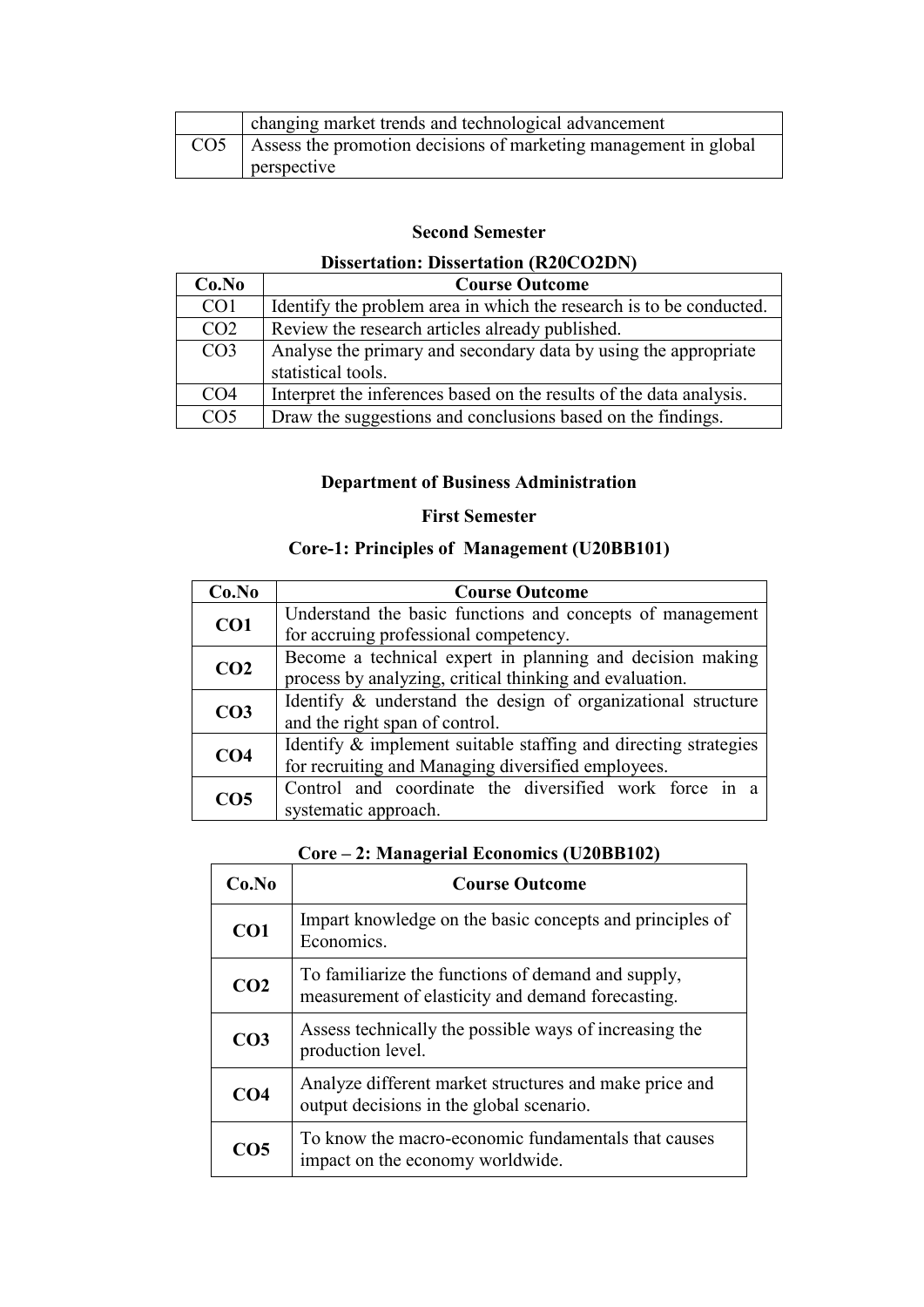|                 | changing market trends and technological advancement             |
|-----------------|------------------------------------------------------------------|
| CO <sub>5</sub> | Assess the promotion decisions of marketing management in global |
|                 | perspective                                                      |

#### **Second Semester**

### **Dissertation: Dissertation (R20CO2DN)**

| Co.No           | <b>Course Outcome</b>                                               |
|-----------------|---------------------------------------------------------------------|
| CO <sub>1</sub> | Identify the problem area in which the research is to be conducted. |
| CO <sub>2</sub> | Review the research articles already published.                     |
| CO <sub>3</sub> | Analyse the primary and secondary data by using the appropriate     |
|                 | statistical tools.                                                  |
| CO <sub>4</sub> | Interpret the inferences based on the results of the data analysis. |
| CO <sub>5</sub> | Draw the suggestions and conclusions based on the findings.         |

### **Department of Business Administration**

#### **First Semester**

### **Core-1: Principles of Management (U20BB101)**

| Co.No           | <b>Course Outcome</b>                                           |
|-----------------|-----------------------------------------------------------------|
| CO <sub>1</sub> | Understand the basic functions and concepts of management       |
|                 | for accruing professional competency.                           |
| CO <sub>2</sub> | Become a technical expert in planning and decision making       |
|                 | process by analyzing, critical thinking and evaluation.         |
|                 | Identify & understand the design of organizational structure    |
| CO <sub>3</sub> | and the right span of control.                                  |
| CO <sub>4</sub> | Identify & implement suitable staffing and directing strategies |
|                 | for recruiting and Managing diversified employees.              |
| CO <sub>5</sub> | Control and coordinate the diversified work force in a          |
|                 | systematic approach.                                            |

|  |  | Core – 2: Managerial Economics (U20BB102) |  |
|--|--|-------------------------------------------|--|
|--|--|-------------------------------------------|--|

| Co.No           | <b>Course Outcome</b>                                                                                   |
|-----------------|---------------------------------------------------------------------------------------------------------|
| CO <sub>1</sub> | Impart knowledge on the basic concepts and principles of<br>Economics.                                  |
| CO <sub>2</sub> | To familiarize the functions of demand and supply,<br>measurement of elasticity and demand forecasting. |
| CO <sub>3</sub> | Assess technically the possible ways of increasing the<br>production level.                             |
| CO <sub>4</sub> | Analyze different market structures and make price and<br>output decisions in the global scenario.      |
| CO <sub>5</sub> | To know the macro-economic fundamentals that causes<br>impact on the economy worldwide.                 |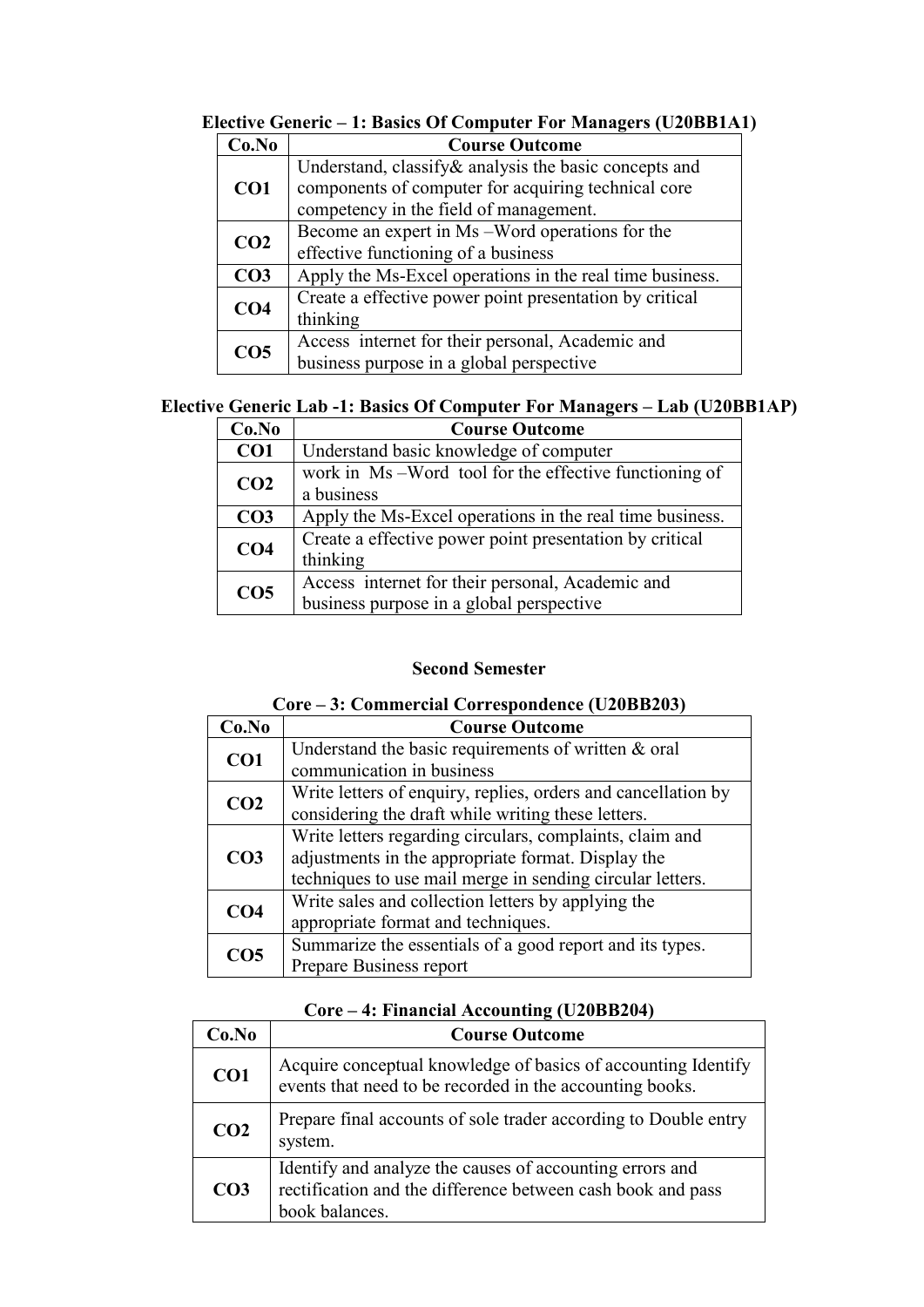| 1. Dasits Of Computer For Managers (C20DD111) |                                                          |
|-----------------------------------------------|----------------------------------------------------------|
| Co.No                                         | <b>Course Outcome</b>                                    |
| CO <sub>1</sub>                               | Understand, classify & analysis the basic concepts and   |
|                                               | components of computer for acquiring technical core      |
|                                               | competency in the field of management.                   |
| CO <sub>2</sub>                               | Become an expert in Ms –Word operations for the          |
|                                               | effective functioning of a business                      |
| CO <sub>3</sub>                               | Apply the Ms-Excel operations in the real time business. |
| CO <sub>4</sub>                               | Create a effective power point presentation by critical  |
|                                               | thinking                                                 |
| CO <sub>5</sub>                               | Access internet for their personal, Academic and         |
|                                               | business purpose in a global perspective                 |

**Elective Generic – 1: Basics Of Computer For Managers (U20BB1A1)** 

### **Elective Generic Lab -1: Basics Of Computer For Managers – Lab (U20BB1AP)**

| Co.No           | <b>Course Outcome</b>                                    |
|-----------------|----------------------------------------------------------|
| CO <sub>1</sub> | Understand basic knowledge of computer                   |
| CO <sub>2</sub> | work in Ms-Word tool for the effective functioning of    |
|                 | a business                                               |
| CO <sub>3</sub> | Apply the Ms-Excel operations in the real time business. |
| CO <sub>4</sub> | Create a effective power point presentation by critical  |
|                 | thinking                                                 |
| CO <sub>5</sub> | Access internet for their personal, Academic and         |
|                 | business purpose in a global perspective                 |

#### **Second Semester**

#### **Core – 3: Commercial Correspondence (U20BB203)**

| Co.No           | <b>Course Outcome</b>                                         |
|-----------------|---------------------------------------------------------------|
| CO1             | Understand the basic requirements of written & oral           |
|                 | communication in business                                     |
| CO <sub>2</sub> | Write letters of enquiry, replies, orders and cancellation by |
|                 | considering the draft while writing these letters.            |
|                 | Write letters regarding circulars, complaints, claim and      |
| CO <sub>3</sub> | adjustments in the appropriate format. Display the            |
|                 | techniques to use mail merge in sending circular letters.     |
| CO <sub>4</sub> | Write sales and collection letters by applying the            |
|                 | appropriate format and techniques.                            |
| CO <sub>5</sub> | Summarize the essentials of a good report and its types.      |
|                 | Prepare Business report                                       |

#### **Core – 4: Financial Accounting (U20BB204)**

| Co.No           | <b>Course Outcome</b>                                                                                                                     |
|-----------------|-------------------------------------------------------------------------------------------------------------------------------------------|
| CO1             | Acquire conceptual knowledge of basics of accounting Identify<br>events that need to be recorded in the accounting books.                 |
| CO <sub>2</sub> | Prepare final accounts of sole trader according to Double entry<br>system.                                                                |
| CO <sub>3</sub> | Identify and analyze the causes of accounting errors and<br>rectification and the difference between cash book and pass<br>book balances. |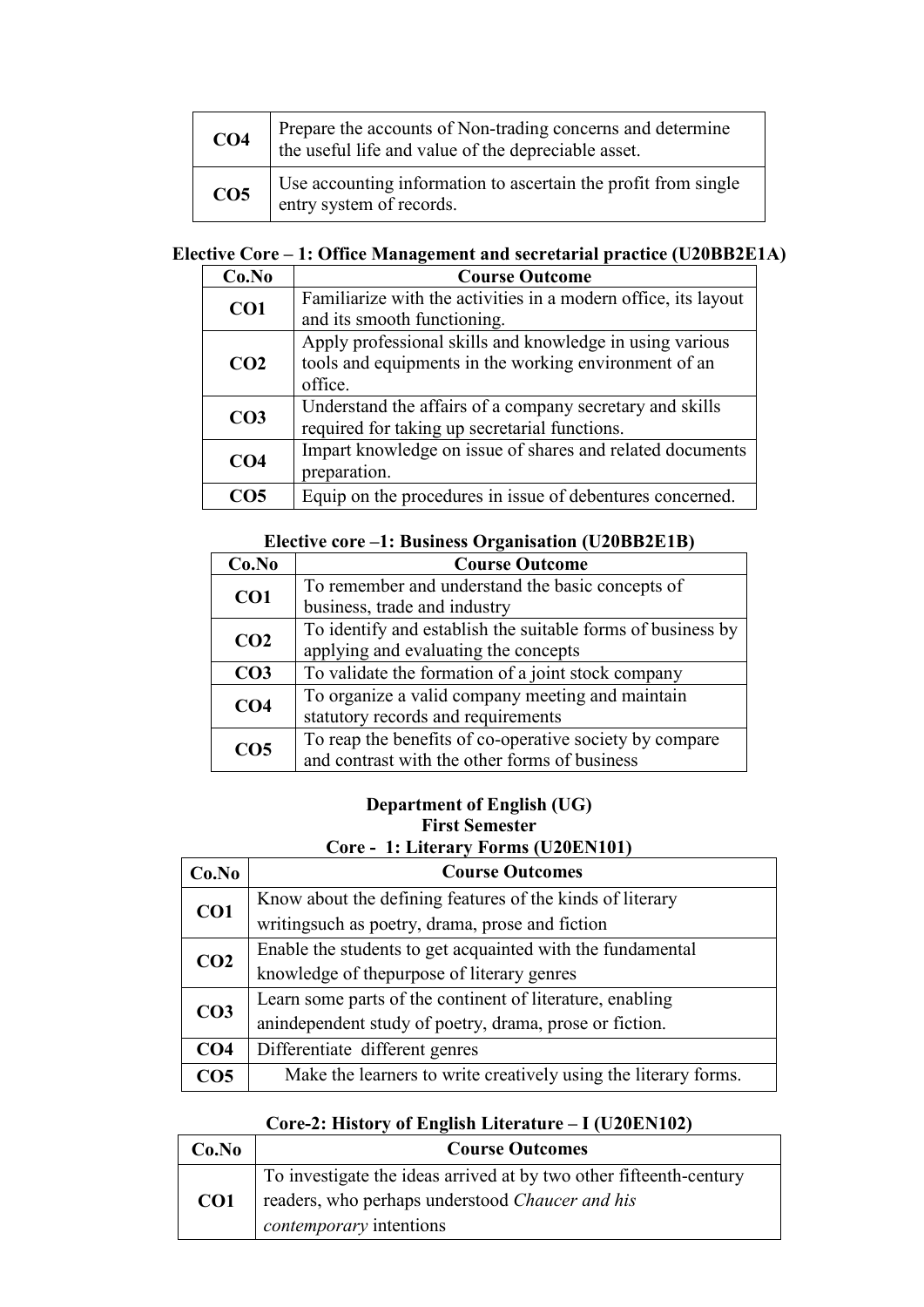| CO <sub>4</sub> | Prepare the accounts of Non-trading concerns and determine<br>the useful life and value of the depreciable asset. |
|-----------------|-------------------------------------------------------------------------------------------------------------------|
| CO <sub>5</sub> | Use accounting information to ascertain the profit from single<br>entry system of records.                        |

### **Elective Core – 1: Office Management and secretarial practice (U20BB2E1A)**

| Co.No           | <b>Course Outcome</b>                                          |
|-----------------|----------------------------------------------------------------|
| CO <sub>1</sub> | Familiarize with the activities in a modern office, its layout |
|                 | and its smooth functioning.                                    |
|                 | Apply professional skills and knowledge in using various       |
| CO <sub>2</sub> | tools and equipments in the working environment of an          |
|                 | office.                                                        |
| CO <sub>3</sub> | Understand the affairs of a company secretary and skills       |
|                 | required for taking up secretarial functions.                  |
| CO <sub>4</sub> | Impart knowledge on issue of shares and related documents      |
|                 | preparation.                                                   |
| CO5             | Equip on the procedures in issue of debentures concerned.      |

### **Elective core –1: Business Organisation (U20BB2E1B)**

| Co.No           | <b>Course Outcome</b>                                       |
|-----------------|-------------------------------------------------------------|
| CO <sub>1</sub> | To remember and understand the basic concepts of            |
|                 | business, trade and industry                                |
| CO <sub>2</sub> | To identify and establish the suitable forms of business by |
|                 | applying and evaluating the concepts                        |
| CO <sub>3</sub> | To validate the formation of a joint stock company          |
| CO <sub>4</sub> | To organize a valid company meeting and maintain            |
|                 | statutory records and requirements                          |
| CO <sub>5</sub> | To reap the benefits of co-operative society by compare     |
|                 | and contrast with the other forms of business               |

#### **Department of English (UG) First Semester Core - 1: Literary Forms (U20EN101)**

| Co.No           | <b>Course Outcomes</b>                                          |  |  |
|-----------------|-----------------------------------------------------------------|--|--|
| CO <sub>1</sub> | Know about the defining features of the kinds of literary       |  |  |
|                 | writingsuch as poetry, drama, prose and fiction                 |  |  |
| CO <sub>2</sub> | Enable the students to get acquainted with the fundamental      |  |  |
|                 | knowledge of the purpose of literary genres                     |  |  |
| CO <sub>3</sub> | Learn some parts of the continent of literature, enabling       |  |  |
|                 | anindependent study of poetry, drama, prose or fiction.         |  |  |
| CO <sub>4</sub> | Differentiate different genres                                  |  |  |
| CO <sub>5</sub> | Make the learners to write creatively using the literary forms. |  |  |

### **Core-2: History of English Literature – I (U20EN102)**

| Co.No           | <b>Course Outcomes</b>                                             |  |
|-----------------|--------------------------------------------------------------------|--|
| CO <sub>1</sub> | To investigate the ideas arrived at by two other fifteenth-century |  |
|                 | readers, who perhaps understood Chaucer and his                    |  |
|                 | <i>contemporary</i> intentions                                     |  |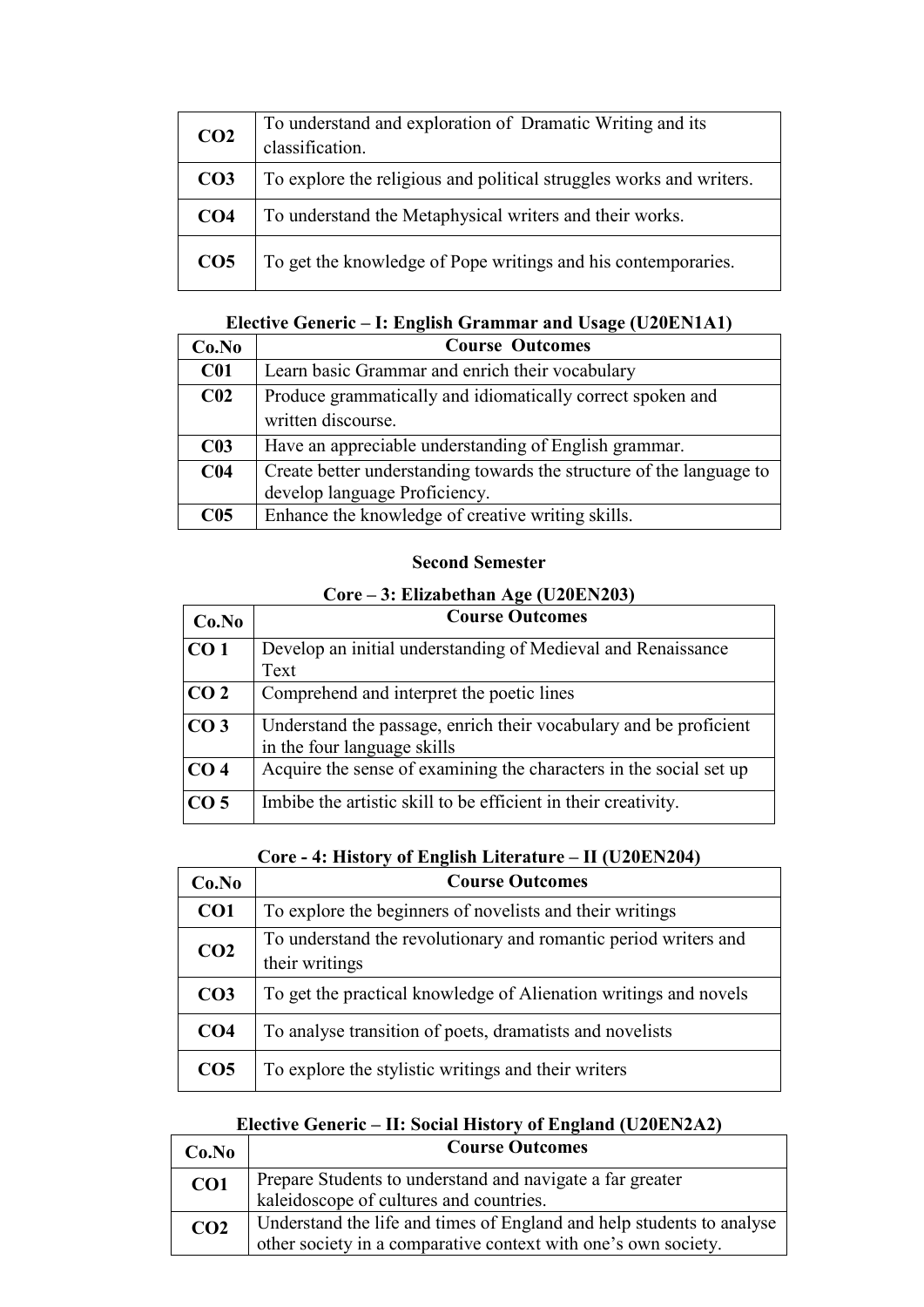| CO <sub>2</sub> | To understand and exploration of Dramatic Writing and its<br>classification. |  |
|-----------------|------------------------------------------------------------------------------|--|
| CO <sub>3</sub> | To explore the religious and political struggles works and writers.          |  |
| CO <sub>4</sub> | To understand the Metaphysical writers and their works.                      |  |
| CO <sub>5</sub> | To get the knowledge of Pope writings and his contemporaries.                |  |

### **Elective Generic – I: English Grammar and Usage (U20EN1A1)**

| Co.No           | <b>Course Outcomes</b>                                               |  |
|-----------------|----------------------------------------------------------------------|--|
| C <sub>01</sub> | Learn basic Grammar and enrich their vocabulary                      |  |
| C <sub>02</sub> | Produce grammatically and idiomatically correct spoken and           |  |
|                 | written discourse.                                                   |  |
| C <sub>03</sub> | Have an appreciable understanding of English grammar.                |  |
| C <sub>04</sub> | Create better understanding towards the structure of the language to |  |
|                 | develop language Proficiency.                                        |  |
| C <sub>05</sub> | Enhance the knowledge of creative writing skills.                    |  |

#### **Second Semester**

### **Core – 3: Elizabethan Age (U20EN203)**

| Co.No           | <b>Course Outcomes</b>                                                                           |  |
|-----------------|--------------------------------------------------------------------------------------------------|--|
| CO <sub>1</sub> | Develop an initial understanding of Medieval and Renaissance                                     |  |
|                 | Text                                                                                             |  |
| CO <sub>2</sub> | Comprehend and interpret the poetic lines                                                        |  |
| CO <sub>3</sub> | Understand the passage, enrich their vocabulary and be proficient<br>in the four language skills |  |
| CO <sub>4</sub> | Acquire the sense of examining the characters in the social set up                               |  |
| CO <sub>5</sub> | Imbibe the artistic skill to be efficient in their creativity.                                   |  |

#### **Core - 4: History of English Literature – II (U20EN204)**

| Co.No           | <b>Course Outcomes</b>                                                            |  |
|-----------------|-----------------------------------------------------------------------------------|--|
| CO <sub>1</sub> | To explore the beginners of novelists and their writings                          |  |
| CO <sub>2</sub> | To understand the revolutionary and romantic period writers and<br>their writings |  |
| CO <sub>3</sub> | To get the practical knowledge of Alienation writings and novels                  |  |
| CO <sub>4</sub> | To analyse transition of poets, dramatists and novelists                          |  |
| CO <sub>5</sub> | To explore the stylistic writings and their writers                               |  |

### **Elective Generic – II: Social History of England (U20EN2A2)**

| Co.No           | <b>Course Outcomes</b>                                                                                                                  |
|-----------------|-----------------------------------------------------------------------------------------------------------------------------------------|
| CO1             | Prepare Students to understand and navigate a far greater<br>kaleidoscope of cultures and countries.                                    |
| CO <sub>2</sub> | Understand the life and times of England and help students to analyse<br>other society in a comparative context with one's own society. |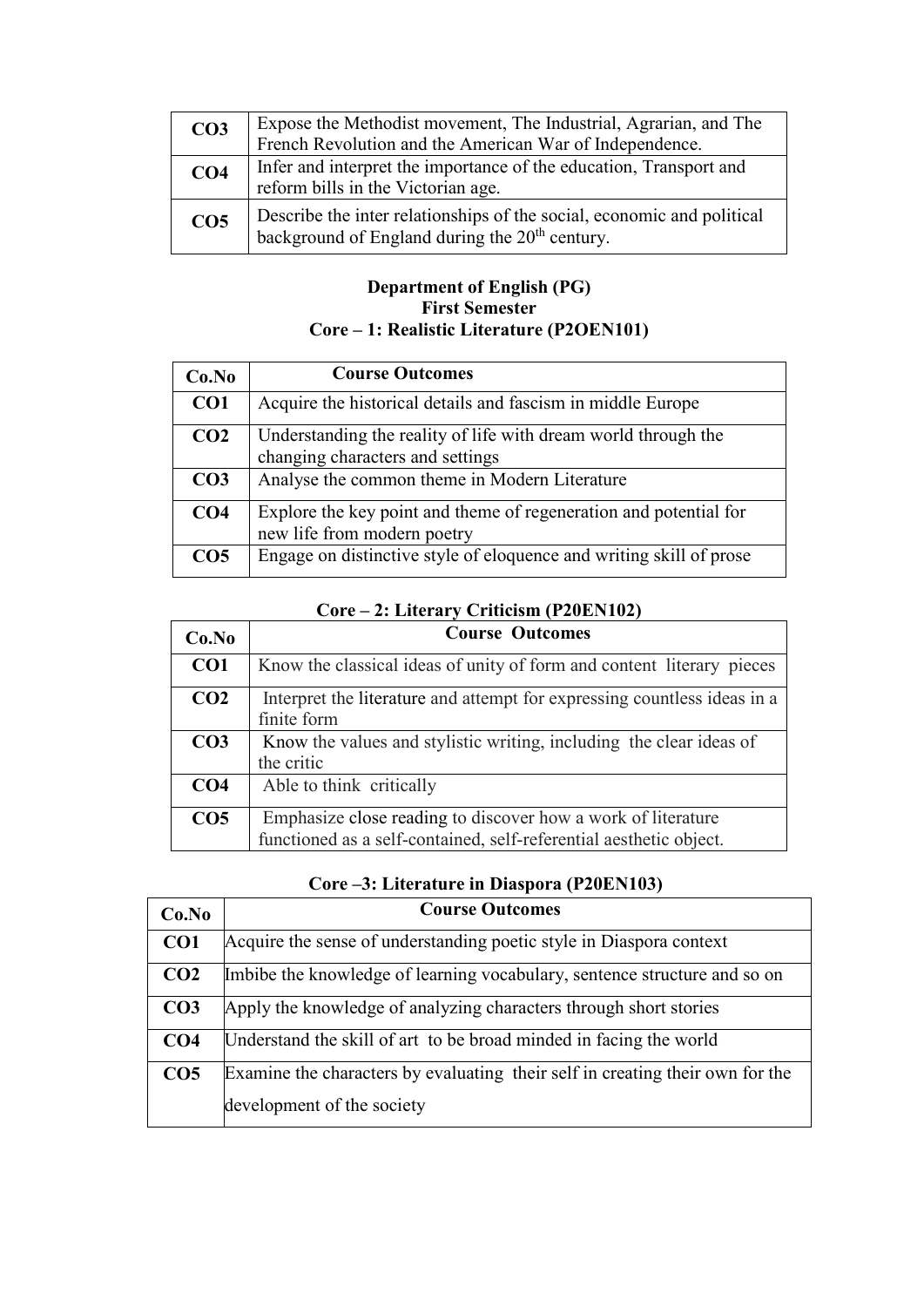| CO <sub>3</sub> | Expose the Methodist movement, The Industrial, Agrarian, and The<br>French Revolution and the American War of Independence.          |  |
|-----------------|--------------------------------------------------------------------------------------------------------------------------------------|--|
| CO <sub>4</sub> | Infer and interpret the importance of the education, Transport and<br>reform bills in the Victorian age.                             |  |
| CO <sub>5</sub> | Describe the inter relationships of the social, economic and political<br>background of England during the 20 <sup>th</sup> century. |  |

#### **Department of English (PG) First Semester Core – 1: Realistic Literature (P2OEN101)**

| Co.No           | <b>Course Outcomes</b>                                                                             |
|-----------------|----------------------------------------------------------------------------------------------------|
| CO <sub>1</sub> | Acquire the historical details and fascism in middle Europe                                        |
| CO <sub>2</sub> | Understanding the reality of life with dream world through the<br>changing characters and settings |
| CO <sub>3</sub> | Analyse the common theme in Modern Literature                                                      |
| CO <sub>4</sub> | Explore the key point and theme of regeneration and potential for<br>new life from modern poetry   |
| CO <sub>5</sub> | Engage on distinctive style of eloquence and writing skill of prose                                |

### **Core – 2: Literary Criticism (P20EN102)**

| Co.No           | <b>Course Outcomes</b>                                                   |  |  |
|-----------------|--------------------------------------------------------------------------|--|--|
| CO <sub>1</sub> | Know the classical ideas of unity of form and content literary pieces    |  |  |
| CO <sub>2</sub> | Interpret the literature and attempt for expressing countless ideas in a |  |  |
|                 | finite form                                                              |  |  |
| CO <sub>3</sub> | Know the values and stylistic writing, including the clear ideas of      |  |  |
|                 | the critic                                                               |  |  |
| CO <sub>4</sub> | Able to think critically                                                 |  |  |
| CO <sub>5</sub> | Emphasize close reading to discover how a work of literature             |  |  |
|                 | functioned as a self-contained, self-referential aesthetic object.       |  |  |

|  |  |  | Core –3: Literature in Diaspora (P20EN103) |
|--|--|--|--------------------------------------------|
|--|--|--|--------------------------------------------|

| Co.No           | <b>Course Outcomes</b>                                                        |
|-----------------|-------------------------------------------------------------------------------|
| CO <sub>1</sub> | Acquire the sense of understanding poetic style in Diaspora context           |
| CO <sub>2</sub> | Imbibe the knowledge of learning vocabulary, sentence structure and so on     |
| CO <sub>3</sub> | Apply the knowledge of analyzing characters through short stories             |
| CO <sub>4</sub> | Understand the skill of art to be broad minded in facing the world            |
| CO <sub>5</sub> | Examine the characters by evaluating their self in creating their own for the |
|                 | development of the society                                                    |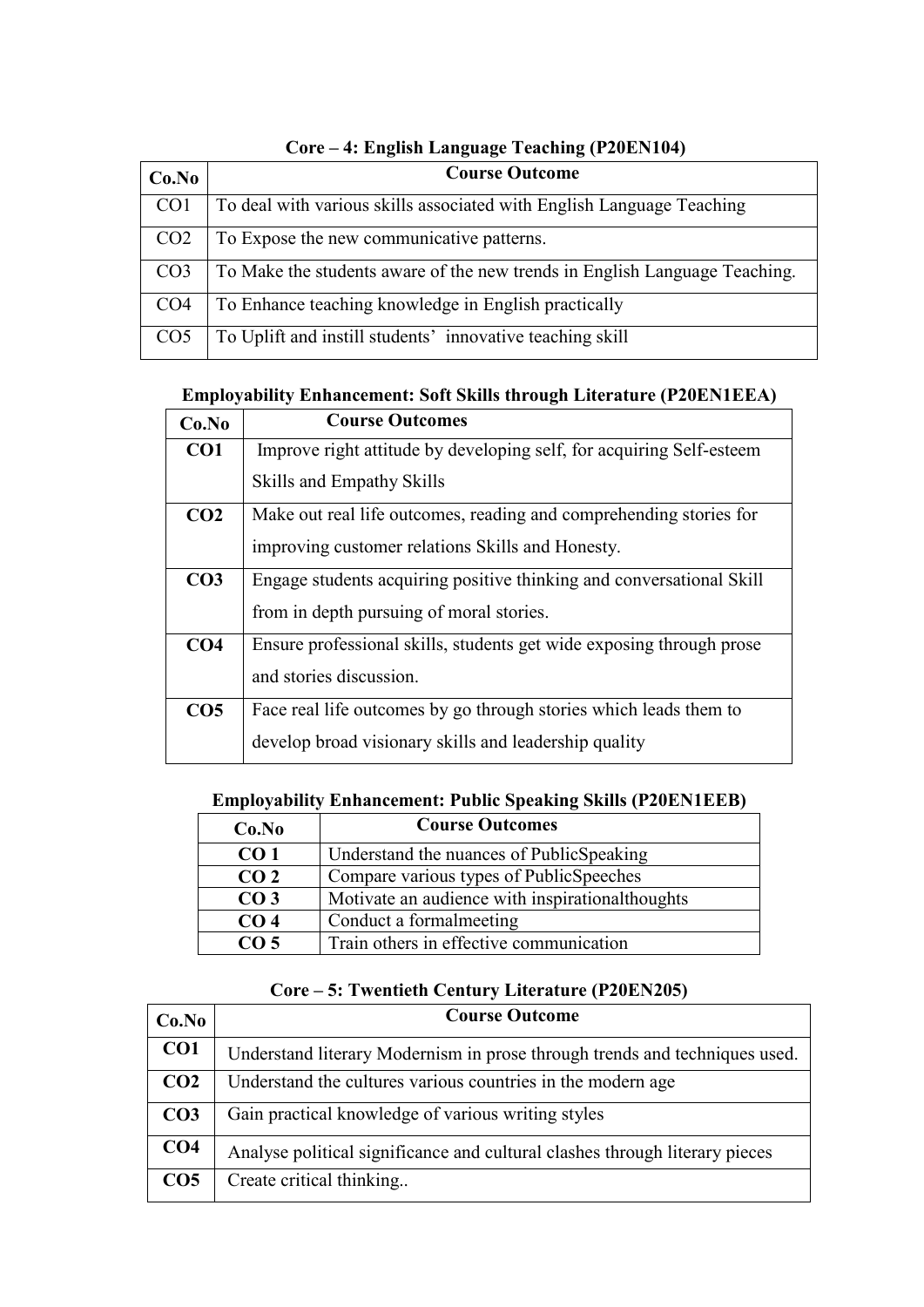| $\ldots$ Direction Dangenge Teaching (1900) (19 |                                                                            |
|-------------------------------------------------|----------------------------------------------------------------------------|
| Co.No                                           | <b>Course Outcome</b>                                                      |
| CO <sub>1</sub>                                 | To deal with various skills associated with English Language Teaching      |
| CO <sub>2</sub>                                 | To Expose the new communicative patterns.                                  |
| CO <sub>3</sub>                                 | To Make the students aware of the new trends in English Language Teaching. |
| CO <sub>4</sub>                                 | To Enhance teaching knowledge in English practically                       |
| CO <sub>5</sub>                                 | To Uplift and instill students' innovative teaching skill                  |

### **Core – 4: English Language Teaching (P20EN104)**

### **Employability Enhancement: Soft Skills through Literature (P20EN1EEA)**

| Co.No           | <b>Course Outcomes</b>                                               |
|-----------------|----------------------------------------------------------------------|
| CO <sub>1</sub> | Improve right attitude by developing self, for acquiring Self-esteem |
|                 | Skills and Empathy Skills                                            |
| CO <sub>2</sub> | Make out real life outcomes, reading and comprehending stories for   |
|                 | improving customer relations Skills and Honesty.                     |
| CO <sub>3</sub> | Engage students acquiring positive thinking and conversational Skill |
|                 | from in depth pursuing of moral stories.                             |
| CO <sub>4</sub> | Ensure professional skills, students get wide exposing through prose |
|                 | and stories discussion.                                              |
| CO <sub>5</sub> | Face real life outcomes by go through stories which leads them to    |
|                 | develop broad visionary skills and leadership quality                |

### **Employability Enhancement: Public Speaking Skills (P20EN1EEB)**

| Co.No           | <b>Course Outcomes</b>                          |
|-----------------|-------------------------------------------------|
| CO <sub>1</sub> | Understand the nuances of PublicSpeaking        |
| CO <sub>2</sub> | Compare various types of PublicSpeeches         |
| CO <sub>3</sub> | Motivate an audience with inspirationalthoughts |
| CO <sub>4</sub> | Conduct a formalmeeting                         |
| CO <sub>5</sub> | Train others in effective communication         |

### **Core – 5: Twentieth Century Literature (P20EN205)**

| Co.No           | <b>Course Outcome</b>                                                       |
|-----------------|-----------------------------------------------------------------------------|
| CO <sub>1</sub> | Understand literary Modernism in prose through trends and techniques used.  |
| CO <sub>2</sub> | Understand the cultures various countries in the modern age                 |
| CO <sub>3</sub> | Gain practical knowledge of various writing styles                          |
| CO <sub>4</sub> | Analyse political significance and cultural clashes through literary pieces |
| CO <sub>5</sub> | Create critical thinking                                                    |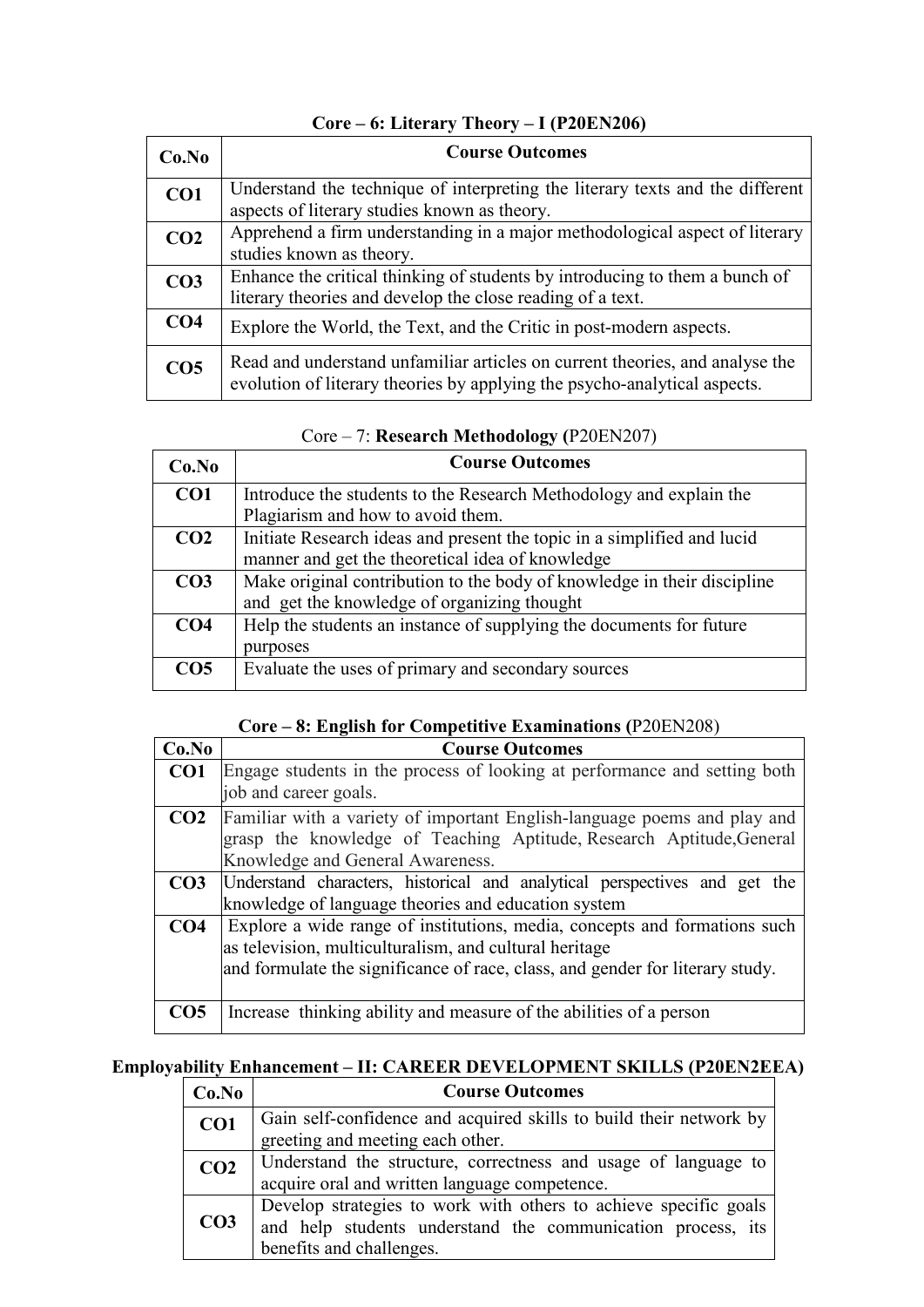| Co.No           | <b>Course Outcomes</b>                                                                                                                                    |
|-----------------|-----------------------------------------------------------------------------------------------------------------------------------------------------------|
| CO <sub>1</sub> | Understand the technique of interpreting the literary texts and the different                                                                             |
|                 | aspects of literary studies known as theory.                                                                                                              |
| CO <sub>2</sub> | Apprehend a firm understanding in a major methodological aspect of literary                                                                               |
|                 | studies known as theory.                                                                                                                                  |
| CO <sub>3</sub> | Enhance the critical thinking of students by introducing to them a bunch of                                                                               |
|                 | literary theories and develop the close reading of a text.                                                                                                |
| CO <sub>4</sub> | Explore the World, the Text, and the Critic in post-modern aspects.                                                                                       |
| CO <sub>5</sub> | Read and understand unfamiliar articles on current theories, and analyse the<br>evolution of literary theories by applying the psycho-analytical aspects. |

### **Core – 6: Literary Theory – I (P20EN206)**

| Co.No           | <b>Course Outcomes</b>                                                  |
|-----------------|-------------------------------------------------------------------------|
| CO <sub>1</sub> | Introduce the students to the Research Methodology and explain the      |
|                 | Plagiarism and how to avoid them.                                       |
| CO <sub>2</sub> | Initiate Research ideas and present the topic in a simplified and lucid |
|                 | manner and get the theoretical idea of knowledge                        |
| CO <sub>3</sub> | Make original contribution to the body of knowledge in their discipline |
|                 | and get the knowledge of organizing thought                             |
| CO <sub>4</sub> | Help the students an instance of supplying the documents for future     |
|                 | purposes                                                                |
| CO <sub>5</sub> | Evaluate the uses of primary and secondary sources                      |
|                 |                                                                         |

### Core – 7: **Research Methodology (**P20EN207)

### **Core – 8: English for Competitive Examinations (**P20EN208)

| Co.No           | <b>Course Outcomes</b>                                                        |
|-----------------|-------------------------------------------------------------------------------|
| CO <sub>1</sub> | Engage students in the process of looking at performance and setting both     |
|                 | job and career goals.                                                         |
| CO <sub>2</sub> | Familiar with a variety of important English-language poems and play and      |
|                 | grasp the knowledge of Teaching Aptitude, Research Aptitude, General          |
|                 | Knowledge and General Awareness.                                              |
| CO <sub>3</sub> | Understand characters, historical and analytical perspectives and get the     |
|                 | knowledge of language theories and education system                           |
| CO <sub>4</sub> | Explore a wide range of institutions, media, concepts and formations such     |
|                 | as television, multiculturalism, and cultural heritage                        |
|                 | and formulate the significance of race, class, and gender for literary study. |
|                 |                                                                               |
| CO5             | Increase thinking ability and measure of the abilities of a person            |

### **Employability Enhancement – II: CAREER DEVELOPMENT SKILLS (P20EN2EEA)**

| Co.No           | <b>Course Outcomes</b>                                             |
|-----------------|--------------------------------------------------------------------|
| CO1             | Gain self-confidence and acquired skills to build their network by |
|                 | greeting and meeting each other.                                   |
| CO <sub>2</sub> | Understand the structure, correctness and usage of language to     |
|                 | acquire oral and written language competence.                      |
|                 | Develop strategies to work with others to achieve specific goals   |
| CO <sub>3</sub> | and help students understand the communication process, its        |
|                 | benefits and challenges.                                           |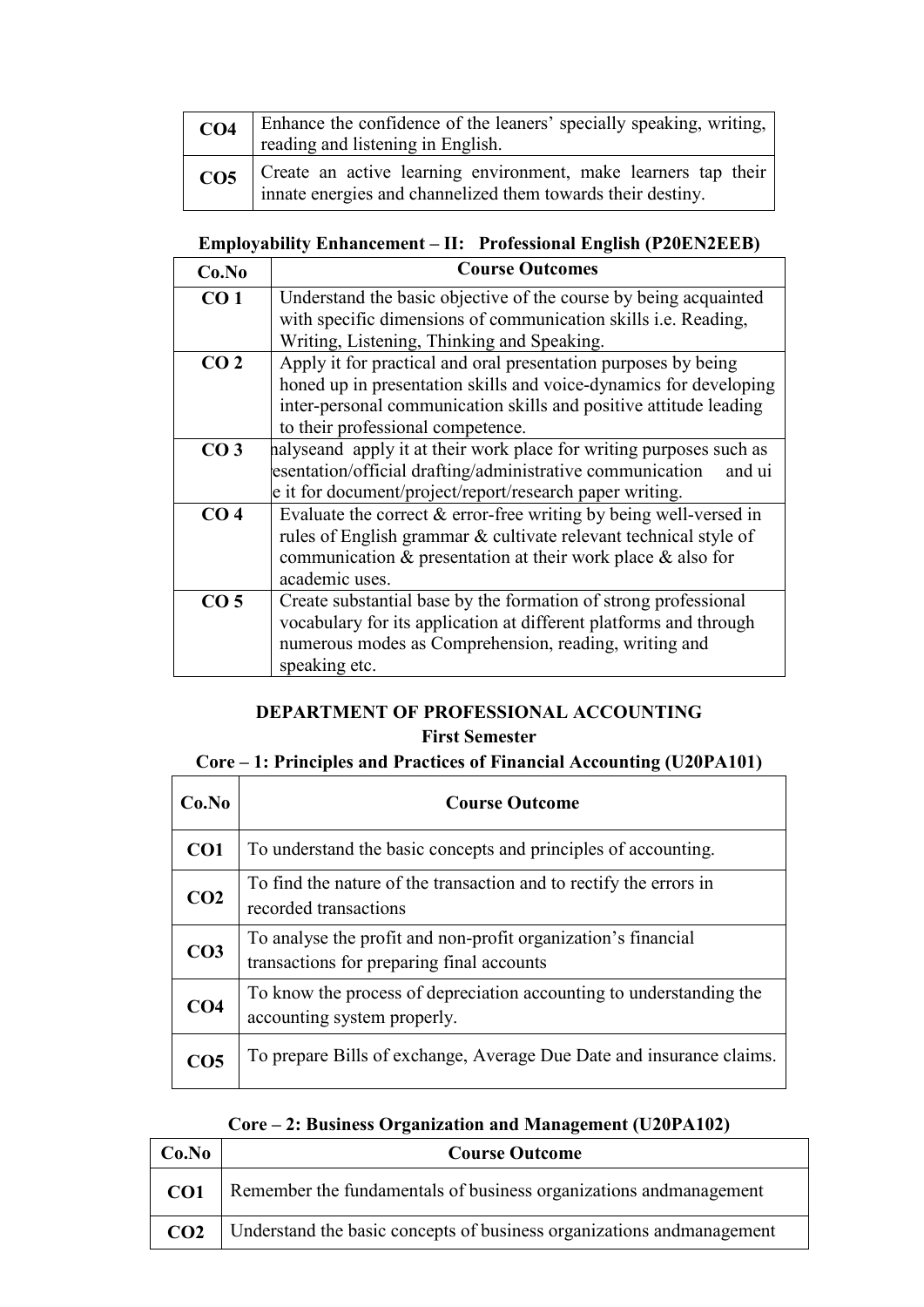| CO <sub>4</sub> | Enhance the confidence of the leaners' specially speaking, writing,  <br>reading and listening in English.                    |
|-----------------|-------------------------------------------------------------------------------------------------------------------------------|
| CO <sub>5</sub> | Create an active learning environment, make learners tap their<br>innate energies and channelized them towards their destiny. |

### **Employability Enhancement – II: Professional English (P20EN2EEB)**

| Co.No           | <b>Course Outcomes</b>                                                |
|-----------------|-----------------------------------------------------------------------|
| CO <sub>1</sub> | Understand the basic objective of the course by being acquainted      |
|                 | with specific dimensions of communication skills <i>i.e.</i> Reading, |
|                 | Writing, Listening, Thinking and Speaking.                            |
| CO <sub>2</sub> | Apply it for practical and oral presentation purposes by being        |
|                 | honed up in presentation skills and voice-dynamics for developing     |
|                 | inter-personal communication skills and positive attitude leading     |
|                 | to their professional competence.                                     |
| CO <sub>3</sub> | halyseand apply it at their work place for writing purposes such as   |
|                 | esentation/official drafting/administrative communication<br>and ui   |
|                 | e it for document/project/report/research paper writing.              |
| CO <sub>4</sub> | Evaluate the correct $&$ error-free writing by being well-versed in   |
|                 | rules of English grammar & cultivate relevant technical style of      |
|                 | communication $\&$ presentation at their work place $\&$ also for     |
|                 | academic uses.                                                        |
| CO <sub>5</sub> | Create substantial base by the formation of strong professional       |
|                 | vocabulary for its application at different platforms and through     |
|                 | numerous modes as Comprehension, reading, writing and                 |
|                 | speaking etc.                                                         |

### **DEPARTMENT OF PROFESSIONAL ACCOUNTING First Semester**

### **Core – 1: Principles and Practices of Financial Accounting (U20PA101)**

| Co.No           | <b>Course Outcome</b>                                                                                      |
|-----------------|------------------------------------------------------------------------------------------------------------|
| CO <sub>1</sub> | To understand the basic concepts and principles of accounting.                                             |
| CO <sub>2</sub> | To find the nature of the transaction and to rectify the errors in<br>recorded transactions                |
| CO <sub>3</sub> | To analyse the profit and non-profit organization's financial<br>transactions for preparing final accounts |
| CO <sub>4</sub> | To know the process of depreciation accounting to understanding the<br>accounting system properly.         |
| CO <sub>5</sub> | To prepare Bills of exchange, Average Due Date and insurance claims.                                       |

### **Core – 2: Business Organization and Management (U20PA102)**

| Co.No           | <b>Course Outcome</b>                                                  |
|-----------------|------------------------------------------------------------------------|
| CO <sub>1</sub> | Remember the fundamentals of business organizations and management     |
| CO <sub>2</sub> | Understand the basic concepts of business organizations and management |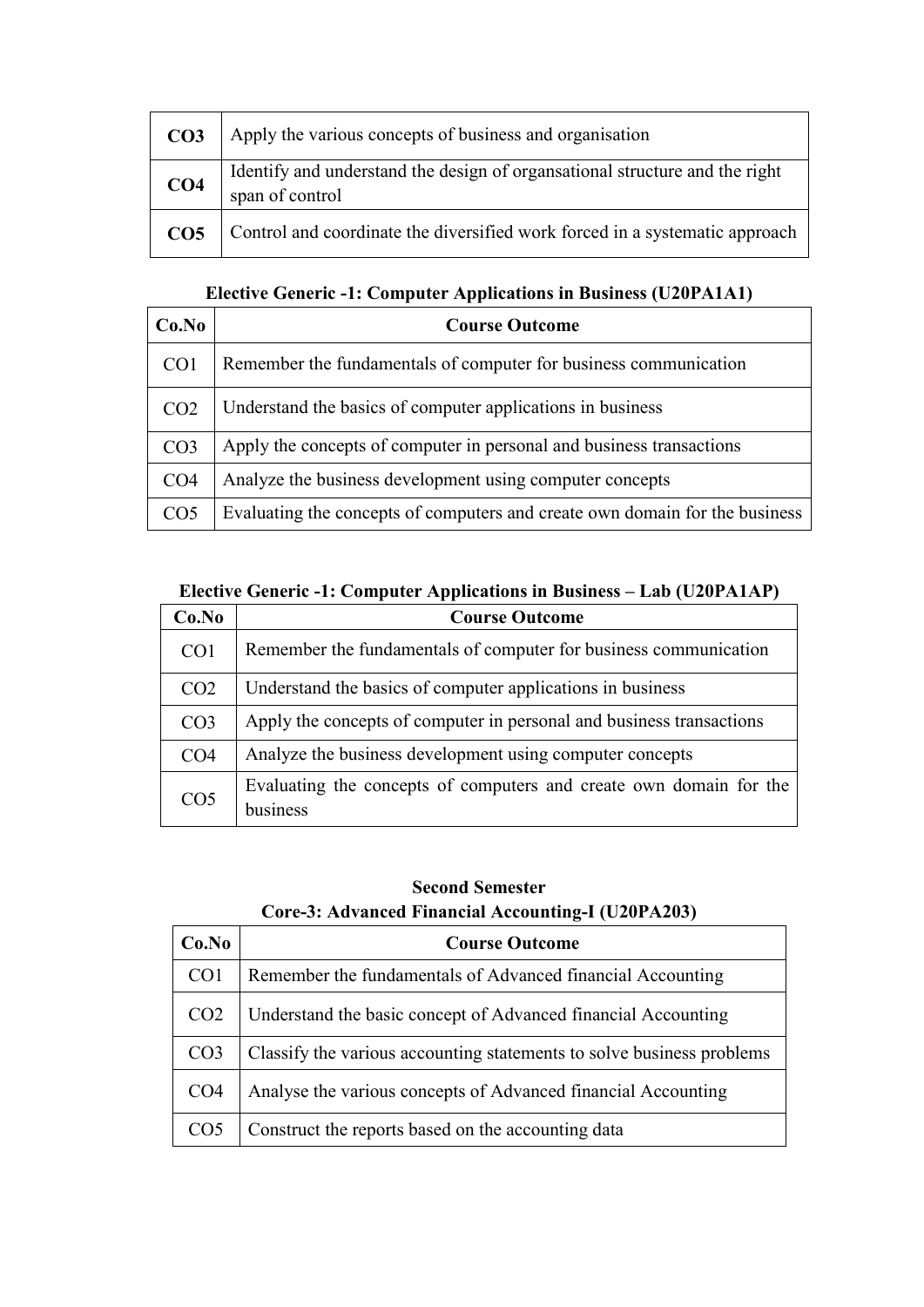| CO <sub>3</sub> | Apply the various concepts of business and organisation                                         |
|-----------------|-------------------------------------------------------------------------------------------------|
| CO <sub>4</sub> | Identify and understand the design of organisational structure and the right<br>span of control |
| CO <sub>5</sub> | Control and coordinate the diversified work forced in a systematic approach                     |

### **Elective Generic -1: Computer Applications in Business (U20PA1A1)**

| Co.No           | <b>Course Outcome</b>                                                       |
|-----------------|-----------------------------------------------------------------------------|
| CO <sub>1</sub> | Remember the fundamentals of computer for business communication            |
| CO <sub>2</sub> | Understand the basics of computer applications in business                  |
| CO <sub>3</sub> | Apply the concepts of computer in personal and business transactions        |
| CO <sub>4</sub> | Analyze the business development using computer concepts                    |
| CO <sub>5</sub> | Evaluating the concepts of computers and create own domain for the business |

### **Elective Generic -1: Computer Applications in Business – Lab (U20PA1AP)**

| Co.No           | <b>Course Outcome</b>                                                          |
|-----------------|--------------------------------------------------------------------------------|
| CO <sub>1</sub> | Remember the fundamentals of computer for business communication               |
| CO <sub>2</sub> | Understand the basics of computer applications in business                     |
| CO <sub>3</sub> | Apply the concepts of computer in personal and business transactions           |
| CO <sub>4</sub> | Analyze the business development using computer concepts                       |
| CO <sub>5</sub> | Evaluating the concepts of computers and create own domain for the<br>business |

### **Second Semester Core-3: Advanced Financial Accounting-I (U20PA203)**

| Co.No           | <b>Course Outcome</b>                                                 |
|-----------------|-----------------------------------------------------------------------|
| CO <sub>1</sub> | Remember the fundamentals of Advanced financial Accounting            |
| CO <sub>2</sub> | Understand the basic concept of Advanced financial Accounting         |
| CO <sub>3</sub> | Classify the various accounting statements to solve business problems |
| CO <sub>4</sub> | Analyse the various concepts of Advanced financial Accounting         |
| CO <sub>5</sub> | Construct the reports based on the accounting data                    |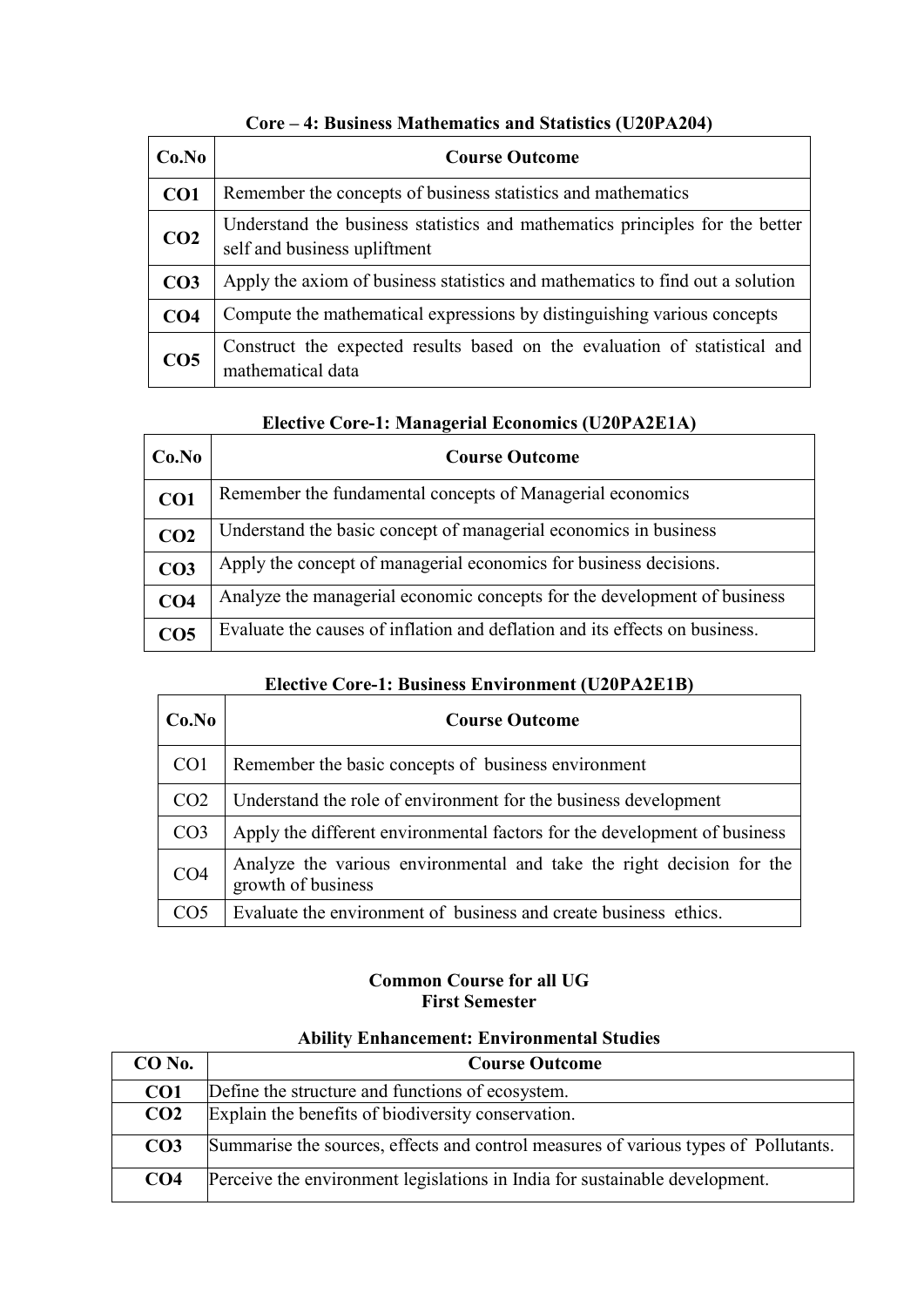| Co.No           | <b>Course Outcome</b>                                                                                        |
|-----------------|--------------------------------------------------------------------------------------------------------------|
| CO <sub>1</sub> | Remember the concepts of business statistics and mathematics                                                 |
| CO <sub>2</sub> | Understand the business statistics and mathematics principles for the better<br>self and business upliftment |
| CO <sub>3</sub> | Apply the axiom of business statistics and mathematics to find out a solution                                |
| CO <sub>4</sub> | Compute the mathematical expressions by distinguishing various concepts                                      |
| CO <sub>5</sub> | Construct the expected results based on the evaluation of statistical and<br>mathematical data               |

### **Core – 4: Business Mathematics and Statistics (U20PA204)**

### **Elective Core-1: Managerial Economics (U20PA2E1A)**

| Co.No           | <b>Course Outcome</b>                                                       |
|-----------------|-----------------------------------------------------------------------------|
| CO <sub>1</sub> | Remember the fundamental concepts of Managerial economics                   |
| CO <sub>2</sub> | Understand the basic concept of managerial economics in business            |
| CO <sub>3</sub> | Apply the concept of managerial economics for business decisions.           |
| CO <sub>4</sub> | Analyze the managerial economic concepts for the development of business    |
| CO <sub>5</sub> | Evaluate the causes of inflation and deflation and its effects on business. |

### **Elective Core-1: Business Environment (U20PA2E1B)**

| Co.No           | <b>Course Outcome</b>                                                                       |
|-----------------|---------------------------------------------------------------------------------------------|
| CO <sub>1</sub> | Remember the basic concepts of business environment                                         |
| CO <sub>2</sub> | Understand the role of environment for the business development                             |
| CO <sub>3</sub> | Apply the different environmental factors for the development of business                   |
| CO <sub>4</sub> | Analyze the various environmental and take the right decision for the<br>growth of business |
| CO <sub>5</sub> | Evaluate the environment of business and create business ethics.                            |

#### **Common Course for all UG First Semester**

| $CO$ No.        | <b>Course Outcome</b>                                                               |
|-----------------|-------------------------------------------------------------------------------------|
| CO <sub>1</sub> | Define the structure and functions of ecosystem.                                    |
| CO <sub>2</sub> | Explain the benefits of biodiversity conservation.                                  |
| CO <sub>3</sub> | Summarise the sources, effects and control measures of various types of Pollutants. |
| CO <sub>4</sub> | Perceive the environment legislations in India for sustainable development.         |

### **Ability Enhancement: Environmental Studies**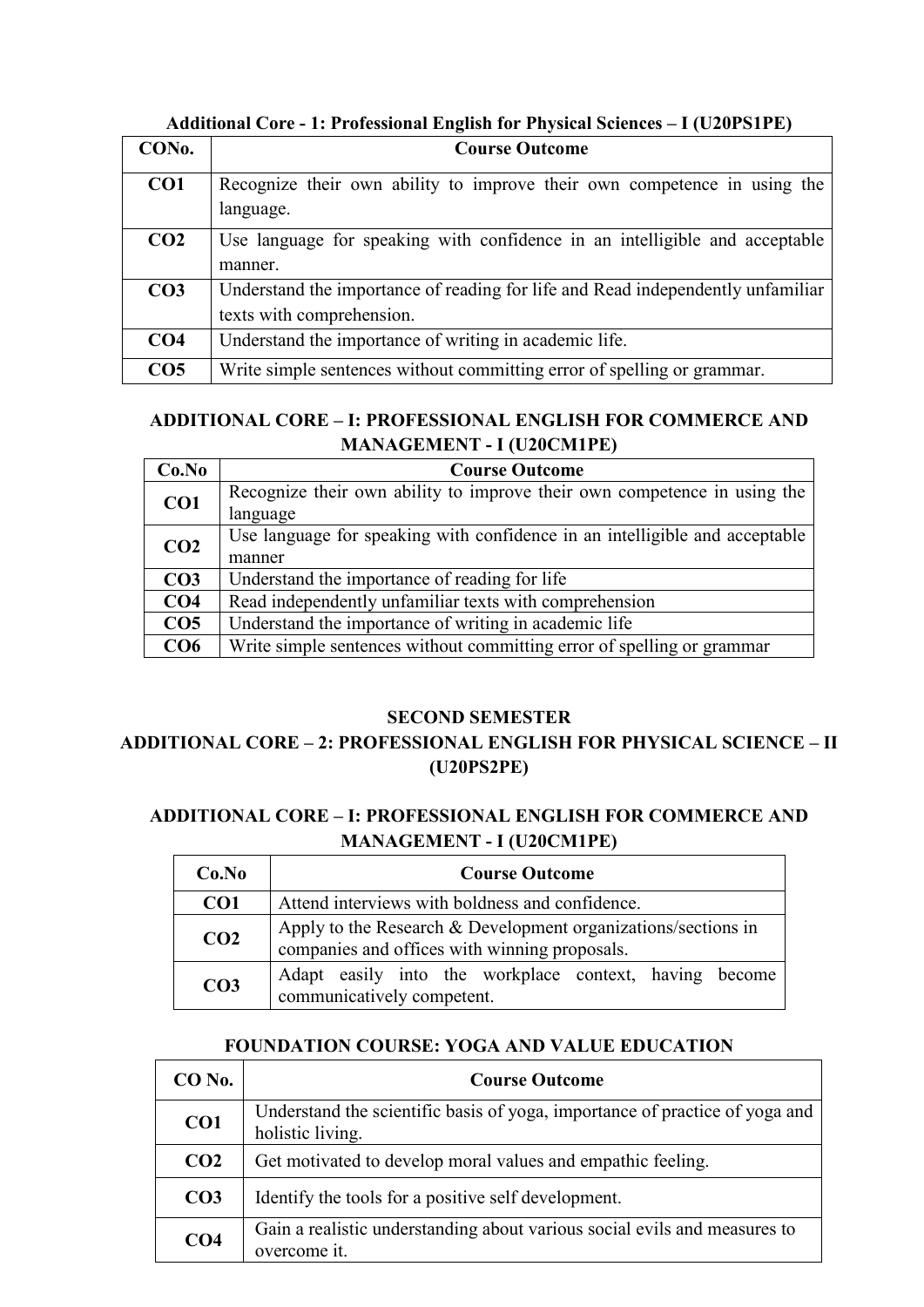| CON <sub>0</sub> . | <b>Course Outcome</b>                                                           |
|--------------------|---------------------------------------------------------------------------------|
| CO <sub>1</sub>    | Recognize their own ability to improve their own competence in using the        |
|                    | language.                                                                       |
| CO <sub>2</sub>    | Use language for speaking with confidence in an intelligible and acceptable     |
|                    | manner.                                                                         |
| CO <sub>3</sub>    | Understand the importance of reading for life and Read independently unfamiliar |
|                    | texts with comprehension.                                                       |
| CO <sub>4</sub>    | Understand the importance of writing in academic life.                          |
| CO <sub>5</sub>    | Write simple sentences without committing error of spelling or grammar.         |

**Additional Core - 1: Professional English for Physical Sciences – I (U20PS1PE)** 

### **ADDITIONAL CORE – I: PROFESSIONAL ENGLISH FOR COMMERCE AND MANAGEMENT - I (U20CM1PE)**

| Co.No           | <b>Course Outcome</b>                                                       |
|-----------------|-----------------------------------------------------------------------------|
| CO1             | Recognize their own ability to improve their own competence in using the    |
|                 | language                                                                    |
| CO <sub>2</sub> | Use language for speaking with confidence in an intelligible and acceptable |
|                 | manner                                                                      |
| CO <sub>3</sub> | Understand the importance of reading for life                               |
| CO <sub>4</sub> | Read independently unfamiliar texts with comprehension                      |
| CO <sub>5</sub> | Understand the importance of writing in academic life                       |
| CO <sub>6</sub> | Write simple sentences without committing error of spelling or grammar      |

#### **SECOND SEMESTER**

### **ADDITIONAL CORE – 2: PROFESSIONAL ENGLISH FOR PHYSICAL SCIENCE – II (U20PS2PE)**

### **ADDITIONAL CORE – I: PROFESSIONAL ENGLISH FOR COMMERCE AND MANAGEMENT - I (U20CM1PE)**

| Co.No           | <b>Course Outcome</b>                                                                                            |
|-----------------|------------------------------------------------------------------------------------------------------------------|
| CO <sub>1</sub> | Attend interviews with boldness and confidence.                                                                  |
| CO <sub>2</sub> | Apply to the Research $&$ Development organizations/sections in<br>companies and offices with winning proposals. |
| CO <sub>3</sub> | Adapt easily into the workplace context, having become<br>communicatively competent.                             |

### **FOUNDATION COURSE: YOGA AND VALUE EDUCATION**

| $CO$ No.        | <b>Course Outcome</b>                                                                           |
|-----------------|-------------------------------------------------------------------------------------------------|
| CO <sub>1</sub> | Understand the scientific basis of yoga, importance of practice of yoga and<br>holistic living. |
| CO <sub>2</sub> | Get motivated to develop moral values and empathic feeling.                                     |
| CO <sub>3</sub> | Identify the tools for a positive self development.                                             |
| CO <sub>4</sub> | Gain a realistic understanding about various social evils and measures to<br>overcome it.       |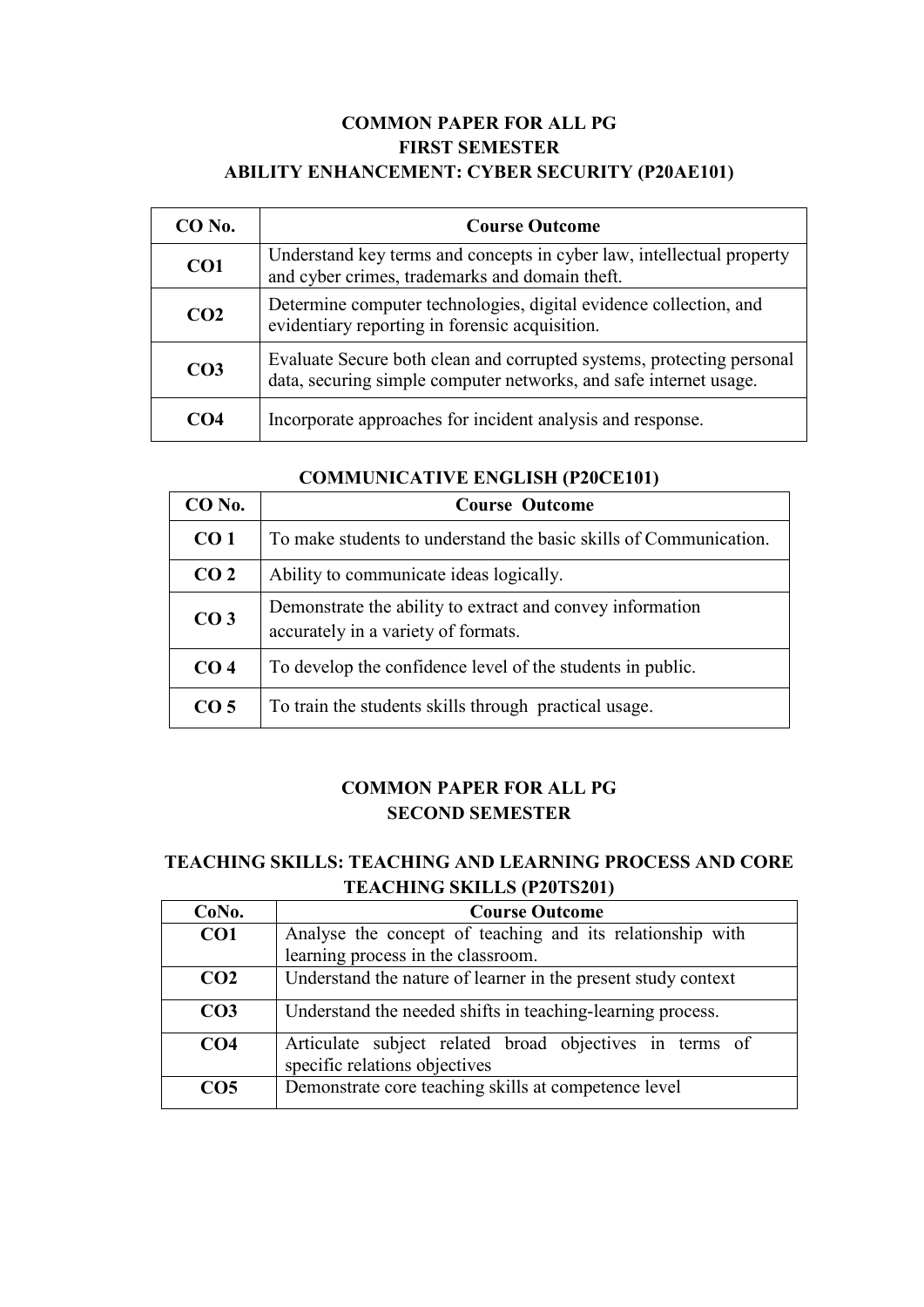### **COMMON PAPER FOR ALL PG FIRST SEMESTER ABILITY ENHANCEMENT: CYBER SECURITY (P20AE101)**

| $CO$ No.        | <b>Course Outcome</b>                                                                                                                      |
|-----------------|--------------------------------------------------------------------------------------------------------------------------------------------|
| CO1             | Understand key terms and concepts in cyber law, intellectual property<br>and cyber crimes, trademarks and domain theft.                    |
| CO <sub>2</sub> | Determine computer technologies, digital evidence collection, and<br>evidentiary reporting in forensic acquisition.                        |
| CO <sub>3</sub> | Evaluate Secure both clean and corrupted systems, protecting personal<br>data, securing simple computer networks, and safe internet usage. |
|                 | Incorporate approaches for incident analysis and response.                                                                                 |

| <b>COMMUNICATIVE ENGLISH (P20CE101)</b> |  |  |
|-----------------------------------------|--|--|
|-----------------------------------------|--|--|

| $CO$ No.        | <b>Course Outcome</b>                                                                            |
|-----------------|--------------------------------------------------------------------------------------------------|
| CO <sub>1</sub> | To make students to understand the basic skills of Communication.                                |
| CO <sub>2</sub> | Ability to communicate ideas logically.                                                          |
| CO <sub>3</sub> | Demonstrate the ability to extract and convey information<br>accurately in a variety of formats. |
| CO <sub>4</sub> | To develop the confidence level of the students in public.                                       |
| CO <sub>5</sub> | To train the students skills through practical usage.                                            |

### **COMMON PAPER FOR ALL PG SECOND SEMESTER**

### **TEACHING SKILLS: TEACHING AND LEARNING PROCESS AND CORE TEACHING SKILLS (P20TS201)**

| CoNo.           | <b>Course Outcome</b>                                                                    |
|-----------------|------------------------------------------------------------------------------------------|
| CO <sub>1</sub> | Analyse the concept of teaching and its relationship with                                |
|                 | learning process in the classroom.                                                       |
| CO <sub>2</sub> | Understand the nature of learner in the present study context                            |
| CO <sub>3</sub> | Understand the needed shifts in teaching-learning process.                               |
| CO <sub>4</sub> | Articulate subject related broad objectives in terms of<br>specific relations objectives |
| CO <sub>5</sub> | Demonstrate core teaching skills at competence level                                     |